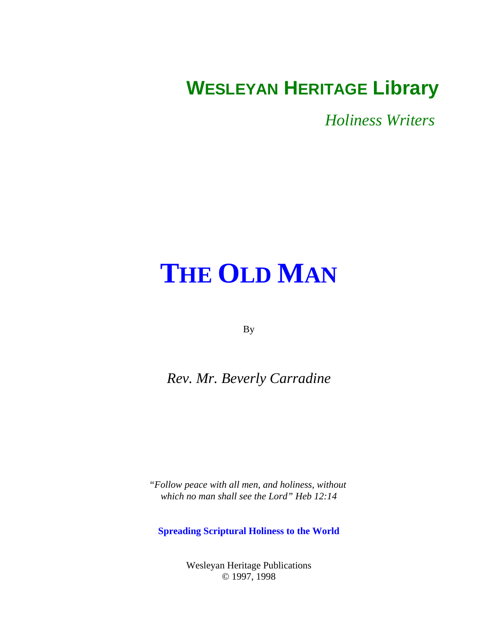# <span id="page-0-0"></span>**WESLEYAN HERITAGE Library**

*Holiness Writers* 

# **[THE OLD MAN](#page-1-0)**

By

# *Rev. Mr. Beverly Carradine*

*"Follow peace with all men, and holiness, without which no man shall see the Lord" Heb 12:14*

**Spreading Scriptural Holiness to the World**

Wesleyan Heritage Publications © 1997, 1998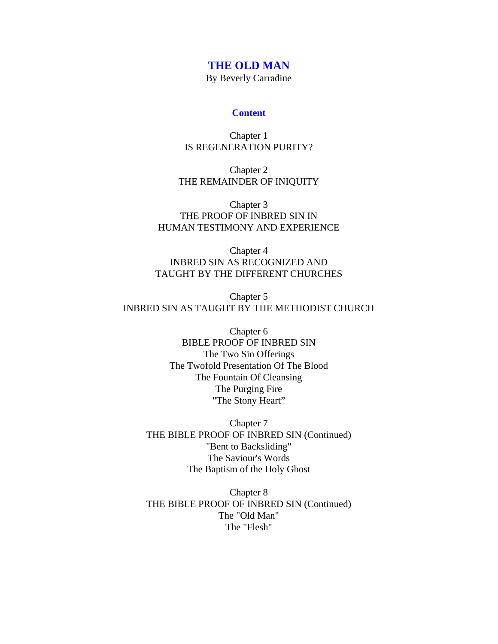# <span id="page-1-0"></span>**[THE OLD MAN](#page-0-0)**

By Beverly Carradine

#### **Content**

Chapter 1 [IS REGENERATION PURITY?](#page-4-0)

Chapter 2 [THE REMAINDER OF INIQUITY](#page-7-0)

Chapter 3 THE PROOF OF INBRED SIN IN [HUMAN TESTIMONY AND EXPERIENCE](#page-10-0)

Chapter 4 INBRED SIN AS RECOGNIZED AND [TAUGHT BY THE DIFFERENT CHURCHES](#page-13-0)

Chapter 5 [INBRED SIN AS TAUGHT BY THE METHODIST CHURCH](#page-17-0)

> Chapter 6 BIBLE PROOF OF INBRED SIN The Two Sin Offerings [The Twofold Presentation Of The Blood](#page-23-0) The Fountain Of Cleansing The Purging Fire "The Stony Heart"

Chapter 7 [THE BIBLE PROOF OF INBRED SIN \(Continued\)](#page-27-0) "Bent to Backsliding" The Saviour's Words The Baptism of the Holy Ghost

Chapter 8 [THE BIBLE PROOF OF INBRED SIN \(Continued\)](#page-31-0) The "Old Man" The "Flesh"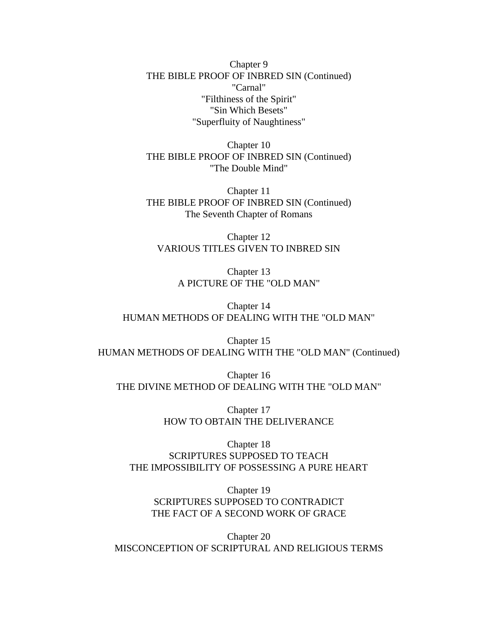Chapter 9 [THE BIBLE PROOF OF INBRED SIN \(Continued\)](#page-35-0) "Carnal" "Filthiness of the Spirit" "Sin Which Besets" "Superfluity of Naughtiness"

Chapter 10 [THE BIBLE PROOF OF INBRED SIN \(Continued\)](#page-38-0) "The Double Mind"

Chapter 11 [THE BIBLE PROOF OF INBRED SIN \(Continued\)](#page-42-0) The Seventh Chapter of Romans

Chapter 12 [VARIOUS TITLES GIVEN TO INBRED SIN](#page-50-0)

> Chapter 13 [A PICTURE OF THE "OLD MAN"](#page-54-0)

Chapter 14 [HUMAN METHODS OF DEALING WITH THE "OLD MAN"](#page-61-0)

Chapter 15 [HUMAN METHODS OF DEALING WITH THE "OLD MAN" \(Continued\)](#page-66-0)

Chapter 16 [THE DIVINE METHOD OF DEALING WITH THE "OLD MAN"](#page-72-0)

> Chapter 17 [HOW TO OBTAIN THE DELIVERANCE](#page-76-0)

Chapter 18 SCRIPTURES SUPPOSED TO TEACH [THE IMPOSSIBILITY OF POSSESSING A PURE HEART](#page-81-0)

Chapter 19 SCRIPTURES SUPPOSED TO CONTRADICT [THE FACT OF A SECOND WORK OF GRACE](#page-86-0)

Chapter 20 [MISCONCEPTION OF SCRIPTURAL AND RELIGIOUS TERMS](#page-94-0)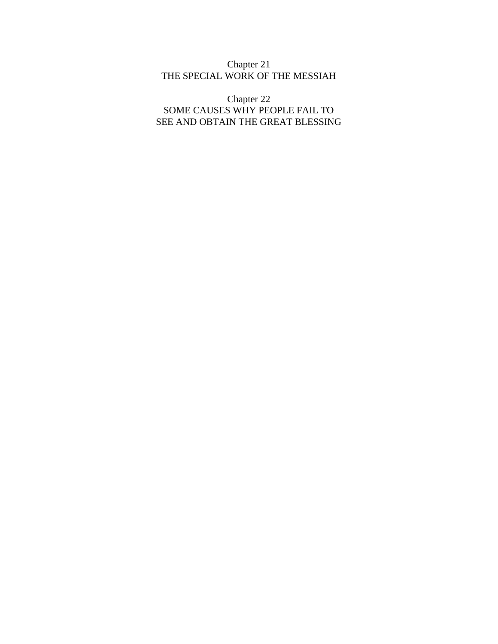#### Chapter 21 [THE SPECIAL WORK OF THE MESSIAH](#page-101-0)

Chapter 22 SOME CAUSES WHY PEOPLE FAIL TO [SEE AND OBTAIN THE GREAT BLESSING](#page-107-0)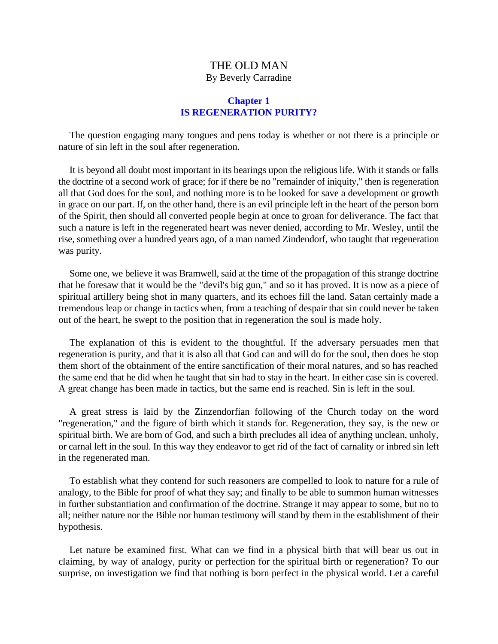# **Chapter 1 IS REGENERATION PURITY?**

<span id="page-4-0"></span>The question engaging many tongues and pens today is whether or not there is a principle or nature of sin left in the soul after regeneration.

It is beyond all doubt most important in its bearings upon the religious life. With it stands or falls the doctrine of a second work of grace; for if there be no "remainder of iniquity," then is regeneration all that God does for the soul, and nothing more is to be looked for save a development or growth in grace on our part. If, on the other hand, there is an evil principle left in the heart of the person born of the Spirit, then should all converted people begin at once to groan for deliverance. The fact that such a nature is left in the regenerated heart was never denied, according to Mr. Wesley, until the rise, something over a hundred years ago, of a man named Zindendorf, who taught that regeneration was purity.

Some one, we believe it was Bramwell, said at the time of the propagation of this strange doctrine that he foresaw that it would be the "devil's big gun," and so it has proved. It is now as a piece of spiritual artillery being shot in many quarters, and its echoes fill the land. Satan certainly made a tremendous leap or change in tactics when, from a teaching of despair that sin could never be taken out of the heart, he swept to the position that in regeneration the soul is made holy.

The explanation of this is evident to the thoughtful. If the adversary persuades men that regeneration is purity, and that it is also all that God can and will do for the soul, then does he stop them short of the obtainment of the entire sanctification of their moral natures, and so has reached the same end that he did when he taught that sin had to stay in the heart. In either case sin is covered. A great change has been made in tactics, but the same end is reached. Sin is left in the soul.

A great stress is laid by the Zinzendorfian following of the Church today on the word "regeneration," and the figure of birth which it stands for. Regeneration, they say, is the new or spiritual birth. We are born of God, and such a birth precludes all idea of anything unclean, unholy, or carnal left in the soul. In this way they endeavor to get rid of the fact of carnality or inbred sin left in the regenerated man.

To establish what they contend for such reasoners are compelled to look to nature for a rule of analogy, to the Bible for proof of what they say; and finally to be able to summon human witnesses in further substantiation and confirmation of the doctrine. Strange it may appear to some, but no to all; neither nature nor the Bible nor human testimony will stand by them in the establishment of their hypothesis.

Let nature be examined first. What can we find in a physical birth that will bear us out in claiming, by way of analogy, purity or perfection for the spiritual birth or regeneration? To our surprise, on investigation we find that nothing is born perfect in the physical world. Let a careful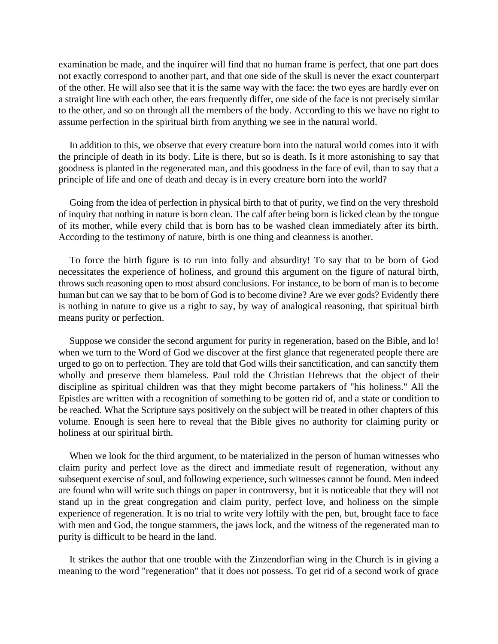examination be made, and the inquirer will find that no human frame is perfect, that one part does not exactly correspond to another part, and that one side of the skull is never the exact counterpart of the other. He will also see that it is the same way with the face: the two eyes are hardly ever on a straight line with each other, the ears frequently differ, one side of the face is not precisely similar to the other, and so on through all the members of the body. According to this we have no right to assume perfection in the spiritual birth from anything we see in the natural world.

In addition to this, we observe that every creature born into the natural world comes into it with the principle of death in its body. Life is there, but so is death. Is it more astonishing to say that goodness is planted in the regenerated man, and this goodness in the face of evil, than to say that a principle of life and one of death and decay is in every creature born into the world?

Going from the idea of perfection in physical birth to that of purity, we find on the very threshold of inquiry that nothing in nature is born clean. The calf after being born is licked clean by the tongue of its mother, while every child that is born has to be washed clean immediately after its birth. According to the testimony of nature, birth is one thing and cleanness is another.

To force the birth figure is to run into folly and absurdity! To say that to be born of God necessitates the experience of holiness, and ground this argument on the figure of natural birth, throws such reasoning open to most absurd conclusions. For instance, to be born of man is to become human but can we say that to be born of God is to become divine? Are we ever gods? Evidently there is nothing in nature to give us a right to say, by way of analogical reasoning, that spiritual birth means purity or perfection.

Suppose we consider the second argument for purity in regeneration, based on the Bible, and lo! when we turn to the Word of God we discover at the first glance that regenerated people there are urged to go on to perfection. They are told that God wills their sanctification, and can sanctify them wholly and preserve them blameless. Paul told the Christian Hebrews that the object of their discipline as spiritual children was that they might become partakers of "his holiness." All the Epistles are written with a recognition of something to be gotten rid of, and a state or condition to be reached. What the Scripture says positively on the subject will be treated in other chapters of this volume. Enough is seen here to reveal that the Bible gives no authority for claiming purity or holiness at our spiritual birth.

When we look for the third argument, to be materialized in the person of human witnesses who claim purity and perfect love as the direct and immediate result of regeneration, without any subsequent exercise of soul, and following experience, such witnesses cannot be found. Men indeed are found who will write such things on paper in controversy, but it is noticeable that they will not stand up in the great congregation and claim purity, perfect love, and holiness on the simple experience of regeneration. It is no trial to write very loftily with the pen, but, brought face to face with men and God, the tongue stammers, the jaws lock, and the witness of the regenerated man to purity is difficult to be heard in the land.

It strikes the author that one trouble with the Zinzendorfian wing in the Church is in giving a meaning to the word "regeneration" that it does not possess. To get rid of a second work of grace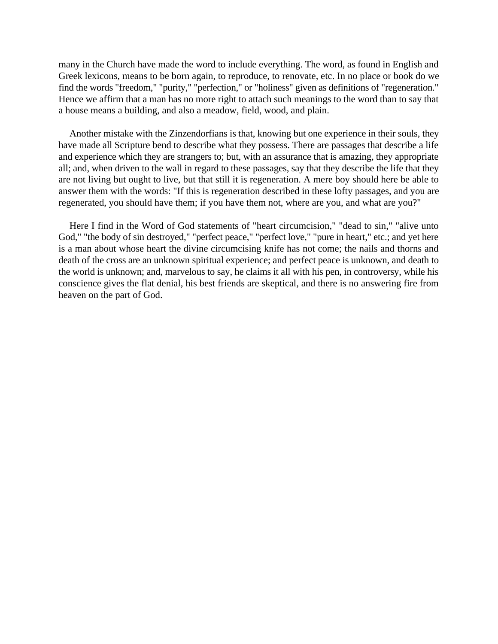many in the Church have made the word to include everything. The word, as found in English and Greek lexicons, means to be born again, to reproduce, to renovate, etc. In no place or book do we find the words "freedom," "purity," "perfection," or "holiness" given as definitions of "regeneration." Hence we affirm that a man has no more right to attach such meanings to the word than to say that a house means a building, and also a meadow, field, wood, and plain.

Another mistake with the Zinzendorfians is that, knowing but one experience in their souls, they have made all Scripture bend to describe what they possess. There are passages that describe a life and experience which they are strangers to; but, with an assurance that is amazing, they appropriate all; and, when driven to the wall in regard to these passages, say that they describe the life that they are not living but ought to live, but that still it is regeneration. A mere boy should here be able to answer them with the words: "If this is regeneration described in these lofty passages, and you are regenerated, you should have them; if you have them not, where are you, and what are you?"

Here I find in the Word of God statements of "heart circumcision," "dead to sin," "alive unto God," "the body of sin destroyed," "perfect peace," "perfect love," "pure in heart," etc.; and yet here is a man about whose heart the divine circumcising knife has not come; the nails and thorns and death of the cross are an unknown spiritual experience; and perfect peace is unknown, and death to the world is unknown; and, marvelous to say, he claims it all with his pen, in controversy, while his conscience gives the flat denial, his best friends are skeptical, and there is no answering fire from heaven on the part of God.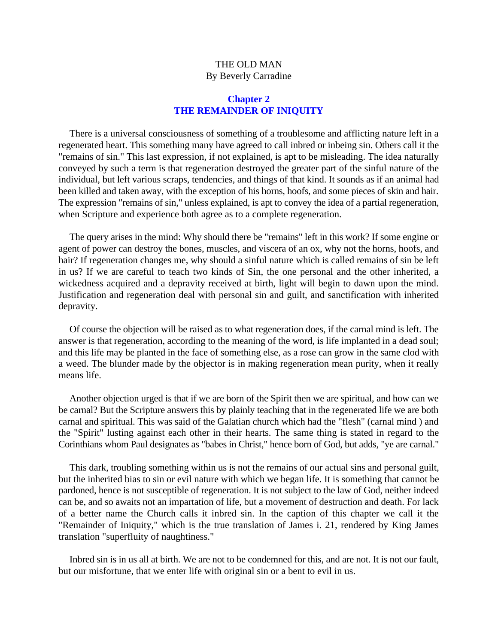#### **Chapter 2 THE REMAINDER OF INIQUITY**

<span id="page-7-0"></span>There is a universal consciousness of something of a troublesome and afflicting nature left in a regenerated heart. This something many have agreed to call inbred or inbeing sin. Others call it the "remains of sin." This last expression, if not explained, is apt to be misleading. The idea naturally conveyed by such a term is that regeneration destroyed the greater part of the sinful nature of the individual, but left various scraps, tendencies, and things of that kind. It sounds as if an animal had been killed and taken away, with the exception of his horns, hoofs, and some pieces of skin and hair. The expression "remains of sin," unless explained, is apt to convey the idea of a partial regeneration, when Scripture and experience both agree as to a complete regeneration.

The query arises in the mind: Why should there be "remains" left in this work? If some engine or agent of power can destroy the bones, muscles, and viscera of an ox, why not the horns, hoofs, and hair? If regeneration changes me, why should a sinful nature which is called remains of sin be left in us? If we are careful to teach two kinds of Sin, the one personal and the other inherited, a wickedness acquired and a depravity received at birth, light will begin to dawn upon the mind. Justification and regeneration deal with personal sin and guilt, and sanctification with inherited depravity.

Of course the objection will be raised as to what regeneration does, if the carnal mind is left. The answer is that regeneration, according to the meaning of the word, is life implanted in a dead soul; and this life may be planted in the face of something else, as a rose can grow in the same clod with a weed. The blunder made by the objector is in making regeneration mean purity, when it really means life.

Another objection urged is that if we are born of the Spirit then we are spiritual, and how can we be carnal? But the Scripture answers this by plainly teaching that in the regenerated life we are both carnal and spiritual. This was said of the Galatian church which had the "flesh" (carnal mind ) and the "Spirit" lusting against each other in their hearts. The same thing is stated in regard to the Corinthians whom Paul designates as "babes in Christ," hence born of God, but adds, "ye are carnal."

This dark, troubling something within us is not the remains of our actual sins and personal guilt, but the inherited bias to sin or evil nature with which we began life. It is something that cannot be pardoned, hence is not susceptible of regeneration. It is not subject to the law of God, neither indeed can be, and so awaits not an impartation of life, but a movement of destruction and death. For lack of a better name the Church calls it inbred sin. In the caption of this chapter we call it the "Remainder of Iniquity," which is the true translation of James i. 21, rendered by King James translation "superfluity of naughtiness."

Inbred sin is in us all at birth. We are not to be condemned for this, and are not. It is not our fault, but our misfortune, that we enter life with original sin or a bent to evil in us.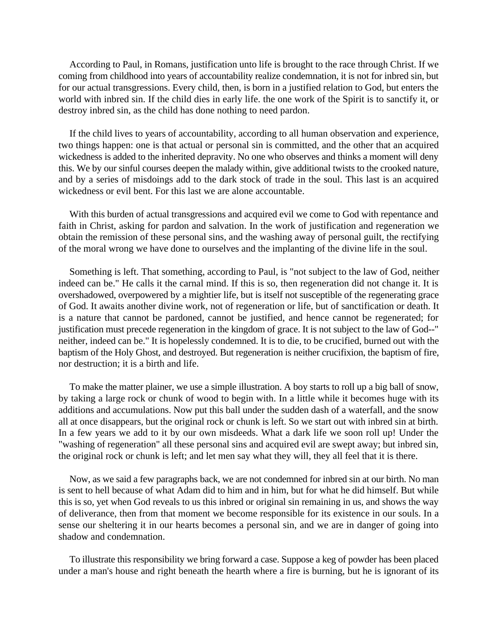According to Paul, in Romans, justification unto life is brought to the race through Christ. If we coming from childhood into years of accountability realize condemnation, it is not for inbred sin, but for our actual transgressions. Every child, then, is born in a justified relation to God, but enters the world with inbred sin. If the child dies in early life. the one work of the Spirit is to sanctify it, or destroy inbred sin, as the child has done nothing to need pardon.

If the child lives to years of accountability, according to all human observation and experience, two things happen: one is that actual or personal sin is committed, and the other that an acquired wickedness is added to the inherited depravity. No one who observes and thinks a moment will deny this. We by our sinful courses deepen the malady within, give additional twists to the crooked nature, and by a series of misdoings add to the dark stock of trade in the soul. This last is an acquired wickedness or evil bent. For this last we are alone accountable.

With this burden of actual transgressions and acquired evil we come to God with repentance and faith in Christ, asking for pardon and salvation. In the work of justification and regeneration we obtain the remission of these personal sins, and the washing away of personal guilt, the rectifying of the moral wrong we have done to ourselves and the implanting of the divine life in the soul.

Something is left. That something, according to Paul, is "not subject to the law of God, neither indeed can be." He calls it the carnal mind. If this is so, then regeneration did not change it. It is overshadowed, overpowered by a mightier life, but is itself not susceptible of the regenerating grace of God. It awaits another divine work, not of regeneration or life, but of sanctification or death. It is a nature that cannot be pardoned, cannot be justified, and hence cannot be regenerated; for justification must precede regeneration in the kingdom of grace. It is not subject to the law of God--" neither, indeed can be." It is hopelessly condemned. It is to die, to be crucified, burned out with the baptism of the Holy Ghost, and destroyed. But regeneration is neither crucifixion, the baptism of fire, nor destruction; it is a birth and life.

To make the matter plainer, we use a simple illustration. A boy starts to roll up a big ball of snow, by taking a large rock or chunk of wood to begin with. In a little while it becomes huge with its additions and accumulations. Now put this ball under the sudden dash of a waterfall, and the snow all at once disappears, but the original rock or chunk is left. So we start out with inbred sin at birth. In a few years we add to it by our own misdeeds. What a dark life we soon roll up! Under the "washing of regeneration" all these personal sins and acquired evil are swept away; but inbred sin, the original rock or chunk is left; and let men say what they will, they all feel that it is there.

Now, as we said a few paragraphs back, we are not condemned for inbred sin at our birth. No man is sent to hell because of what Adam did to him and in him, but for what he did himself. But while this is so, yet when God reveals to us this inbred or original sin remaining in us, and shows the way of deliverance, then from that moment we become responsible for its existence in our souls. In a sense our sheltering it in our hearts becomes a personal sin, and we are in danger of going into shadow and condemnation.

To illustrate this responsibility we bring forward a case. Suppose a keg of powder has been placed under a man's house and right beneath the hearth where a fire is burning, but he is ignorant of its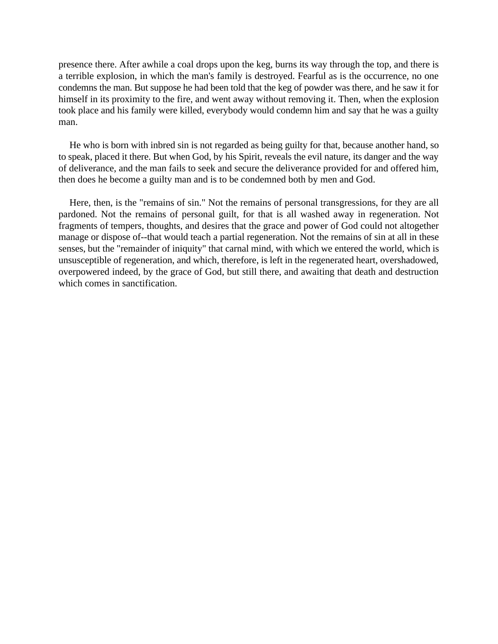presence there. After awhile a coal drops upon the keg, burns its way through the top, and there is a terrible explosion, in which the man's family is destroyed. Fearful as is the occurrence, no one condemns the man. But suppose he had been told that the keg of powder was there, and he saw it for himself in its proximity to the fire, and went away without removing it. Then, when the explosion took place and his family were killed, everybody would condemn him and say that he was a guilty man.

He who is born with inbred sin is not regarded as being guilty for that, because another hand, so to speak, placed it there. But when God, by his Spirit, reveals the evil nature, its danger and the way of deliverance, and the man fails to seek and secure the deliverance provided for and offered him, then does he become a guilty man and is to be condemned both by men and God.

Here, then, is the "remains of sin." Not the remains of personal transgressions, for they are all pardoned. Not the remains of personal guilt, for that is all washed away in regeneration. Not fragments of tempers, thoughts, and desires that the grace and power of God could not altogether manage or dispose of--that would teach a partial regeneration. Not the remains of sin at all in these senses, but the "remainder of iniquity" that carnal mind, with which we entered the world, which is unsusceptible of regeneration, and which, therefore, is left in the regenerated heart, overshadowed, overpowered indeed, by the grace of God, but still there, and awaiting that death and destruction which comes in sanctification.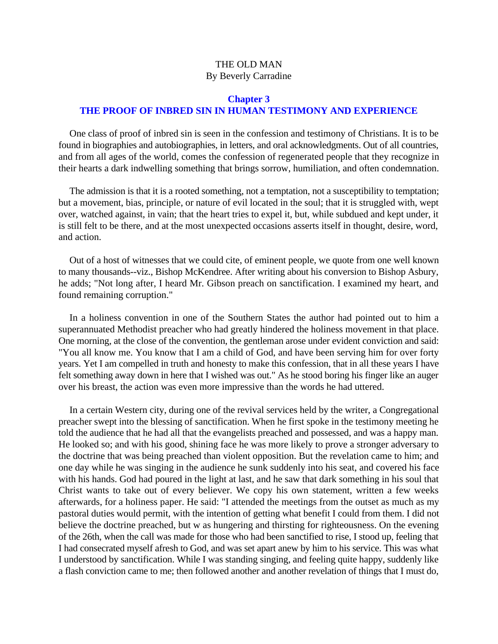# <span id="page-10-0"></span>**Chapter 3 THE PROOF OF INBRED SIN IN HUMAN TESTIMONY AND EXPERIENCE**

One class of proof of inbred sin is seen in the confession and testimony of Christians. It is to be found in biographies and autobiographies, in letters, and oral acknowledgments. Out of all countries, and from all ages of the world, comes the confession of regenerated people that they recognize in their hearts a dark indwelling something that brings sorrow, humiliation, and often condemnation.

The admission is that it is a rooted something, not a temptation, not a susceptibility to temptation; but a movement, bias, principle, or nature of evil located in the soul; that it is struggled with, wept over, watched against, in vain; that the heart tries to expel it, but, while subdued and kept under, it is still felt to be there, and at the most unexpected occasions asserts itself in thought, desire, word, and action.

Out of a host of witnesses that we could cite, of eminent people, we quote from one well known to many thousands--viz., Bishop McKendree. After writing about his conversion to Bishop Asbury, he adds; "Not long after, I heard Mr. Gibson preach on sanctification. I examined my heart, and found remaining corruption."

In a holiness convention in one of the Southern States the author had pointed out to him a superannuated Methodist preacher who had greatly hindered the holiness movement in that place. One morning, at the close of the convention, the gentleman arose under evident conviction and said: "You all know me. You know that I am a child of God, and have been serving him for over forty years. Yet I am compelled in truth and honesty to make this confession, that in all these years I have felt something away down in here that I wished was out." As he stood boring his finger like an auger over his breast, the action was even more impressive than the words he had uttered.

In a certain Western city, during one of the revival services held by the writer, a Congregational preacher swept into the blessing of sanctification. When he first spoke in the testimony meeting he told the audience that he had all that the evangelists preached and possessed, and was a happy man. He looked so; and with his good, shining face he was more likely to prove a stronger adversary to the doctrine that was being preached than violent opposition. But the revelation came to him; and one day while he was singing in the audience he sunk suddenly into his seat, and covered his face with his hands. God had poured in the light at last, and he saw that dark something in his soul that Christ wants to take out of every believer. We copy his own statement, written a few weeks afterwards, for a holiness paper. He said: "I attended the meetings from the outset as much as my pastoral duties would permit, with the intention of getting what benefit I could from them. I did not believe the doctrine preached, but w as hungering and thirsting for righteousness. On the evening of the 26th, when the call was made for those who had been sanctified to rise, I stood up, feeling that I had consecrated myself afresh to God, and was set apart anew by him to his service. This was what I understood by sanctification. While I was standing singing, and feeling quite happy, suddenly like a flash conviction came to me; then followed another and another revelation of things that I must do,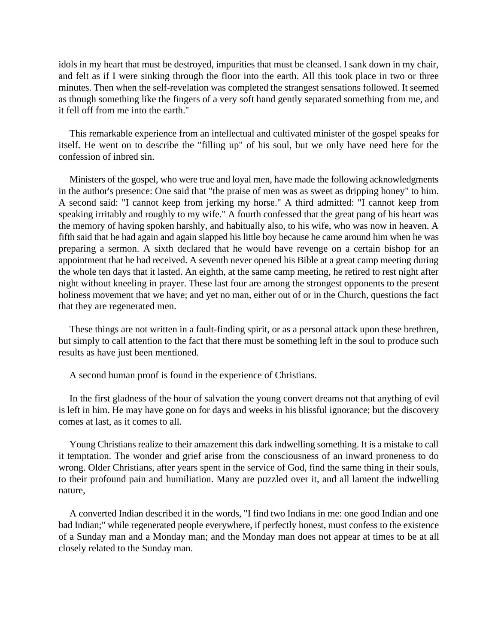idols in my heart that must be destroyed, impurities that must be cleansed. I sank down in my chair, and felt as if I were sinking through the floor into the earth. All this took place in two or three minutes. Then when the self-revelation was completed the strangest sensations followed. It seemed as though something like the fingers of a very soft hand gently separated something from me, and it fell off from me into the earth.''

This remarkable experience from an intellectual and cultivated minister of the gospel speaks for itself. He went on to describe the "filling up" of his soul, but we only have need here for the confession of inbred sin.

Ministers of the gospel, who were true and loyal men, have made the following acknowledgments in the author's presence: One said that "the praise of men was as sweet as dripping honey" to him. A second said: "I cannot keep from jerking my horse." A third admitted: "I cannot keep from speaking irritably and roughly to my wife." A fourth confessed that the great pang of his heart was the memory of having spoken harshly, and habitually also, to his wife, who was now in heaven. A fifth said that he had again and again slapped his little boy because he came around him when he was preparing a sermon. A sixth declared that he would have revenge on a certain bishop for an appointment that he had received. A seventh never opened his Bible at a great camp meeting during the whole ten days that it lasted. An eighth, at the same camp meeting, he retired to rest night after night without kneeling in prayer. These last four are among the strongest opponents to the present holiness movement that we have; and yet no man, either out of or in the Church, questions the fact that they are regenerated men.

These things are not written in a fault-finding spirit, or as a personal attack upon these brethren, but simply to call attention to the fact that there must be something left in the soul to produce such results as have just been mentioned.

A second human proof is found in the experience of Christians.

In the first gladness of the hour of salvation the young convert dreams not that anything of evil is left in him. He may have gone on for days and weeks in his blissful ignorance; but the discovery comes at last, as it comes to all.

Young Christians realize to their amazement this dark indwelling something. It is a mistake to call it temptation. The wonder and grief arise from the consciousness of an inward proneness to do wrong. Older Christians, after years spent in the service of God, find the same thing in their souls, to their profound pain and humiliation. Many are puzzled over it, and all lament the indwelling nature,

A converted Indian described it in the words, "I find two Indians in me: one good Indian and one bad Indian;" while regenerated people everywhere, if perfectly honest, must confess to the existence of a Sunday man and a Monday man; and the Monday man does not appear at times to be at all closely related to the Sunday man.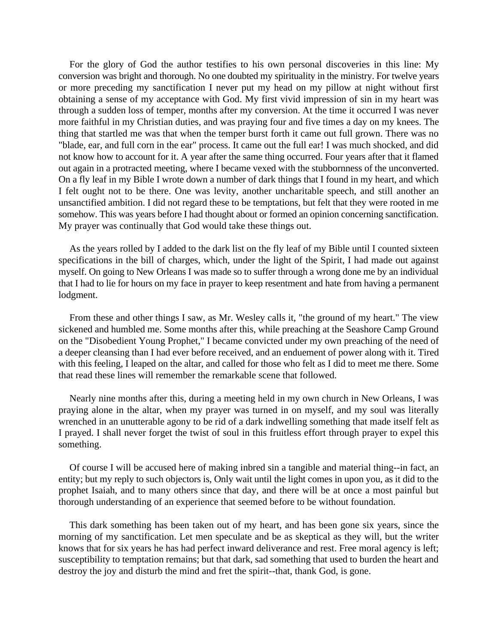For the glory of God the author testifies to his own personal discoveries in this line: My conversion was bright and thorough. No one doubted my spirituality in the ministry. For twelve years or more preceding my sanctification I never put my head on my pillow at night without first obtaining a sense of my acceptance with God. My first vivid impression of sin in my heart was through a sudden loss of temper, months after my conversion. At the time it occurred I was never more faithful in my Christian duties, and was praying four and five times a day on my knees. The thing that startled me was that when the temper burst forth it came out full grown. There was no "blade, ear, and full corn in the ear" process. It came out the full ear! I was much shocked, and did not know how to account for it. A year after the same thing occurred. Four years after that it flamed out again in a protracted meeting, where I became vexed with the stubbornness of the unconverted. On a fly leaf in my Bible I wrote down a number of dark things that I found in my heart, and which I felt ought not to be there. One was levity, another uncharitable speech, and still another an unsanctified ambition. I did not regard these to be temptations, but felt that they were rooted in me somehow. This was years before I had thought about or formed an opinion concerning sanctification. My prayer was continually that God would take these things out.

As the years rolled by I added to the dark list on the fly leaf of my Bible until I counted sixteen specifications in the bill of charges, which, under the light of the Spirit, I had made out against myself. On going to New Orleans I was made so to suffer through a wrong done me by an individual that I had to lie for hours on my face in prayer to keep resentment and hate from having a permanent lodgment.

From these and other things I saw, as Mr. Wesley calls it, "the ground of my heart." The view sickened and humbled me. Some months after this, while preaching at the Seashore Camp Ground on the "Disobedient Young Prophet," I became convicted under my own preaching of the need of a deeper cleansing than I had ever before received, and an enduement of power along with it. Tired with this feeling, I leaped on the altar, and called for those who felt as I did to meet me there. Some that read these lines will remember the remarkable scene that followed.

Nearly nine months after this, during a meeting held in my own church in New Orleans, I was praying alone in the altar, when my prayer was turned in on myself, and my soul was literally wrenched in an unutterable agony to be rid of a dark indwelling something that made itself felt as I prayed. I shall never forget the twist of soul in this fruitless effort through prayer to expel this something.

Of course I will be accused here of making inbred sin a tangible and material thing--in fact, an entity; but my reply to such objectors is, Only wait until the light comes in upon you, as it did to the prophet Isaiah, and to many others since that day, and there will be at once a most painful but thorough understanding of an experience that seemed before to be without foundation.

This dark something has been taken out of my heart, and has been gone six years, since the morning of my sanctification. Let men speculate and be as skeptical as they will, but the writer knows that for six years he has had perfect inward deliverance and rest. Free moral agency is left; susceptibility to temptation remains; but that dark, sad something that used to burden the heart and destroy the joy and disturb the mind and fret the spirit--that, thank God, is gone.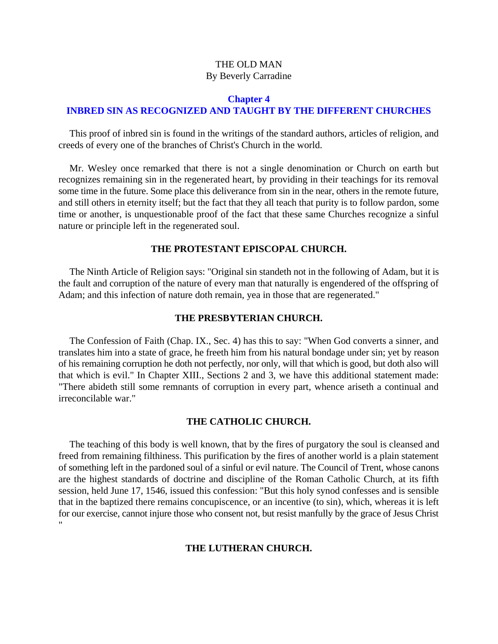# <span id="page-13-0"></span>**Chapter 4 INBRED SIN AS RECOGNIZED AND TAUGHT BY THE DIFFERENT CHURCHES**

This proof of inbred sin is found in the writings of the standard authors, articles of religion, and creeds of every one of the branches of Christ's Church in the world.

Mr. Wesley once remarked that there is not a single denomination or Church on earth but recognizes remaining sin in the regenerated heart, by providing in their teachings for its removal some time in the future. Some place this deliverance from sin in the near, others in the remote future, and still others in eternity itself; but the fact that they all teach that purity is to follow pardon, some time or another, is unquestionable proof of the fact that these same Churches recognize a sinful nature or principle left in the regenerated soul.

#### **THE PROTESTANT EPISCOPAL CHURCH.**

The Ninth Article of Religion says: "Original sin standeth not in the following of Adam, but it is the fault and corruption of the nature of every man that naturally is engendered of the offspring of Adam; and this infection of nature doth remain, yea in those that are regenerated."

#### **THE PRESBYTERIAN CHURCH.**

The Confession of Faith (Chap. IX., Sec. 4) has this to say: "When God converts a sinner, and translates him into a state of grace, he freeth him from his natural bondage under sin; yet by reason of his remaining corruption he doth not perfectly, nor only, will that which is good, but doth also will that which is evil." In Chapter XIII., Sections 2 and 3, we have this additional statement made: "There abideth still some remnants of corruption in every part, whence ariseth a continual and irreconcilable war."

#### **THE CATHOLIC CHURCH.**

The teaching of this body is well known, that by the fires of purgatory the soul is cleansed and freed from remaining filthiness. This purification by the fires of another world is a plain statement of something left in the pardoned soul of a sinful or evil nature. The Council of Trent, whose canons are the highest standards of doctrine and discipline of the Roman Catholic Church, at its fifth session, held June 17, 1546, issued this confession: "But this holy synod confesses and is sensible that in the baptized there remains concupiscence, or an incentive (to sin), which, whereas it is left for our exercise, cannot injure those who consent not, but resist manfully by the grace of Jesus Christ "

#### **THE LUTHERAN CHURCH.**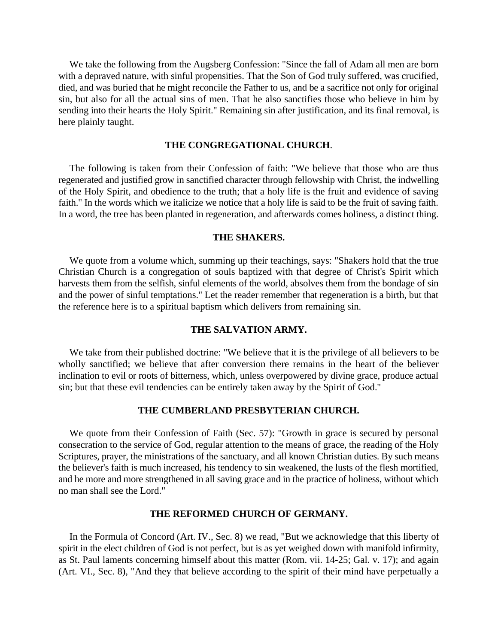We take the following from the Augsberg Confession: "Since the fall of Adam all men are born with a depraved nature, with sinful propensities. That the Son of God truly suffered, was crucified, died, and was buried that he might reconcile the Father to us, and be a sacrifice not only for original sin, but also for all the actual sins of men. That he also sanctifies those who believe in him by sending into their hearts the Holy Spirit." Remaining sin after justification, and its final removal, is here plainly taught.

#### **THE CONGREGATIONAL CHURCH**.

The following is taken from their Confession of faith: "We believe that those who are thus regenerated and justified grow in sanctified character through fellowship with Christ, the indwelling of the Holy Spirit, and obedience to the truth; that a holy life is the fruit and evidence of saving faith." In the words which we italicize we notice that a holy life is said to be the fruit of saving faith. In a word, the tree has been planted in regeneration, and afterwards comes holiness, a distinct thing.

#### **THE SHAKERS.**

We quote from a volume which, summing up their teachings, says: "Shakers hold that the true Christian Church is a congregation of souls baptized with that degree of Christ's Spirit which harvests them from the selfish, sinful elements of the world, absolves them from the bondage of sin and the power of sinful temptations." Let the reader remember that regeneration is a birth, but that the reference here is to a spiritual baptism which delivers from remaining sin.

#### **THE SALVATION ARMY.**

We take from their published doctrine: "We believe that it is the privilege of all believers to be wholly sanctified; we believe that after conversion there remains in the heart of the believer inclination to evil or roots of bitterness, which, unless overpowered by divine grace, produce actual sin; but that these evil tendencies can be entirely taken away by the Spirit of God.''

#### **THE CUMBERLAND PRESBYTERIAN CHURCH.**

We quote from their Confession of Faith (Sec. 57): "Growth in grace is secured by personal consecration to the service of God, regular attention to the means of grace, the reading of the Holy Scriptures, prayer, the ministrations of the sanctuary, and all known Christian duties. By such means the believer's faith is much increased, his tendency to sin weakened, the lusts of the flesh mortified, and he more and more strengthened in all saving grace and in the practice of holiness, without which no man shall see the Lord."

#### **THE REFORMED CHURCH OF GERMANY.**

In the Formula of Concord (Art. IV., Sec. 8) we read, "But we acknowledge that this liberty of spirit in the elect children of God is not perfect, but is as yet weighed down with manifold infirmity, as St. Paul laments concerning himself about this matter (Rom. vii. 14-25; Gal. v. 17); and again (Art. VI., Sec. 8), "And they that believe according to the spirit of their mind have perpetually a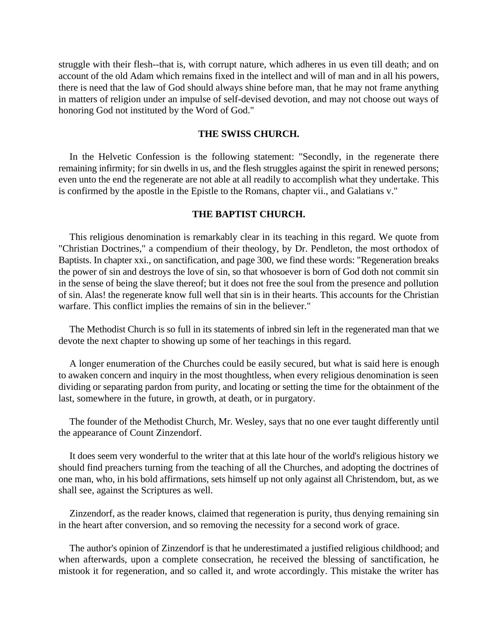struggle with their flesh--that is, with corrupt nature, which adheres in us even till death; and on account of the old Adam which remains fixed in the intellect and will of man and in all his powers, there is need that the law of God should always shine before man, that he may not frame anything in matters of religion under an impulse of self-devised devotion, and may not choose out ways of honoring God not instituted by the Word of God."

#### **THE SWISS CHURCH.**

In the Helvetic Confession is the following statement: "Secondly, in the regenerate there remaining infirmity; for sin dwells in us, and the flesh struggles against the spirit in renewed persons; even unto the end the regenerate are not able at all readily to accomplish what they undertake. This is confirmed by the apostle in the Epistle to the Romans, chapter vii., and Galatians v."

#### **THE BAPTIST CHURCH.**

This religious denomination is remarkably clear in its teaching in this regard. We quote from "Christian Doctrines," a compendium of their theology, by Dr. Pendleton, the most orthodox of Baptists. In chapter xxi., on sanctification, and page 300, we find these words: "Regeneration breaks the power of sin and destroys the love of sin, so that whosoever is born of God doth not commit sin in the sense of being the slave thereof; but it does not free the soul from the presence and pollution of sin. Alas! the regenerate know full well that sin is in their hearts. This accounts for the Christian warfare. This conflict implies the remains of sin in the believer."

The Methodist Church is so full in its statements of inbred sin left in the regenerated man that we devote the next chapter to showing up some of her teachings in this regard.

A longer enumeration of the Churches could be easily secured, but what is said here is enough to awaken concern and inquiry in the most thoughtless, when every religious denomination is seen dividing or separating pardon from purity, and locating or setting the time for the obtainment of the last, somewhere in the future, in growth, at death, or in purgatory.

The founder of the Methodist Church, Mr. Wesley, says that no one ever taught differently until the appearance of Count Zinzendorf.

It does seem very wonderful to the writer that at this late hour of the world's religious history we should find preachers turning from the teaching of all the Churches, and adopting the doctrines of one man, who, in his bold affirmations, sets himself up not only against all Christendom, but, as we shall see, against the Scriptures as well.

Zinzendorf, as the reader knows, claimed that regeneration is purity, thus denying remaining sin in the heart after conversion, and so removing the necessity for a second work of grace.

The author's opinion of Zinzendorf is that he underestimated a justified religious childhood; and when afterwards, upon a complete consecration, he received the blessing of sanctification, he mistook it for regeneration, and so called it, and wrote accordingly. This mistake the writer has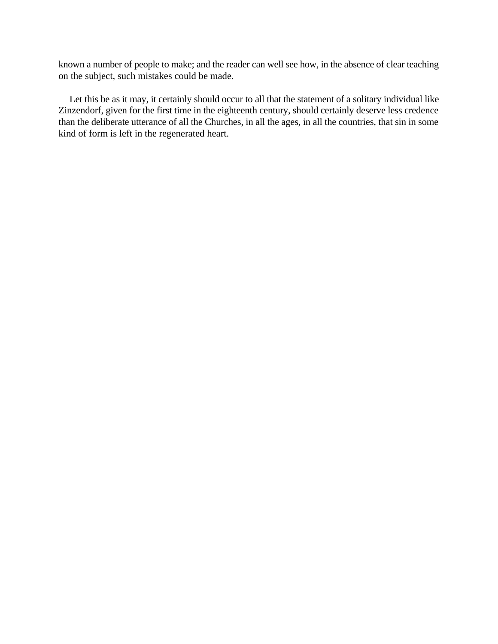known a number of people to make; and the reader can well see how, in the absence of clear teaching on the subject, such mistakes could be made.

Let this be as it may, it certainly should occur to all that the statement of a solitary individual like Zinzendorf, given for the first time in the eighteenth century, should certainly deserve less credence than the deliberate utterance of all the Churches, in all the ages, in all the countries, that sin in some kind of form is left in the regenerated heart.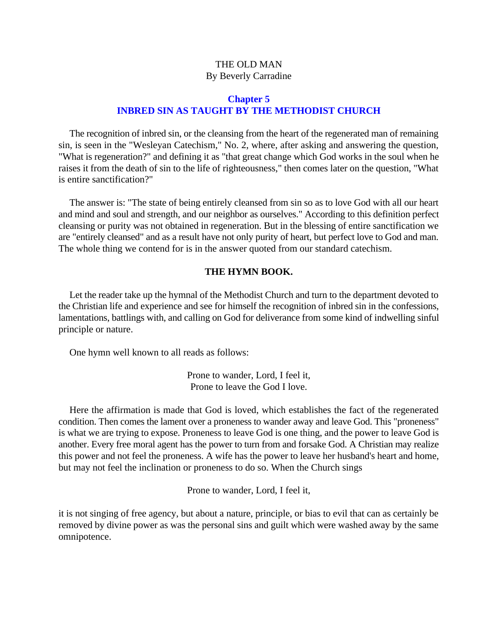# **Chapter 5 INBRED SIN AS TAUGHT BY THE METHODIST CHURCH**

<span id="page-17-0"></span>The recognition of inbred sin, or the cleansing from the heart of the regenerated man of remaining sin, is seen in the "Wesleyan Catechism," No. 2, where, after asking and answering the question, "What is regeneration?" and defining it as "that great change which God works in the soul when he raises it from the death of sin to the life of righteousness," then comes later on the question, "What is entire sanctification?"

The answer is: "The state of being entirely cleansed from sin so as to love God with all our heart and mind and soul and strength, and our neighbor as ourselves." According to this definition perfect cleansing or purity was not obtained in regeneration. But in the blessing of entire sanctification we are "entirely cleansed" and as a result have not only purity of heart, but perfect love to God and man. The whole thing we contend for is in the answer quoted from our standard catechism.

#### **THE HYMN BOOK.**

Let the reader take up the hymnal of the Methodist Church and turn to the department devoted to the Christian life and experience and see for himself the recognition of inbred sin in the confessions, lamentations, battlings with, and calling on God for deliverance from some kind of indwelling sinful principle or nature.

One hymn well known to all reads as follows:

Prone to wander, Lord, I feel it, Prone to leave the God I love.

Here the affirmation is made that God is loved, which establishes the fact of the regenerated condition. Then comes the lament over a proneness to wander away and leave God. This "proneness" is what we are trying to expose. Proneness to leave God is one thing, and the power to leave God is another. Every free moral agent has the power to turn from and forsake God. A Christian may realize this power and not feel the proneness. A wife has the power to leave her husband's heart and home, but may not feel the inclination or proneness to do so. When the Church sings

Prone to wander, Lord, I feel it,

it is not singing of free agency, but about a nature, principle, or bias to evil that can as certainly be removed by divine power as was the personal sins and guilt which were washed away by the same omnipotence.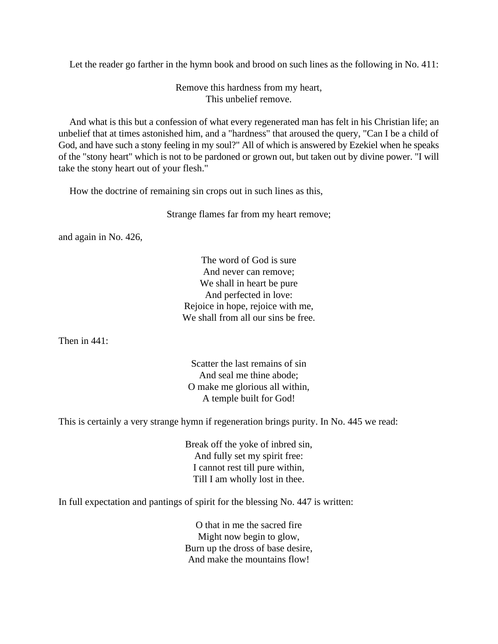Let the reader go farther in the hymn book and brood on such lines as the following in No. 411:

Remove this hardness from my heart, This unbelief remove.

And what is this but a confession of what every regenerated man has felt in his Christian life; an unbelief that at times astonished him, and a "hardness" that aroused the query, "Can I be a child of God, and have such a stony feeling in my soul?" All of which is answered by Ezekiel when he speaks of the "stony heart" which is not to be pardoned or grown out, but taken out by divine power. "I will take the stony heart out of your flesh."

How the doctrine of remaining sin crops out in such lines as this,

Strange flames far from my heart remove;

and again in No. 426,

The word of God is sure And never can remove; We shall in heart be pure And perfected in love: Rejoice in hope, rejoice with me, We shall from all our sins be free.

Then in 441:

Scatter the last remains of sin And seal me thine abode; O make me glorious all within, A temple built for God!

This is certainly a very strange hymn if regeneration brings purity. In No. 445 we read:

Break off the yoke of inbred sin, And fully set my spirit free: I cannot rest till pure within, Till I am wholly lost in thee.

In full expectation and pantings of spirit for the blessing No. 447 is written:

O that in me the sacred fire Might now begin to glow, Burn up the dross of base desire, And make the mountains flow!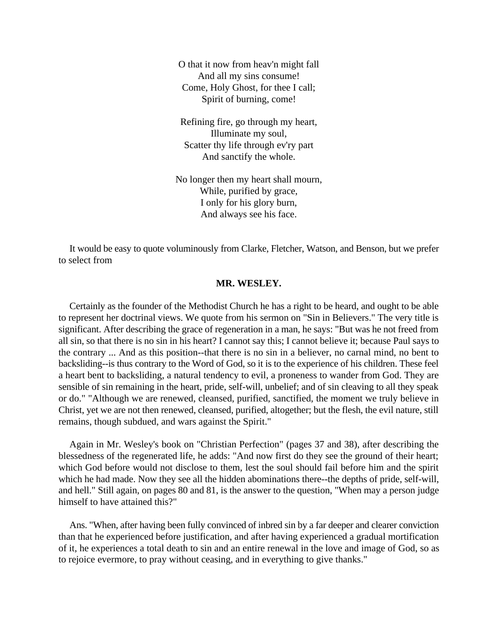O that it now from heav'n might fall And all my sins consume! Come, Holy Ghost, for thee I call; Spirit of burning, come!

Refining fire, go through my heart, Illuminate my soul, Scatter thy life through ev'ry part And sanctify the whole.

No longer then my heart shall mourn, While, purified by grace, I only for his glory burn, And always see his face.

It would be easy to quote voluminously from Clarke, Fletcher, Watson, and Benson, but we prefer to select from

#### **MR. WESLEY.**

Certainly as the founder of the Methodist Church he has a right to be heard, and ought to be able to represent her doctrinal views. We quote from his sermon on "Sin in Believers." The very title is significant. After describing the grace of regeneration in a man, he says: "But was he not freed from all sin, so that there is no sin in his heart? I cannot say this; I cannot believe it; because Paul says to the contrary ... And as this position--that there is no sin in a believer, no carnal mind, no bent to backsliding--is thus contrary to the Word of God, so it is to the experience of his children. These feel a heart bent to backsliding, a natural tendency to evil, a proneness to wander from God. They are sensible of sin remaining in the heart, pride, self-will, unbelief; and of sin cleaving to all they speak or do." "Although we are renewed, cleansed, purified, sanctified, the moment we truly believe in Christ, yet we are not then renewed, cleansed, purified, altogether; but the flesh, the evil nature, still remains, though subdued, and wars against the Spirit."

Again in Mr. Wesley's book on "Christian Perfection" (pages 37 and 38), after describing the blessedness of the regenerated life, he adds: "And now first do they see the ground of their heart; which God before would not disclose to them, lest the soul should fail before him and the spirit which he had made. Now they see all the hidden abominations there--the depths of pride, self-will, and hell." Still again, on pages 80 and 81, is the answer to the question, "When may a person judge himself to have attained this?"

Ans. "When, after having been fully convinced of inbred sin by a far deeper and clearer conviction than that he experienced before justification, and after having experienced a gradual mortification of it, he experiences a total death to sin and an entire renewal in the love and image of God, so as to rejoice evermore, to pray without ceasing, and in everything to give thanks."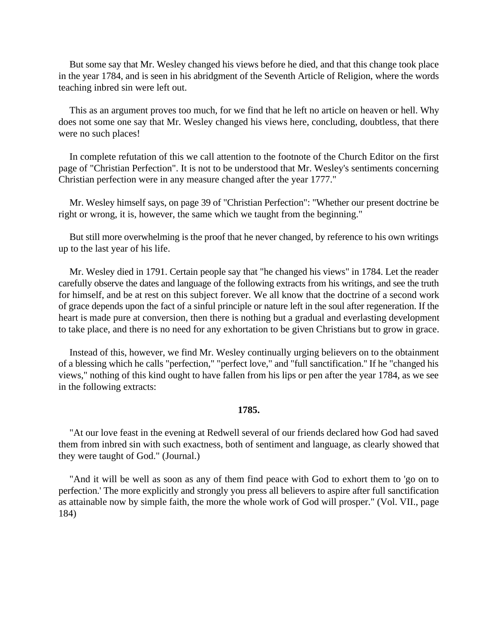But some say that Mr. Wesley changed his views before he died, and that this change took place in the year 1784, and is seen in his abridgment of the Seventh Article of Religion, where the words teaching inbred sin were left out.

This as an argument proves too much, for we find that he left no article on heaven or hell. Why does not some one say that Mr. Wesley changed his views here, concluding, doubtless, that there were no such places!

In complete refutation of this we call attention to the footnote of the Church Editor on the first page of "Christian Perfection". It is not to be understood that Mr. Wesley's sentiments concerning Christian perfection were in any measure changed after the year 1777."

Mr. Wesley himself says, on page 39 of "Christian Perfection": "Whether our present doctrine be right or wrong, it is, however, the same which we taught from the beginning."

But still more overwhelming is the proof that he never changed, by reference to his own writings up to the last year of his life.

Mr. Wesley died in 1791. Certain people say that "he changed his views" in 1784. Let the reader carefully observe the dates and language of the following extracts from his writings, and see the truth for himself, and be at rest on this subject forever. We all know that the doctrine of a second work of grace depends upon the fact of a sinful principle or nature left in the soul after regeneration. If the heart is made pure at conversion, then there is nothing but a gradual and everlasting development to take place, and there is no need for any exhortation to be given Christians but to grow in grace.

Instead of this, however, we find Mr. Wesley continually urging believers on to the obtainment of a blessing which he calls "perfection," "perfect love," and "full sanctification.'' If he "changed his views," nothing of this kind ought to have fallen from his lips or pen after the year 1784, as we see in the following extracts:

#### **1785.**

"At our love feast in the evening at Redwell several of our friends declared how God had saved them from inbred sin with such exactness, both of sentiment and language, as clearly showed that they were taught of God." (Journal.)

"And it will be well as soon as any of them find peace with God to exhort them to 'go on to perfection.' The more explicitly and strongly you press all believers to aspire after full sanctification as attainable now by simple faith, the more the whole work of God will prosper." (Vol. VII., page 184)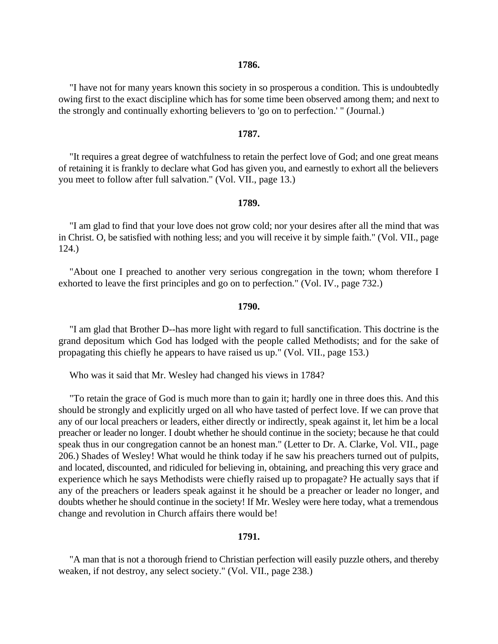#### **1786.**

"I have not for many years known this society in so prosperous a condition. This is undoubtedly owing first to the exact discipline which has for some time been observed among them; and next to the strongly and continually exhorting believers to 'go on to perfection.' " (Journal.)

#### **1787.**

"It requires a great degree of watchfulness to retain the perfect love of God; and one great means of retaining it is frankly to declare what God has given you, and earnestly to exhort all the believers you meet to follow after full salvation." (Vol. VII., page 13.)

#### **1789.**

"I am glad to find that your love does not grow cold; nor your desires after all the mind that was in Christ. O, be satisfied with nothing less; and you will receive it by simple faith." (Vol. VII., page 124.)

"About one I preached to another very serious congregation in the town; whom therefore I exhorted to leave the first principles and go on to perfection." (Vol. IV., page 732.)

#### **1790.**

"I am glad that Brother D--has more light with regard to full sanctification. This doctrine is the grand depositum which God has lodged with the people called Methodists; and for the sake of propagating this chiefly he appears to have raised us up." (Vol. VII., page 153.)

Who was it said that Mr. Wesley had changed his views in 1784?

"To retain the grace of God is much more than to gain it; hardly one in three does this. And this should be strongly and explicitly urged on all who have tasted of perfect love. If we can prove that any of our local preachers or leaders, either directly or indirectly, speak against it, let him be a local preacher or leader no longer. I doubt whether he should continue in the society; because he that could speak thus in our congregation cannot be an honest man." (Letter to Dr. A. Clarke, Vol. VII., page 206.) Shades of Wesley! What would he think today if he saw his preachers turned out of pulpits, and located, discounted, and ridiculed for believing in, obtaining, and preaching this very grace and experience which he says Methodists were chiefly raised up to propagate? He actually says that if any of the preachers or leaders speak against it he should be a preacher or leader no longer, and doubts whether he should continue in the society! If Mr. Wesley were here today, what a tremendous change and revolution in Church affairs there would be!

#### **1791.**

"A man that is not a thorough friend to Christian perfection will easily puzzle others, and thereby weaken, if not destroy, any select society." (Vol. VII., page 238.)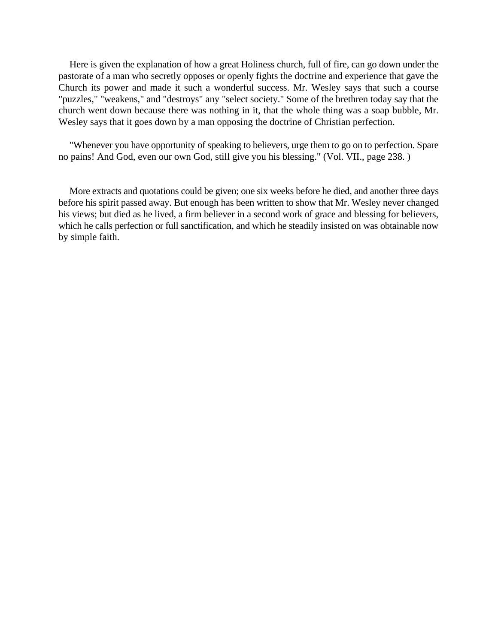Here is given the explanation of how a great Holiness church, full of fire, can go down under the pastorate of a man who secretly opposes or openly fights the doctrine and experience that gave the Church its power and made it such a wonderful success. Mr. Wesley says that such a course "puzzles," "weakens," and "destroys" any "select society." Some of the brethren today say that the church went down because there was nothing in it, that the whole thing was a soap bubble, Mr. Wesley says that it goes down by a man opposing the doctrine of Christian perfection.

"Whenever you have opportunity of speaking to believers, urge them to go on to perfection. Spare no pains! And God, even our own God, still give you his blessing." (Vol. VII., page 238. )

More extracts and quotations could be given; one six weeks before he died, and another three days before his spirit passed away. But enough has been written to show that Mr. Wesley never changed his views; but died as he lived, a firm believer in a second work of grace and blessing for believers, which he calls perfection or full sanctification, and which he steadily insisted on was obtainable now by simple faith.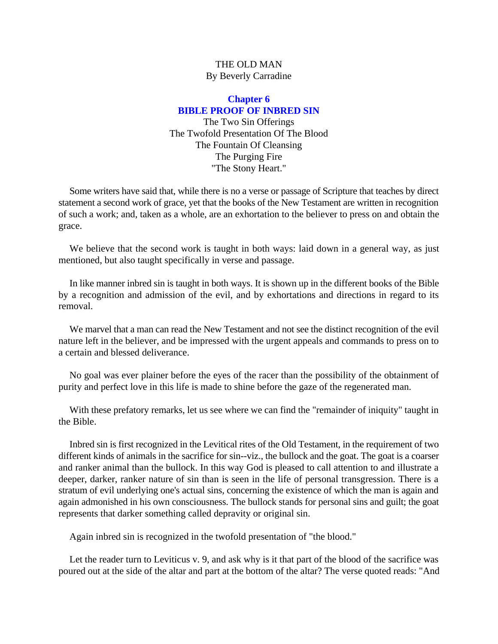# **Chapter 6 BIBLE PROOF OF INBRED SIN**

The Two Sin Offerings The Twofold Presentation Of The Blood The Fountain Of Cleansing The Purging Fire "The Stony Heart."

<span id="page-23-0"></span>Some writers have said that, while there is no a verse or passage of Scripture that teaches by direct statement a second work of grace, yet that the books of the New Testament are written in recognition of such a work; and, taken as a whole, are an exhortation to the believer to press on and obtain the grace.

We believe that the second work is taught in both ways: laid down in a general way, as just mentioned, but also taught specifically in verse and passage.

In like manner inbred sin is taught in both ways. It is shown up in the different books of the Bible by a recognition and admission of the evil, and by exhortations and directions in regard to its removal.

We marvel that a man can read the New Testament and not see the distinct recognition of the evil nature left in the believer, and be impressed with the urgent appeals and commands to press on to a certain and blessed deliverance.

No goal was ever plainer before the eyes of the racer than the possibility of the obtainment of purity and perfect love in this life is made to shine before the gaze of the regenerated man.

With these prefatory remarks, let us see where we can find the "remainder of iniquity" taught in the Bible.

Inbred sin is first recognized in the Levitical rites of the Old Testament, in the requirement of two different kinds of animals in the sacrifice for sin--viz., the bullock and the goat. The goat is a coarser and ranker animal than the bullock. In this way God is pleased to call attention to and illustrate a deeper, darker, ranker nature of sin than is seen in the life of personal transgression. There is a stratum of evil underlying one's actual sins, concerning the existence of which the man is again and again admonished in his own consciousness. The bullock stands for personal sins and guilt; the goat represents that darker something called depravity or original sin.

Again inbred sin is recognized in the twofold presentation of "the blood."

Let the reader turn to Leviticus v. 9, and ask why is it that part of the blood of the sacrifice was poured out at the side of the altar and part at the bottom of the altar? The verse quoted reads: "And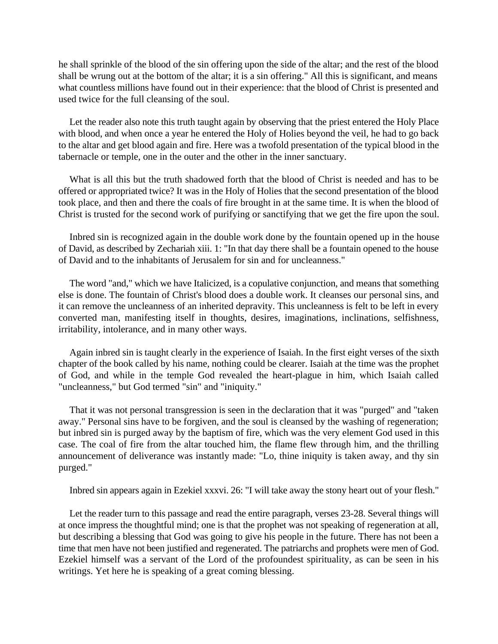he shall sprinkle of the blood of the sin offering upon the side of the altar; and the rest of the blood shall be wrung out at the bottom of the altar; it is a sin offering." All this is significant, and means what countless millions have found out in their experience: that the blood of Christ is presented and used twice for the full cleansing of the soul.

Let the reader also note this truth taught again by observing that the priest entered the Holy Place with blood, and when once a year he entered the Holy of Holies beyond the veil, he had to go back to the altar and get blood again and fire. Here was a twofold presentation of the typical blood in the tabernacle or temple, one in the outer and the other in the inner sanctuary.

What is all this but the truth shadowed forth that the blood of Christ is needed and has to be offered or appropriated twice? It was in the Holy of Holies that the second presentation of the blood took place, and then and there the coals of fire brought in at the same time. It is when the blood of Christ is trusted for the second work of purifying or sanctifying that we get the fire upon the soul.

Inbred sin is recognized again in the double work done by the fountain opened up in the house of David, as described by Zechariah xiii. 1: "In that day there shall be a fountain opened to the house of David and to the inhabitants of Jerusalem for sin and for uncleanness."

The word "and," which we have Italicized, is a copulative conjunction, and means that something else is done. The fountain of Christ's blood does a double work. It cleanses our personal sins, and it can remove the uncleanness of an inherited depravity. This uncleanness is felt to be left in every converted man, manifesting itself in thoughts, desires, imaginations, inclinations, selfishness, irritability, intolerance, and in many other ways.

Again inbred sin is taught clearly in the experience of Isaiah. In the first eight verses of the sixth chapter of the book called by his name, nothing could be clearer. Isaiah at the time was the prophet of God, and while in the temple God revealed the heart-plague in him, which Isaiah called "uncleanness," but God termed "sin" and "iniquity."

That it was not personal transgression is seen in the declaration that it was "purged" and "taken away." Personal sins have to be forgiven, and the soul is cleansed by the washing of regeneration; but inbred sin is purged away by the baptism of fire, which was the very element God used in this case. The coal of fire from the altar touched him, the flame flew through him, and the thrilling announcement of deliverance was instantly made: "Lo, thine iniquity is taken away, and thy sin purged."

Inbred sin appears again in Ezekiel xxxvi. 26: "I will take away the stony heart out of your flesh."

Let the reader turn to this passage and read the entire paragraph, verses 23-28. Several things will at once impress the thoughtful mind; one is that the prophet was not speaking of regeneration at all, but describing a blessing that God was going to give his people in the future. There has not been a time that men have not been justified and regenerated. The patriarchs and prophets were men of God. Ezekiel himself was a servant of the Lord of the profoundest spirituality, as can be seen in his writings. Yet here he is speaking of a great coming blessing.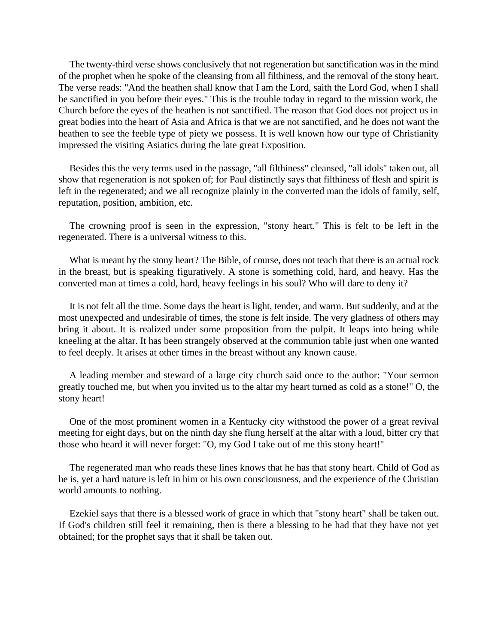The twenty-third verse shows conclusively that not regeneration but sanctification was in the mind of the prophet when he spoke of the cleansing from all filthiness, and the removal of the stony heart. The verse reads: "And the heathen shall know that I am the Lord, saith the Lord God, when I shall be sanctified in you before their eyes." This is the trouble today in regard to the mission work, the Church before the eyes of the heathen is not sanctified. The reason that God does not project us in great bodies into the heart of Asia and Africa is that we are not sanctified, and he does not want the heathen to see the feeble type of piety we possess. It is well known how our type of Christianity impressed the visiting Asiatics during the late great Exposition.

Besides this the very terms used in the passage, "all filthiness" cleansed, "all idols" taken out, all show that regeneration is not spoken of; for Paul distinctly says that filthiness of flesh and spirit is left in the regenerated; and we all recognize plainly in the converted man the idols of family, self, reputation, position, ambition, etc.

The crowning proof is seen in the expression, "stony heart." This is felt to be left in the regenerated. There is a universal witness to this.

What is meant by the stony heart? The Bible, of course, does not teach that there is an actual rock in the breast, but is speaking figuratively. A stone is something cold, hard, and heavy. Has the converted man at times a cold, hard, heavy feelings in his soul? Who will dare to deny it?

It is not felt all the time. Some days the heart is light, tender, and warm. But suddenly, and at the most unexpected and undesirable of times, the stone is felt inside. The very gladness of others may bring it about. It is realized under some proposition from the pulpit. It leaps into being while kneeling at the altar. It has been strangely observed at the communion table just when one wanted to feel deeply. It arises at other times in the breast without any known cause.

A leading member and steward of a large city church said once to the author: "Your sermon greatly touched me, but when you invited us to the altar my heart turned as cold as a stone!" O, the stony heart!

One of the most prominent women in a Kentucky city withstood the power of a great revival meeting for eight days, but on the ninth day she flung herself at the altar with a loud, bitter cry that those who heard it will never forget: "O, my God I take out of me this stony heart!"

The regenerated man who reads these lines knows that he has that stony heart. Child of God as he is, yet a hard nature is left in him or his own consciousness, and the experience of the Christian world amounts to nothing.

Ezekiel says that there is a blessed work of grace in which that "stony heart" shall be taken out. If God's children still feel it remaining, then is there a blessing to be had that they have not yet obtained; for the prophet says that it shall be taken out.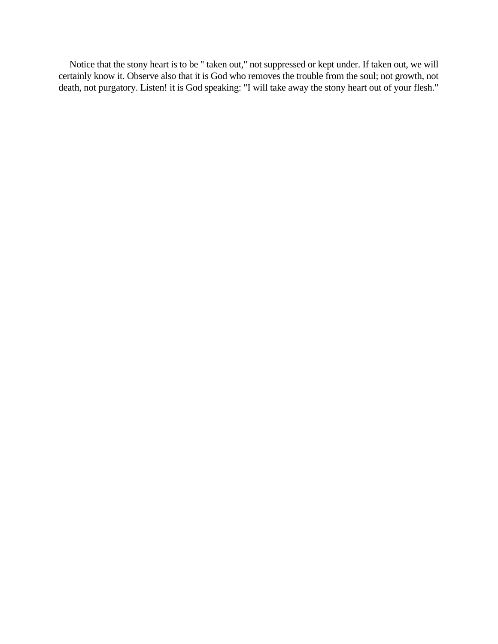Notice that the stony heart is to be " taken out," not suppressed or kept under. If taken out, we will certainly know it. Observe also that it is God who removes the trouble from the soul; not growth, not death, not purgatory. Listen! it is God speaking: "I will take away the stony heart out of your flesh."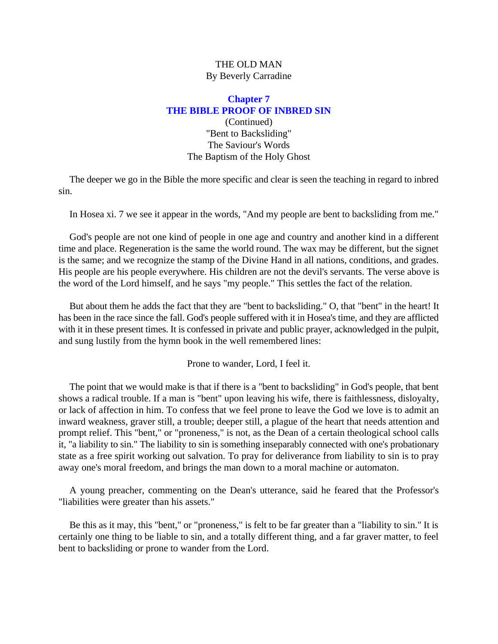# **Chapter 7 THE BIBLE PROOF OF INBRED SIN**

# (Continued) "Bent to Backsliding" The Saviour's Words The Baptism of the Holy Ghost

<span id="page-27-0"></span>The deeper we go in the Bible the more specific and clear is seen the teaching in regard to inbred sin.

In Hosea xi. 7 we see it appear in the words, "And my people are bent to backsliding from me."

God's people are not one kind of people in one age and country and another kind in a different time and place. Regeneration is the same the world round. The wax may be different, but the signet is the same; and we recognize the stamp of the Divine Hand in all nations, conditions, and grades. His people are his people everywhere. His children are not the devil's servants. The verse above is the word of the Lord himself, and he says "my people." This settles the fact of the relation.

But about them he adds the fact that they are "bent to backsliding." O, that "bent" in the heart! It has been in the race since the fall. God's people suffered with it in Hosea's time, and they are afflicted with it in these present times. It is confessed in private and public prayer, acknowledged in the pulpit, and sung lustily from the hymn book in the well remembered lines:

Prone to wander, Lord, I feel it.

The point that we would make is that if there is a "bent to backsliding" in God's people, that bent shows a radical trouble. If a man is "bent" upon leaving his wife, there is faithlessness, disloyalty, or lack of affection in him. To confess that we feel prone to leave the God we love is to admit an inward weakness, graver still, a trouble; deeper still, a plague of the heart that needs attention and prompt relief. This "bent," or "proneness," is not, as the Dean of a certain theological school calls it, "a liability to sin." The liability to sin is something inseparably connected with one's probationary state as a free spirit working out salvation. To pray for deliverance from liability to sin is to pray away one's moral freedom, and brings the man down to a moral machine or automaton.

A young preacher, commenting on the Dean's utterance, said he feared that the Professor's "liabilities were greater than his assets."

Be this as it may, this "bent," or "proneness," is felt to be far greater than a "liability to sin." It is certainly one thing to be liable to sin, and a totally different thing, and a far graver matter, to feel bent to backsliding or prone to wander from the Lord.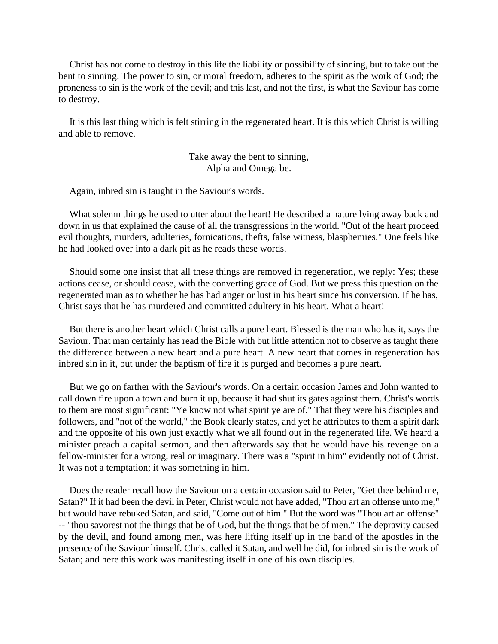Christ has not come to destroy in this life the liability or possibility of sinning, but to take out the bent to sinning. The power to sin, or moral freedom, adheres to the spirit as the work of God; the proneness to sin is the work of the devil; and this last, and not the first, is what the Saviour has come to destroy.

It is this last thing which is felt stirring in the regenerated heart. It is this which Christ is willing and able to remove.

> Take away the bent to sinning, Alpha and Omega be.

Again, inbred sin is taught in the Saviour's words.

What solemn things he used to utter about the heart! He described a nature lying away back and down in us that explained the cause of all the transgressions in the world. "Out of the heart proceed evil thoughts, murders, adulteries, fornications, thefts, false witness, blasphemies." One feels like he had looked over into a dark pit as he reads these words.

Should some one insist that all these things are removed in regeneration, we reply: Yes; these actions cease, or should cease, with the converting grace of God. But we press this question on the regenerated man as to whether he has had anger or lust in his heart since his conversion. If he has, Christ says that he has murdered and committed adultery in his heart. What a heart!

But there is another heart which Christ calls a pure heart. Blessed is the man who has it, says the Saviour. That man certainly has read the Bible with but little attention not to observe as taught there the difference between a new heart and a pure heart. A new heart that comes in regeneration has inbred sin in it, but under the baptism of fire it is purged and becomes a pure heart.

But we go on farther with the Saviour's words. On a certain occasion James and John wanted to call down fire upon a town and burn it up, because it had shut its gates against them. Christ's words to them are most significant: "Ye know not what spirit ye are of." That they were his disciples and followers, and "not of the world," the Book clearly states, and yet he attributes to them a spirit dark and the opposite of his own just exactly what we all found out in the regenerated life. We heard a minister preach a capital sermon, and then afterwards say that he would have his revenge on a fellow-minister for a wrong, real or imaginary. There was a "spirit in him" evidently not of Christ. It was not a temptation; it was something in him.

Does the reader recall how the Saviour on a certain occasion said to Peter, "Get thee behind me, Satan?" If it had been the devil in Peter, Christ would not have added, "Thou art an offense unto me;" but would have rebuked Satan, and said, "Come out of him." But the word was "Thou art an offense" -- "thou savorest not the things that be of God, but the things that be of men." The depravity caused by the devil, and found among men, was here lifting itself up in the band of the apostles in the presence of the Saviour himself. Christ called it Satan, and well he did, for inbred sin is the work of Satan; and here this work was manifesting itself in one of his own disciples.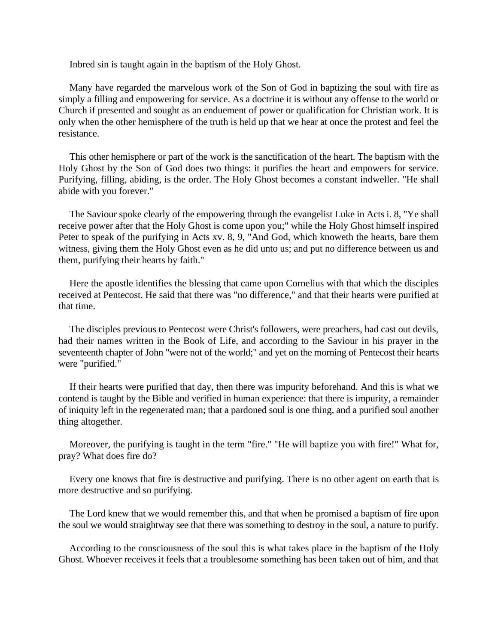Inbred sin is taught again in the baptism of the Holy Ghost.

Many have regarded the marvelous work of the Son of God in baptizing the soul with fire as simply a filling and empowering for service. As a doctrine it is without any offense to the world or Church if presented and sought as an enduement of power or qualification for Christian work. It is only when the other hemisphere of the truth is held up that we hear at once the protest and feel the resistance.

This other hemisphere or part of the work is the sanctification of the heart. The baptism with the Holy Ghost by the Son of God does two things: it purifies the heart and empowers for service. Purifying, filling, abiding, is the order. The Holy Ghost becomes a constant indweller. "He shall abide with you forever."

The Saviour spoke clearly of the empowering through the evangelist Luke in Acts i. 8, "Ye shall receive power after that the Holy Ghost is come upon you;" while the Holy Ghost himself inspired Peter to speak of the purifying in Acts xv. 8, 9, "And God, which knoweth the hearts, bare them witness, giving them the Holy Ghost even as he did unto us; and put no difference between us and them, purifying their hearts by faith."

Here the apostle identifies the blessing that came upon Cornelius with that which the disciples received at Pentecost. He said that there was "no difference," and that their hearts were purified at that time.

The disciples previous to Pentecost were Christ's followers, were preachers, had cast out devils, had their names written in the Book of Life, and according to the Saviour in his prayer in the seventeenth chapter of John "were not of the world;" and yet on the morning of Pentecost their hearts were "purified."

If their hearts were purified that day, then there was impurity beforehand. And this is what we contend is taught by the Bible and verified in human experience: that there is impurity, a remainder of iniquity left in the regenerated man; that a pardoned soul is one thing, and a purified soul another thing altogether.

Moreover, the purifying is taught in the term "fire." "He will baptize you with fire!" What for, pray? What does fire do?

Every one knows that fire is destructive and purifying. There is no other agent on earth that is more destructive and so purifying.

The Lord knew that we would remember this, and that when he promised a baptism of fire upon the soul we would straightway see that there was something to destroy in the soul, a nature to purify.

According to the consciousness of the soul this is what takes place in the baptism of the Holy Ghost. Whoever receives it feels that a troublesome something has been taken out of him, and that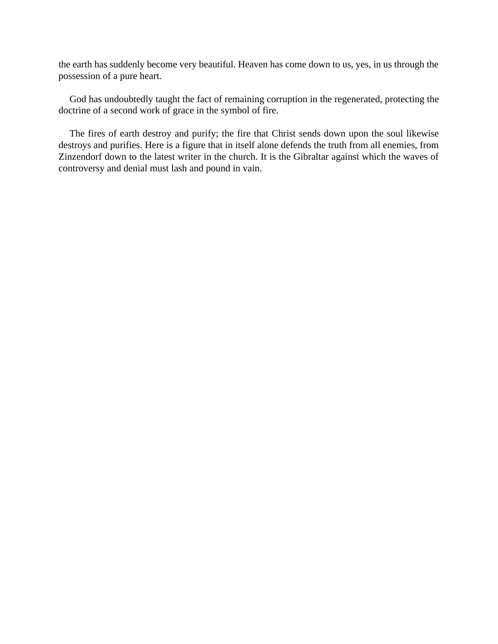the earth has suddenly become very beautiful. Heaven has come down to us, yes, in us through the possession of a pure heart.

God has undoubtedly taught the fact of remaining corruption in the regenerated, protecting the doctrine of a second work of grace in the symbol of fire.

The fires of earth destroy and purify; the fire that Christ sends down upon the soul likewise destroys and purifies. Here is a figure that in itself alone defends the truth from all enemies, from Zinzendorf down to the latest writer in the church. It is the Gibraltar against which the waves of controversy and denial must lash and pound in vain.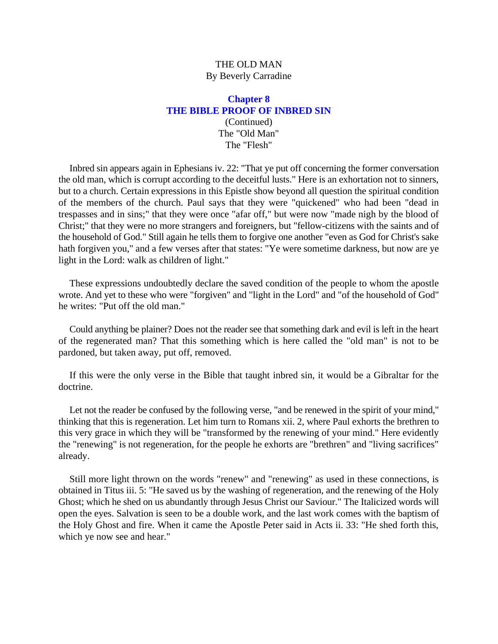#### **Chapter 8 THE BIBLE PROOF OF INBRED SIN** (Continued) The "Old Man" The "Flesh"

<span id="page-31-0"></span>Inbred sin appears again in Ephesians iv. 22: "That ye put off concerning the former conversation the old man, which is corrupt according to the deceitful lusts." Here is an exhortation not to sinners, but to a church. Certain expressions in this Epistle show beyond all question the spiritual condition of the members of the church. Paul says that they were "quickened" who had been "dead in trespasses and in sins;" that they were once "afar off," but were now "made nigh by the blood of Christ;" that they were no more strangers and foreigners, but "fellow-citizens with the saints and of the household of God." Still again he tells them to forgive one another "even as God for Christ's sake hath forgiven you," and a few verses after that states: "Ye were sometime darkness, but now are ye light in the Lord: walk as children of light."

These expressions undoubtedly declare the saved condition of the people to whom the apostle wrote. And yet to these who were "forgiven" and "light in the Lord" and "of the household of God" he writes: "Put off the old man."

Could anything be plainer? Does not the reader see that something dark and evil is left in the heart of the regenerated man? That this something which is here called the "old man" is not to be pardoned, but taken away, put off, removed.

If this were the only verse in the Bible that taught inbred sin, it would be a Gibraltar for the doctrine.

Let not the reader be confused by the following verse, "and be renewed in the spirit of your mind," thinking that this is regeneration. Let him turn to Romans xii. 2, where Paul exhorts the brethren to this very grace in which they will be "transformed by the renewing of your mind." Here evidently the "renewing" is not regeneration, for the people he exhorts are "brethren" and "living sacrifices" already.

Still more light thrown on the words "renew" and "renewing" as used in these connections, is obtained in Titus iii. 5: "He saved us by the washing of regeneration, and the renewing of the Holy Ghost; which he shed on us abundantly through Jesus Christ our Saviour." The Italicized words will open the eyes. Salvation is seen to be a double work, and the last work comes with the baptism of the Holy Ghost and fire. When it came the Apostle Peter said in Acts ii. 33: "He shed forth this, which ye now see and hear."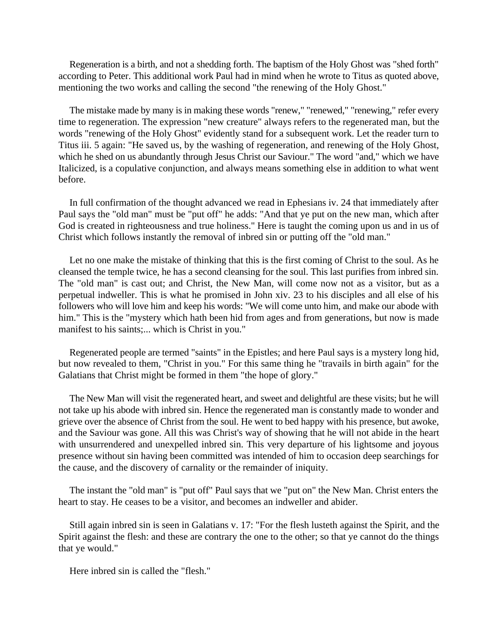Regeneration is a birth, and not a shedding forth. The baptism of the Holy Ghost was "shed forth" according to Peter. This additional work Paul had in mind when he wrote to Titus as quoted above, mentioning the two works and calling the second "the renewing of the Holy Ghost."

The mistake made by many is in making these words "renew," "renewed," "renewing," refer every time to regeneration. The expression "new creature" always refers to the regenerated man, but the words "renewing of the Holy Ghost" evidently stand for a subsequent work. Let the reader turn to Titus iii. 5 again: "He saved us, by the washing of regeneration, and renewing of the Holy Ghost, which he shed on us abundantly through Jesus Christ our Saviour." The word "and," which we have Italicized, is a copulative conjunction, and always means something else in addition to what went before.

In full confirmation of the thought advanced we read in Ephesians iv. 24 that immediately after Paul says the "old man" must be "put off" he adds: "And that ye put on the new man, which after God is created in righteousness and true holiness." Here is taught the coming upon us and in us of Christ which follows instantly the removal of inbred sin or putting off the "old man."

Let no one make the mistake of thinking that this is the first coming of Christ to the soul. As he cleansed the temple twice, he has a second cleansing for the soul. This last purifies from inbred sin. The "old man" is cast out; and Christ, the New Man, will come now not as a visitor, but as a perpetual indweller. This is what he promised in John xiv. 23 to his disciples and all else of his followers who will love him and keep his words: "We will come unto him, and make our abode with him." This is the "mystery which hath been hid from ages and from generations, but now is made manifest to his saints;... which is Christ in you."

Regenerated people are termed "saints" in the Epistles; and here Paul says is a mystery long hid, but now revealed to them, "Christ in you." For this same thing he "travails in birth again" for the Galatians that Christ might be formed in them "the hope of glory."

The New Man will visit the regenerated heart, and sweet and delightful are these visits; but he will not take up his abode with inbred sin. Hence the regenerated man is constantly made to wonder and grieve over the absence of Christ from the soul. He went to bed happy with his presence, but awoke, and the Saviour was gone. All this was Christ's way of showing that he will not abide in the heart with unsurrendered and unexpelled inbred sin. This very departure of his lightsome and joyous presence without sin having been committed was intended of him to occasion deep searchings for the cause, and the discovery of carnality or the remainder of iniquity.

The instant the "old man" is "put off" Paul says that we "put on" the New Man. Christ enters the heart to stay. He ceases to be a visitor, and becomes an indweller and abider.

Still again inbred sin is seen in Galatians v. 17: "For the flesh lusteth against the Spirit, and the Spirit against the flesh: and these are contrary the one to the other; so that ye cannot do the things that ye would."

Here inbred sin is called the "flesh."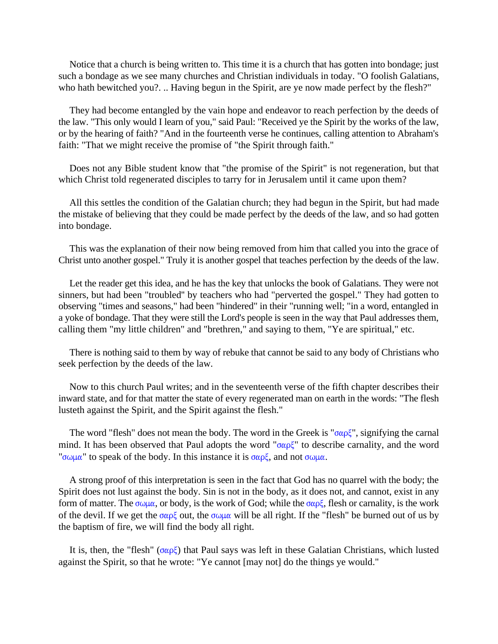Notice that a church is being written to. This time it is a church that has gotten into bondage; just such a bondage as we see many churches and Christian individuals in today. "O foolish Galatians, who hath bewitched you?. .. Having begun in the Spirit, are ye now made perfect by the flesh?"

They had become entangled by the vain hope and endeavor to reach perfection by the deeds of the law. "This only would I learn of you," said Paul: "Received ye the Spirit by the works of the law, or by the hearing of faith? "And in the fourteenth verse he continues, calling attention to Abraham's faith: "That we might receive the promise of "the Spirit through faith."

Does not any Bible student know that "the promise of the Spirit" is not regeneration, but that which Christ told regenerated disciples to tarry for in Jerusalem until it came upon them?

All this settles the condition of the Galatian church; they had begun in the Spirit, but had made the mistake of believing that they could be made perfect by the deeds of the law, and so had gotten into bondage.

This was the explanation of their now being removed from him that called you into the grace of Christ unto another gospel." Truly it is another gospel that teaches perfection by the deeds of the law.

Let the reader get this idea, and he has the key that unlocks the book of Galatians. They were not sinners, but had been "troubled'' by teachers who had "perverted the gospel." They had gotten to observing "times and seasons," had been "hindered" in their "running well; "in a word, entangled in a yoke of bondage. That they were still the Lord's people is seen in the way that Paul addresses them, calling them "my little children" and "brethren," and saying to them, "Ye are spiritual," etc.

There is nothing said to them by way of rebuke that cannot be said to any body of Christians who seek perfection by the deeds of the law.

Now to this church Paul writes; and in the seventeenth verse of the fifth chapter describes their inward state, and for that matter the state of every regenerated man on earth in the words: "The flesh lusteth against the Spirit, and the Spirit against the flesh."

The word "flesh" does not mean the body. The word in the Greek is " $\sigma \alpha \rho \xi$ ", signifying the carnal mind. It has been observed that Paul adopts the word " $\sigma \alpha \rho \zeta$ " to describe carnality, and the word " $\sigma \omega \mu \alpha$ " to speak of the body. In this instance it is  $\sigma \alpha \rho \xi$ , and not  $\sigma \omega \mu \alpha$ .

A strong proof of this interpretation is seen in the fact that God has no quarrel with the body; the Spirit does not lust against the body. Sin is not in the body, as it does not, and cannot, exist in any form of matter. The  $\sigma\omega\mu\alpha$ , or body, is the work of God; while the  $\sigma\alpha\rho\xi$ , flesh or carnality, is the work of the devil. If we get the  $\sigma \alpha \beta \zeta$  out, the  $\sigma \omega \mu \alpha$  will be all right. If the "flesh" be burned out of us by the baptism of fire, we will find the body all right.

It is, then, the "flesh" ( $\sigma \alpha \rho \xi$ ) that Paul says was left in these Galatian Christians, which lusted against the Spirit, so that he wrote: "Ye cannot [may not] do the things ye would."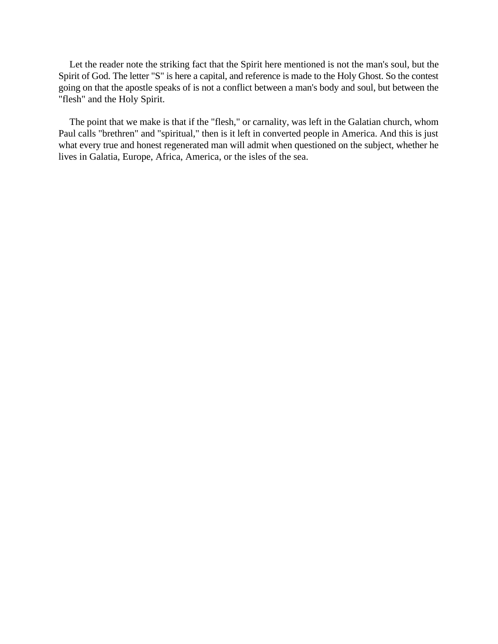Let the reader note the striking fact that the Spirit here mentioned is not the man's soul, but the Spirit of God. The letter "S" is here a capital, and reference is made to the Holy Ghost. So the contest going on that the apostle speaks of is not a conflict between a man's body and soul, but between the "flesh" and the Holy Spirit.

The point that we make is that if the "flesh," or carnality, was left in the Galatian church, whom Paul calls "brethren" and "spiritual," then is it left in converted people in America. And this is just what every true and honest regenerated man will admit when questioned on the subject, whether he lives in Galatia, Europe, Africa, America, or the isles of the sea.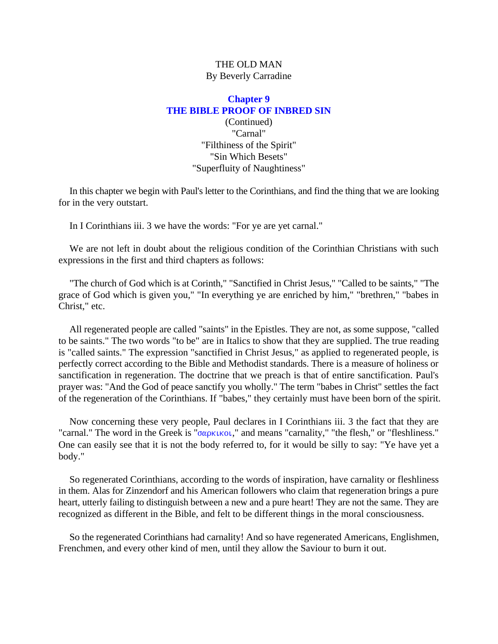# <span id="page-35-0"></span>**Chapter 9 THE BIBLE PROOF OF INBRED SIN** (Continued) "Carnal" "Filthiness of the Spirit" "Sin Which Besets" "Superfluity of Naughtiness"

In this chapter we begin with Paul's letter to the Corinthians, and find the thing that we are looking for in the very outstart.

In I Corinthians iii. 3 we have the words: "For ye are yet carnal."

We are not left in doubt about the religious condition of the Corinthian Christians with such expressions in the first and third chapters as follows:

"The church of God which is at Corinth," "Sanctified in Christ Jesus," "Called to be saints," "The grace of God which is given you," "In everything ye are enriched by him," "brethren," "babes in Christ," etc.

All regenerated people are called "saints" in the Epistles. They are not, as some suppose, "called to be saints." The two words "to be" are in Italics to show that they are supplied. The true reading is "called saints." The expression "sanctified in Christ Jesus," as applied to regenerated people, is perfectly correct according to the Bible and Methodist standards. There is a measure of holiness or sanctification in regeneration. The doctrine that we preach is that of entire sanctification. Paul's prayer was: "And the God of peace sanctify you wholly." The term "babes in Christ" settles the fact of the regeneration of the Corinthians. If "babes," they certainly must have been born of the spirit.

Now concerning these very people, Paul declares in I Corinthians iii. 3 the fact that they are "carnal." The word in the Greek is " $\sigma \alpha \rho \kappa \kappa \sigma \iota$ ," and means "carnality," "the flesh," or "fleshliness." One can easily see that it is not the body referred to, for it would be silly to say: "Ye have yet a body."

So regenerated Corinthians, according to the words of inspiration, have carnality or fleshliness in them. Alas for Zinzendorf and his American followers who claim that regeneration brings a pure heart, utterly failing to distinguish between a new and a pure heart! They are not the same. They are recognized as different in the Bible, and felt to be different things in the moral consciousness.

So the regenerated Corinthians had carnality! And so have regenerated Americans, Englishmen, Frenchmen, and every other kind of men, until they allow the Saviour to burn it out.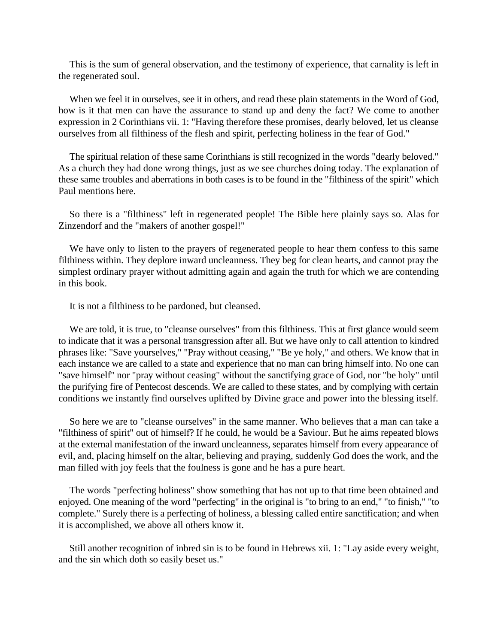This is the sum of general observation, and the testimony of experience, that carnality is left in the regenerated soul.

When we feel it in ourselves, see it in others, and read these plain statements in the Word of God, how is it that men can have the assurance to stand up and deny the fact? We come to another expression in 2 Corinthians vii. 1: "Having therefore these promises, dearly beloved, let us cleanse ourselves from all filthiness of the flesh and spirit, perfecting holiness in the fear of God."

The spiritual relation of these same Corinthians is still recognized in the words "dearly beloved." As a church they had done wrong things, just as we see churches doing today. The explanation of these same troubles and aberrations in both cases is to be found in the "filthiness of the spirit" which Paul mentions here.

So there is a "filthiness" left in regenerated people! The Bible here plainly says so. Alas for Zinzendorf and the "makers of another gospel!"

We have only to listen to the prayers of regenerated people to hear them confess to this same filthiness within. They deplore inward uncleanness. They beg for clean hearts, and cannot pray the simplest ordinary prayer without admitting again and again the truth for which we are contending in this book.

It is not a filthiness to be pardoned, but cleansed.

We are told, it is true, to "cleanse ourselves" from this filthiness. This at first glance would seem to indicate that it was a personal transgression after all. But we have only to call attention to kindred phrases like: "Save yourselves," "Pray without ceasing," "Be ye holy," and others. We know that in each instance we are called to a state and experience that no man can bring himself into. No one can "save himself" nor "pray without ceasing" without the sanctifying grace of God, nor "be holy" until the purifying fire of Pentecost descends. We are called to these states, and by complying with certain conditions we instantly find ourselves uplifted by Divine grace and power into the blessing itself.

So here we are to "cleanse ourselves" in the same manner. Who believes that a man can take a "filthiness of spirit" out of himself? If he could, he would be a Saviour. But he aims repeated blows at the external manifestation of the inward uncleanness, separates himself from every appearance of evil, and, placing himself on the altar, believing and praying, suddenly God does the work, and the man filled with joy feels that the foulness is gone and he has a pure heart.

The words "perfecting holiness" show something that has not up to that time been obtained and enjoyed. One meaning of the word "perfecting" in the original is "to bring to an end," "to finish," "to complete." Surely there is a perfecting of holiness, a blessing called entire sanctification; and when it is accomplished, we above all others know it.

Still another recognition of inbred sin is to be found in Hebrews xii. 1: "Lay aside every weight, and the sin which doth so easily beset us."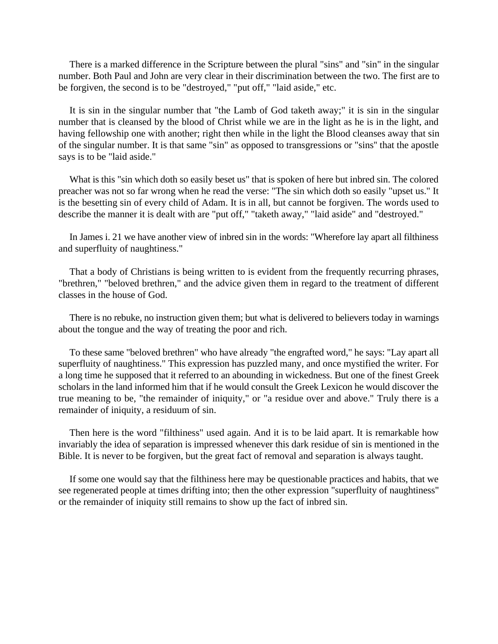There is a marked difference in the Scripture between the plural "sins" and "sin" in the singular number. Both Paul and John are very clear in their discrimination between the two. The first are to be forgiven, the second is to be "destroyed," "put off," "laid aside," etc.

It is sin in the singular number that "the Lamb of God taketh away;" it is sin in the singular number that is cleansed by the blood of Christ while we are in the light as he is in the light, and having fellowship one with another; right then while in the light the Blood cleanses away that sin of the singular number. It is that same "sin" as opposed to transgressions or "sins'' that the apostle says is to be "laid aside."

What is this "sin which doth so easily beset us" that is spoken of here but inbred sin. The colored preacher was not so far wrong when he read the verse: "The sin which doth so easily "upset us." It is the besetting sin of every child of Adam. It is in all, but cannot be forgiven. The words used to describe the manner it is dealt with are "put off," "taketh away," "laid aside" and "destroyed."

In James i. 21 we have another view of inbred sin in the words: "Wherefore lay apart all filthiness and superfluity of naughtiness."

That a body of Christians is being written to is evident from the frequently recurring phrases, "brethren," "beloved brethren," and the advice given them in regard to the treatment of different classes in the house of God.

There is no rebuke, no instruction given them; but what is delivered to believers today in warnings about the tongue and the way of treating the poor and rich.

To these same "beloved brethren" who have already "the engrafted word," he says: "Lay apart all superfluity of naughtiness." This expression has puzzled many, and once mystified the writer. For a long time he supposed that it referred to an abounding in wickedness. But one of the finest Greek scholars in the land informed him that if he would consult the Greek Lexicon he would discover the true meaning to be, "the remainder of iniquity," or "a residue over and above." Truly there is a remainder of iniquity, a residuum of sin.

Then here is the word "filthiness" used again. And it is to be laid apart. It is remarkable how invariably the idea of separation is impressed whenever this dark residue of sin is mentioned in the Bible. It is never to be forgiven, but the great fact of removal and separation is always taught.

If some one would say that the filthiness here may be questionable practices and habits, that we see regenerated people at times drifting into; then the other expression "superfluity of naughtiness" or the remainder of iniquity still remains to show up the fact of inbred sin.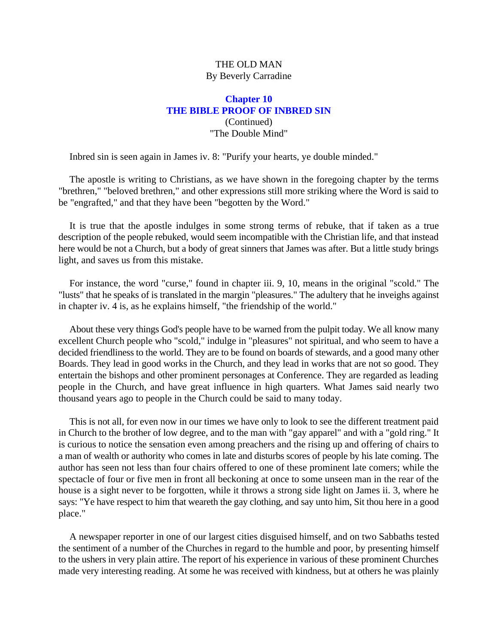# THE OLD MAN By Beverly Carradine

# **Chapter 10 THE BIBLE PROOF OF INBRED SIN** (Continued) "The Double Mind"

Inbred sin is seen again in James iv. 8: "Purify your hearts, ye double minded."

The apostle is writing to Christians, as we have shown in the foregoing chapter by the terms "brethren," "beloved brethren," and other expressions still more striking where the Word is said to be "engrafted," and that they have been "begotten by the Word."

It is true that the apostle indulges in some strong terms of rebuke, that if taken as a true description of the people rebuked, would seem incompatible with the Christian life, and that instead here would be not a Church, but a body of great sinners that James was after. But a little study brings light, and saves us from this mistake.

For instance, the word "curse," found in chapter iii. 9, 10, means in the original "scold." The "lusts" that he speaks of is translated in the margin "pleasures." The adultery that he inveighs against in chapter iv. 4 is, as he explains himself, "the friendship of the world."

About these very things God's people have to be warned from the pulpit today. We all know many excellent Church people who "scold," indulge in "pleasures" not spiritual, and who seem to have a decided friendliness to the world. They are to be found on boards of stewards, and a good many other Boards. They lead in good works in the Church, and they lead in works that are not so good. They entertain the bishops and other prominent personages at Conference. They are regarded as leading people in the Church, and have great influence in high quarters. What James said nearly two thousand years ago to people in the Church could be said to many today.

This is not all, for even now in our times we have only to look to see the different treatment paid in Church to the brother of low degree, and to the man with "gay apparel" and with a "gold ring." It is curious to notice the sensation even among preachers and the rising up and offering of chairs to a man of wealth or authority who comes in late and disturbs scores of people by his late coming. The author has seen not less than four chairs offered to one of these prominent late comers; while the spectacle of four or five men in front all beckoning at once to some unseen man in the rear of the house is a sight never to be forgotten, while it throws a strong side light on James ii. 3, where he says: "Ye have respect to him that weareth the gay clothing, and say unto him, Sit thou here in a good place."

A newspaper reporter in one of our largest cities disguised himself, and on two Sabbaths tested the sentiment of a number of the Churches in regard to the humble and poor, by presenting himself to the ushers in very plain attire. The report of his experience in various of these prominent Churches made very interesting reading. At some he was received with kindness, but at others he was plainly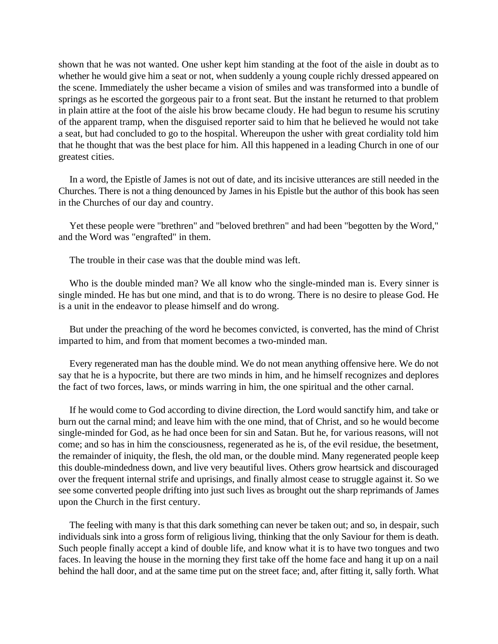shown that he was not wanted. One usher kept him standing at the foot of the aisle in doubt as to whether he would give him a seat or not, when suddenly a young couple richly dressed appeared on the scene. Immediately the usher became a vision of smiles and was transformed into a bundle of springs as he escorted the gorgeous pair to a front seat. But the instant he returned to that problem in plain attire at the foot of the aisle his brow became cloudy. He had begun to resume his scrutiny of the apparent tramp, when the disguised reporter said to him that he believed he would not take a seat, but had concluded to go to the hospital. Whereupon the usher with great cordiality told him that he thought that was the best place for him. All this happened in a leading Church in one of our greatest cities.

In a word, the Epistle of James is not out of date, and its incisive utterances are still needed in the Churches. There is not a thing denounced by James in his Epistle but the author of this book has seen in the Churches of our day and country.

Yet these people were "brethren" and "beloved brethren" and had been "begotten by the Word," and the Word was "engrafted" in them.

The trouble in their case was that the double mind was left.

Who is the double minded man? We all know who the single-minded man is. Every sinner is single minded. He has but one mind, and that is to do wrong. There is no desire to please God. He is a unit in the endeavor to please himself and do wrong.

But under the preaching of the word he becomes convicted, is converted, has the mind of Christ imparted to him, and from that moment becomes a two-minded man.

Every regenerated man has the double mind. We do not mean anything offensive here. We do not say that he is a hypocrite, but there are two minds in him, and he himself recognizes and deplores the fact of two forces, laws, or minds warring in him, the one spiritual and the other carnal.

If he would come to God according to divine direction, the Lord would sanctify him, and take or burn out the carnal mind; and leave him with the one mind, that of Christ, and so he would become single-minded for God, as he had once been for sin and Satan. But he, for various reasons, will not come; and so has in him the consciousness, regenerated as he is, of the evil residue, the besetment, the remainder of iniquity, the flesh, the old man, or the double mind. Many regenerated people keep this double-mindedness down, and live very beautiful lives. Others grow heartsick and discouraged over the frequent internal strife and uprisings, and finally almost cease to struggle against it. So we see some converted people drifting into just such lives as brought out the sharp reprimands of James upon the Church in the first century.

The feeling with many is that this dark something can never be taken out; and so, in despair, such individuals sink into a gross form of religious living, thinking that the only Saviour for them is death. Such people finally accept a kind of double life, and know what it is to have two tongues and two faces. In leaving the house in the morning they first take off the home face and hang it up on a nail behind the hall door, and at the same time put on the street face; and, after fitting it, sally forth. What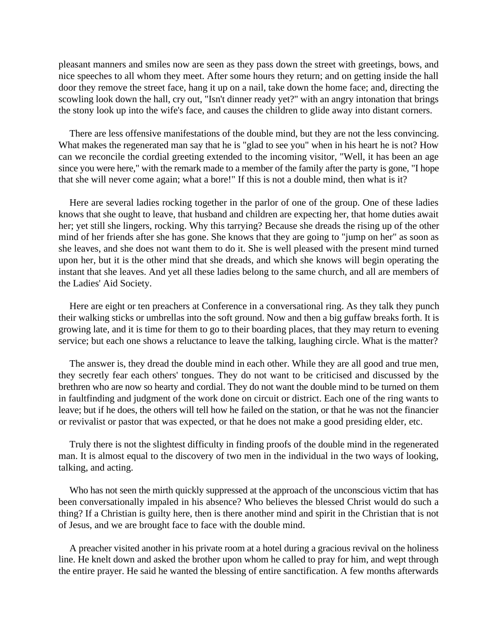pleasant manners and smiles now are seen as they pass down the street with greetings, bows, and nice speeches to all whom they meet. After some hours they return; and on getting inside the hall door they remove the street face, hang it up on a nail, take down the home face; and, directing the scowling look down the hall, cry out, "Isn't dinner ready yet?" with an angry intonation that brings the stony look up into the wife's face, and causes the children to glide away into distant corners.

There are less offensive manifestations of the double mind, but they are not the less convincing. What makes the regenerated man say that he is "glad to see you" when in his heart he is not? How can we reconcile the cordial greeting extended to the incoming visitor, "Well, it has been an age since you were here," with the remark made to a member of the family after the party is gone, "I hope that she will never come again; what a bore!" If this is not a double mind, then what is it?

Here are several ladies rocking together in the parlor of one of the group. One of these ladies knows that she ought to leave, that husband and children are expecting her, that home duties await her; yet still she lingers, rocking. Why this tarrying? Because she dreads the rising up of the other mind of her friends after she has gone. She knows that they are going to "jump on her" as soon as she leaves, and she does not want them to do it. She is well pleased with the present mind turned upon her, but it is the other mind that she dreads, and which she knows will begin operating the instant that she leaves. And yet all these ladies belong to the same church, and all are members of the Ladies' Aid Society.

Here are eight or ten preachers at Conference in a conversational ring. As they talk they punch their walking sticks or umbrellas into the soft ground. Now and then a big guffaw breaks forth. It is growing late, and it is time for them to go to their boarding places, that they may return to evening service; but each one shows a reluctance to leave the talking, laughing circle. What is the matter?

The answer is, they dread the double mind in each other. While they are all good and true men, they secretly fear each others' tongues. They do not want to be criticised and discussed by the brethren who are now so hearty and cordial. They do not want the double mind to be turned on them in faultfinding and judgment of the work done on circuit or district. Each one of the ring wants to leave; but if he does, the others will tell how he failed on the station, or that he was not the financier or revivalist or pastor that was expected, or that he does not make a good presiding elder, etc.

Truly there is not the slightest difficulty in finding proofs of the double mind in the regenerated man. It is almost equal to the discovery of two men in the individual in the two ways of looking, talking, and acting.

Who has not seen the mirth quickly suppressed at the approach of the unconscious victim that has been conversationally impaled in his absence? Who believes the blessed Christ would do such a thing? If a Christian is guilty here, then is there another mind and spirit in the Christian that is not of Jesus, and we are brought face to face with the double mind.

A preacher visited another in his private room at a hotel during a gracious revival on the holiness line. He knelt down and asked the brother upon whom he called to pray for him, and wept through the entire prayer. He said he wanted the blessing of entire sanctification. A few months afterwards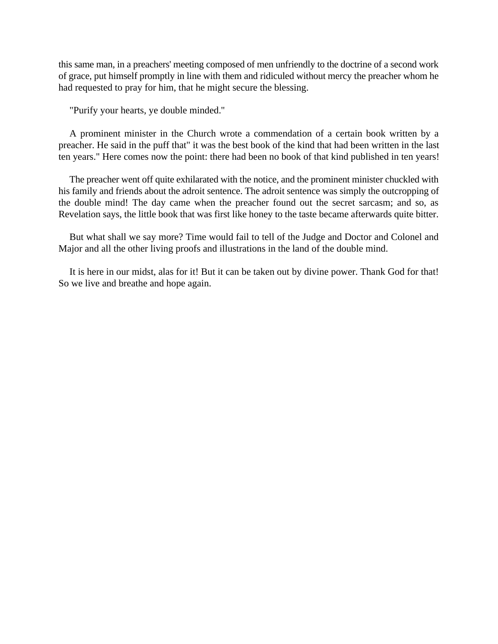this same man, in a preachers' meeting composed of men unfriendly to the doctrine of a second work of grace, put himself promptly in line with them and ridiculed without mercy the preacher whom he had requested to pray for him, that he might secure the blessing.

"Purify your hearts, ye double minded.''

A prominent minister in the Church wrote a commendation of a certain book written by a preacher. He said in the puff that" it was the best book of the kind that had been written in the last ten years." Here comes now the point: there had been no book of that kind published in ten years!

The preacher went off quite exhilarated with the notice, and the prominent minister chuckled with his family and friends about the adroit sentence. The adroit sentence was simply the outcropping of the double mind! The day came when the preacher found out the secret sarcasm; and so, as Revelation says, the little book that was first like honey to the taste became afterwards quite bitter.

But what shall we say more? Time would fail to tell of the Judge and Doctor and Colonel and Major and all the other living proofs and illustrations in the land of the double mind.

It is here in our midst, alas for it! But it can be taken out by divine power. Thank God for that! So we live and breathe and hope again.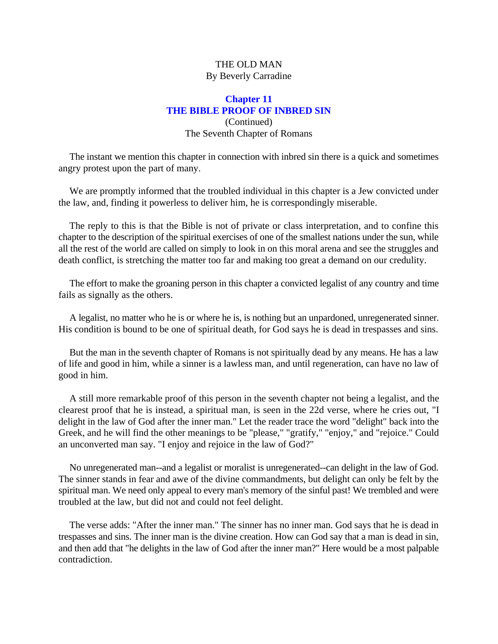# THE OLD MAN By Beverly Carradine

# **Chapter 11 THE BIBLE PROOF OF INBRED SIN** (Continued) The Seventh Chapter of Romans

The instant we mention this chapter in connection with inbred sin there is a quick and sometimes angry protest upon the part of many.

We are promptly informed that the troubled individual in this chapter is a Jew convicted under the law, and, finding it powerless to deliver him, he is correspondingly miserable.

The reply to this is that the Bible is not of private or class interpretation, and to confine this chapter to the description of the spiritual exercises of one of the smallest nations under the sun, while all the rest of the world are called on simply to look in on this moral arena and see the struggles and death conflict, is stretching the matter too far and making too great a demand on our credulity.

The effort to make the groaning person in this chapter a convicted legalist of any country and time fails as signally as the others.

A legalist, no matter who he is or where he is, is nothing but an unpardoned, unregenerated sinner. His condition is bound to be one of spiritual death, for God says he is dead in trespasses and sins.

But the man in the seventh chapter of Romans is not spiritually dead by any means. He has a law of life and good in him, while a sinner is a lawless man, and until regeneration, can have no law of good in him.

A still more remarkable proof of this person in the seventh chapter not being a legalist, and the clearest proof that he is instead, a spiritual man, is seen in the 22d verse, where he cries out, "I delight in the law of God after the inner man." Let the reader trace the word "delight" back into the Greek, and he will find the other meanings to be "please," "gratify," "enjoy," and "rejoice." Could an unconverted man say. "I enjoy and rejoice in the law of God?"

No unregenerated man--and a legalist or moralist is unregenerated--can delight in the law of God. The sinner stands in fear and awe of the divine commandments, but delight can only be felt by the spiritual man. We need only appeal to every man's memory of the sinful past! We trembled and were troubled at the law, but did not and could not feel delight.

The verse adds: "After the inner man." The sinner has no inner man. God says that he is dead in trespasses and sins. The inner man is the divine creation. How can God say that a man is dead in sin, and then add that "he delights in the law of God after the inner man?" Here would be a most palpable contradiction.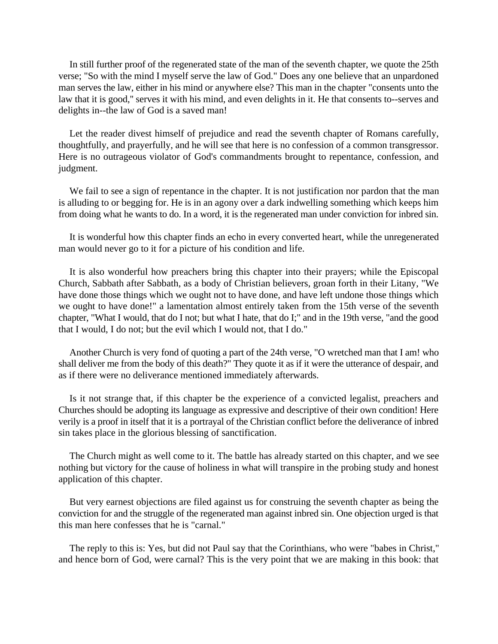In still further proof of the regenerated state of the man of the seventh chapter, we quote the 25th verse; "So with the mind I myself serve the law of God." Does any one believe that an unpardoned man serves the law, either in his mind or anywhere else? This man in the chapter "consents unto the law that it is good," serves it with his mind, and even delights in it. He that consents to--serves and delights in--the law of God is a saved man!

Let the reader divest himself of prejudice and read the seventh chapter of Romans carefully, thoughtfully, and prayerfully, and he will see that here is no confession of a common transgressor. Here is no outrageous violator of God's commandments brought to repentance, confession, and judgment.

We fail to see a sign of repentance in the chapter. It is not justification nor pardon that the man is alluding to or begging for. He is in an agony over a dark indwelling something which keeps him from doing what he wants to do. In a word, it is the regenerated man under conviction for inbred sin.

It is wonderful how this chapter finds an echo in every converted heart, while the unregenerated man would never go to it for a picture of his condition and life.

It is also wonderful how preachers bring this chapter into their prayers; while the Episcopal Church, Sabbath after Sabbath, as a body of Christian believers, groan forth in their Litany, "We have done those things which we ought not to have done, and have left undone those things which we ought to have done!" a lamentation almost entirely taken from the 15th verse of the seventh chapter, "What I would, that do I not; but what I hate, that do I;" and in the 19th verse, "and the good that I would, I do not; but the evil which I would not, that I do."

Another Church is very fond of quoting a part of the 24th verse, "O wretched man that I am! who shall deliver me from the body of this death?" They quote it as if it were the utterance of despair, and as if there were no deliverance mentioned immediately afterwards.

Is it not strange that, if this chapter be the experience of a convicted legalist, preachers and Churches should be adopting its language as expressive and descriptive of their own condition! Here verily is a proof in itself that it is a portrayal of the Christian conflict before the deliverance of inbred sin takes place in the glorious blessing of sanctification.

The Church might as well come to it. The battle has already started on this chapter, and we see nothing but victory for the cause of holiness in what will transpire in the probing study and honest application of this chapter.

But very earnest objections are filed against us for construing the seventh chapter as being the conviction for and the struggle of the regenerated man against inbred sin. One objection urged is that this man here confesses that he is "carnal."

The reply to this is: Yes, but did not Paul say that the Corinthians, who were "babes in Christ," and hence born of God, were carnal? This is the very point that we are making in this book: that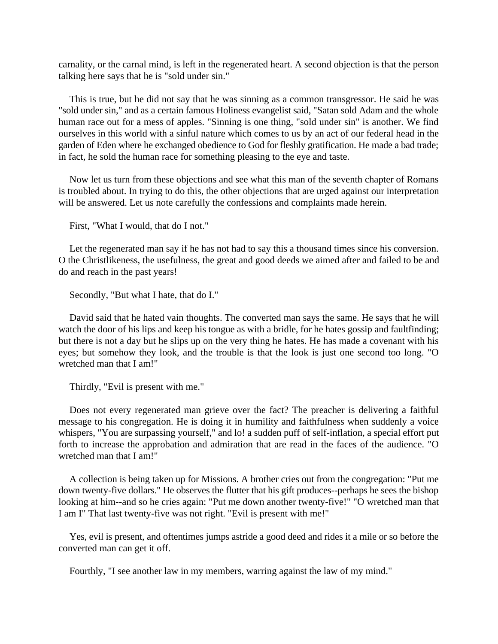carnality, or the carnal mind, is left in the regenerated heart. A second objection is that the person talking here says that he is "sold under sin."

This is true, but he did not say that he was sinning as a common transgressor. He said he was "sold under sin," and as a certain famous Holiness evangelist said, "Satan sold Adam and the whole human race out for a mess of apples. "Sinning is one thing, "sold under sin" is another. We find ourselves in this world with a sinful nature which comes to us by an act of our federal head in the garden of Eden where he exchanged obedience to God for fleshly gratification. He made a bad trade; in fact, he sold the human race for something pleasing to the eye and taste.

Now let us turn from these objections and see what this man of the seventh chapter of Romans is troubled about. In trying to do this, the other objections that are urged against our interpretation will be answered. Let us note carefully the confessions and complaints made herein.

First, "What I would, that do I not."

Let the regenerated man say if he has not had to say this a thousand times since his conversion. O the Christlikeness, the usefulness, the great and good deeds we aimed after and failed to be and do and reach in the past years!

Secondly, "But what I hate, that do I."

David said that he hated vain thoughts. The converted man says the same. He says that he will watch the door of his lips and keep his tongue as with a bridle, for he hates gossip and faultfinding; but there is not a day but he slips up on the very thing he hates. He has made a covenant with his eyes; but somehow they look, and the trouble is that the look is just one second too long. "O wretched man that I am!"

Thirdly, "Evil is present with me."

Does not every regenerated man grieve over the fact? The preacher is delivering a faithful message to his congregation. He is doing it in humility and faithfulness when suddenly a voice whispers, "You are surpassing yourself," and lo! a sudden puff of self-inflation, a special effort put forth to increase the approbation and admiration that are read in the faces of the audience. "O wretched man that I am!"

A collection is being taken up for Missions. A brother cries out from the congregation: "Put me down twenty-five dollars." He observes the flutter that his gift produces--perhaps he sees the bishop looking at him--and so he cries again: "Put me down another twenty-five!" "O wretched man that I am I" That last twenty-five was not right. "Evil is present with me!"

Yes, evil is present, and oftentimes jumps astride a good deed and rides it a mile or so before the converted man can get it off.

Fourthly, "I see another law in my members, warring against the law of my mind."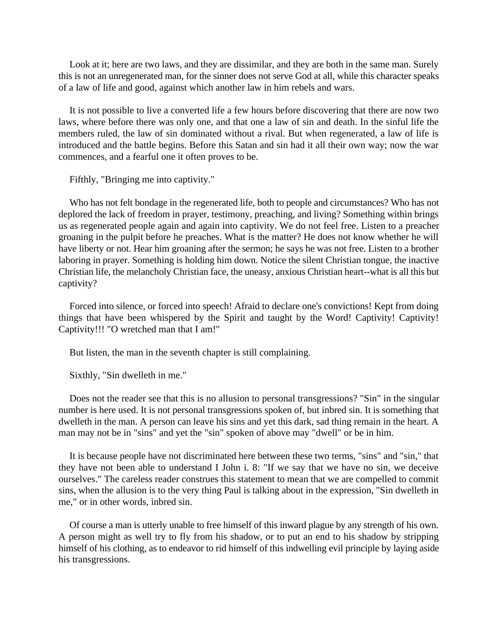Look at it; here are two laws, and they are dissimilar, and they are both in the same man. Surely this is not an unregenerated man, for the sinner does not serve God at all, while this character speaks of a law of life and good, against which another law in him rebels and wars.

It is not possible to live a converted life a few hours before discovering that there are now two laws, where before there was only one, and that one a law of sin and death. In the sinful life the members ruled, the law of sin dominated without a rival. But when regenerated, a law of life is introduced and the battle begins. Before this Satan and sin had it all their own way; now the war commences, and a fearful one it often proves to be.

Fifthly, "Bringing me into captivity."

Who has not felt bondage in the regenerated life, both to people and circumstances? Who has not deplored the lack of freedom in prayer, testimony, preaching, and living? Something within brings us as regenerated people again and again into captivity. We do not feel free. Listen to a preacher groaning in the pulpit before he preaches. What is the matter? He does not know whether he will have liberty or not. Hear him groaning after the sermon; he says he was not free. Listen to a brother laboring in prayer. Something is holding him down. Notice the silent Christian tongue, the inactive Christian life, the melancholy Christian face, the uneasy, anxious Christian heart--what is all this but captivity?

Forced into silence, or forced into speech! Afraid to declare one's convictions! Kept from doing things that have been whispered by the Spirit and taught by the Word! Captivity! Captivity! Captivity!!! "O wretched man that I am!"

But listen, the man in the seventh chapter is still complaining.

Sixthly, "Sin dwelleth in me."

Does not the reader see that this is no allusion to personal transgressions? "Sin" in the singular number is here used. It is not personal transgressions spoken of, but inbred sin. It is something that dwelleth in the man. A person can leave his sins and yet this dark, sad thing remain in the heart. A man may not be in "sins" and yet the "sin" spoken of above may "dwell" or be in him.

It is because people have not discriminated here between these two terms, "sins" and "sin," that they have not been able to understand I John i. 8: "If we say that we have no sin, we deceive ourselves." The careless reader construes this statement to mean that we are compelled to commit sins, when the allusion is to the very thing Paul is talking about in the expression, "Sin dwelleth in me," or in other words, inbred sin.

Of course a man is utterly unable to free himself of this inward plague by any strength of his own. A person might as well try to fly from his shadow, or to put an end to his shadow by stripping himself of his clothing, as to endeavor to rid himself of this indwelling evil principle by laying aside his transgressions.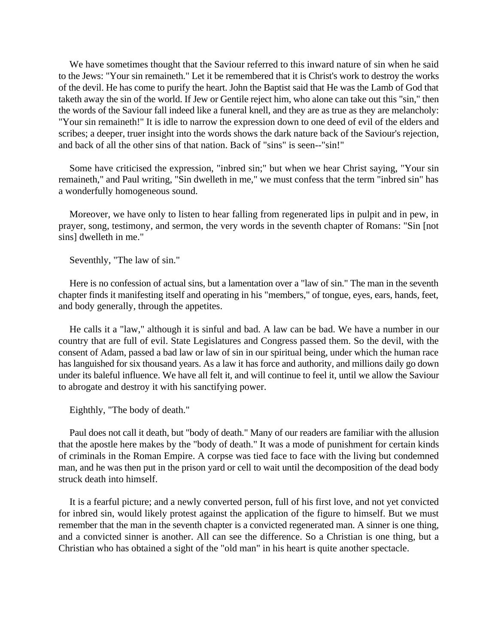We have sometimes thought that the Saviour referred to this inward nature of sin when he said to the Jews: "Your sin remaineth." Let it be remembered that it is Christ's work to destroy the works of the devil. He has come to purify the heart. John the Baptist said that He was the Lamb of God that taketh away the sin of the world. If Jew or Gentile reject him, who alone can take out this "sin," then the words of the Saviour fall indeed like a funeral knell, and they are as true as they are melancholy: "Your sin remaineth!" It is idle to narrow the expression down to one deed of evil of the elders and scribes; a deeper, truer insight into the words shows the dark nature back of the Saviour's rejection, and back of all the other sins of that nation. Back of "sins" is seen--"sin!"

Some have criticised the expression, "inbred sin;" but when we hear Christ saying, "Your sin remaineth," and Paul writing, "Sin dwelleth in me," we must confess that the term "inbred sin" has a wonderfully homogeneous sound.

Moreover, we have only to listen to hear falling from regenerated lips in pulpit and in pew, in prayer, song, testimony, and sermon, the very words in the seventh chapter of Romans: "Sin [not sins] dwelleth in me."

Seventhly, "The law of sin."

Here is no confession of actual sins, but a lamentation over a "law of sin." The man in the seventh chapter finds it manifesting itself and operating in his "members," of tongue, eyes, ears, hands, feet, and body generally, through the appetites.

He calls it a "law," although it is sinful and bad. A law can be bad. We have a number in our country that are full of evil. State Legislatures and Congress passed them. So the devil, with the consent of Adam, passed a bad law or law of sin in our spiritual being, under which the human race has languished for six thousand years. As a law it has force and authority, and millions daily go down under its baleful influence. We have all felt it, and will continue to feel it, until we allow the Saviour to abrogate and destroy it with his sanctifying power.

Eighthly, "The body of death."

Paul does not call it death, but "body of death." Many of our readers are familiar with the allusion that the apostle here makes by the "body of death." It was a mode of punishment for certain kinds of criminals in the Roman Empire. A corpse was tied face to face with the living but condemned man, and he was then put in the prison yard or cell to wait until the decomposition of the dead body struck death into himself.

It is a fearful picture; and a newly converted person, full of his first love, and not yet convicted for inbred sin, would likely protest against the application of the figure to himself. But we must remember that the man in the seventh chapter is a convicted regenerated man. A sinner is one thing, and a convicted sinner is another. All can see the difference. So a Christian is one thing, but a Christian who has obtained a sight of the "old man" in his heart is quite another spectacle.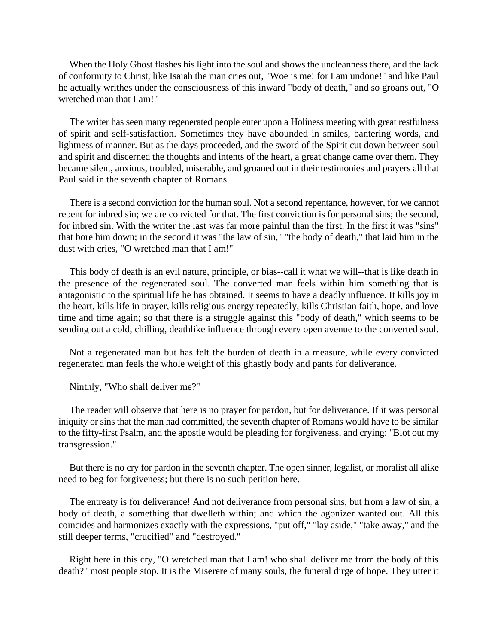When the Holy Ghost flashes his light into the soul and shows the uncleanness there, and the lack of conformity to Christ, like Isaiah the man cries out, "Woe is me! for I am undone!" and like Paul he actually writhes under the consciousness of this inward "body of death," and so groans out, "O wretched man that I am!"

The writer has seen many regenerated people enter upon a Holiness meeting with great restfulness of spirit and self-satisfaction. Sometimes they have abounded in smiles, bantering words, and lightness of manner. But as the days proceeded, and the sword of the Spirit cut down between soul and spirit and discerned the thoughts and intents of the heart, a great change came over them. They became silent, anxious, troubled, miserable, and groaned out in their testimonies and prayers all that Paul said in the seventh chapter of Romans.

There is a second conviction for the human soul. Not a second repentance, however, for we cannot repent for inbred sin; we are convicted for that. The first conviction is for personal sins; the second, for inbred sin. With the writer the last was far more painful than the first. In the first it was "sins" that bore him down; in the second it was "the law of sin," "the body of death," that laid him in the dust with cries, "O wretched man that I am!"

This body of death is an evil nature, principle, or bias--call it what we will--that is like death in the presence of the regenerated soul. The converted man feels within him something that is antagonistic to the spiritual life he has obtained. It seems to have a deadly influence. It kills joy in the heart, kills life in prayer, kills religious energy repeatedly, kills Christian faith, hope, and love time and time again; so that there is a struggle against this "body of death," which seems to be sending out a cold, chilling, deathlike influence through every open avenue to the converted soul.

Not a regenerated man but has felt the burden of death in a measure, while every convicted regenerated man feels the whole weight of this ghastly body and pants for deliverance.

Ninthly, "Who shall deliver me?"

The reader will observe that here is no prayer for pardon, but for deliverance. If it was personal iniquity or sins that the man had committed, the seventh chapter of Romans would have to be similar to the fifty-first Psalm, and the apostle would be pleading for forgiveness, and crying: "Blot out my transgression."

But there is no cry for pardon in the seventh chapter. The open sinner, legalist, or moralist all alike need to beg for forgiveness; but there is no such petition here.

The entreaty is for deliverance! And not deliverance from personal sins, but from a law of sin, a body of death, a something that dwelleth within; and which the agonizer wanted out. All this coincides and harmonizes exactly with the expressions, "put off," "lay aside," "take away," and the still deeper terms, "crucified" and "destroyed."

Right here in this cry, "O wretched man that I am! who shall deliver me from the body of this death?" most people stop. It is the Miserere of many souls, the funeral dirge of hope. They utter it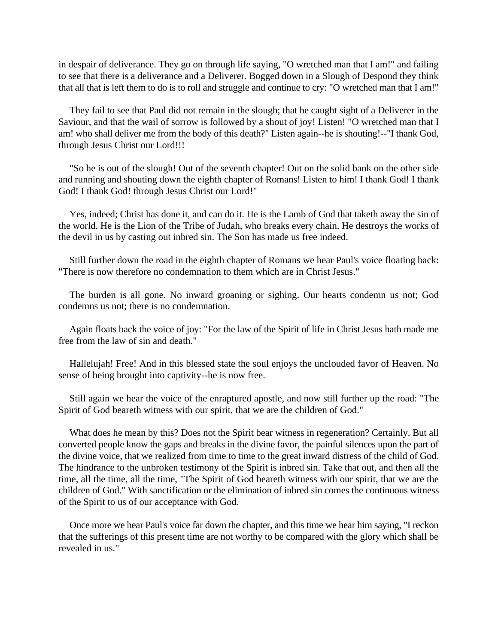in despair of deliverance. They go on through life saying, "O wretched man that I am!" and failing to see that there is a deliverance and a Deliverer. Bogged down in a Slough of Despond they think that all that is left them to do is to roll and struggle and continue to cry: "O wretched man that I am!"

They fail to see that Paul did not remain in the slough; that he caught sight of a Deliverer in the Saviour, and that the wail of sorrow is followed by a shout of joy! Listen! "O wretched man that I am! who shall deliver me from the body of this death?" Listen again--he is shouting!--"I thank God, through Jesus Christ our Lord!!!

"So he is out of the slough! Out of the seventh chapter! Out on the solid bank on the other side and running and shouting down the eighth chapter of Romans! Listen to him! I thank God! I thank God! I thank God! through Jesus Christ our Lord!"

Yes, indeed; Christ has done it, and can do it. He is the Lamb of God that taketh away the sin of the world. He is the Lion of the Tribe of Judah, who breaks every chain. He destroys the works of the devil in us by casting out inbred sin. The Son has made us free indeed.

Still further down the road in the eighth chapter of Romans we hear Paul's voice floating back: "There is now therefore no condemnation to them which are in Christ Jesus."

The burden is all gone. No inward groaning or sighing. Our hearts condemn us not; God condemns us not; there is no condemnation.

Again floats back the voice of joy: "For the law of the Spirit of life in Christ Jesus hath made me free from the law of sin and death."

Hallelujah! Free! And in this blessed state the soul enjoys the unclouded favor of Heaven. No sense of being brought into captivity--he is now free.

Still again we hear the voice of the enraptured apostle, and now still further up the road: "The Spirit of God beareth witness with our spirit, that we are the children of God."

What does he mean by this? Does not the Spirit bear witness in regeneration? Certainly. But all converted people know the gaps and breaks in the divine favor, the painful silences upon the part of the divine voice, that we realized from time to time to the great inward distress of the child of God. The hindrance to the unbroken testimony of the Spirit is inbred sin. Take that out, and then all the time, all the time, all the time, "The Spirit of God beareth witness with our spirit, that we are the children of God." With sanctification or the elimination of inbred sin comes the continuous witness of the Spirit to us of our acceptance with God.

Once more we hear Paul's voice far down the chapter, and this time we hear him saying, "I reckon that the sufferings of this present time are not worthy to be compared with the glory which shall be revealed in us."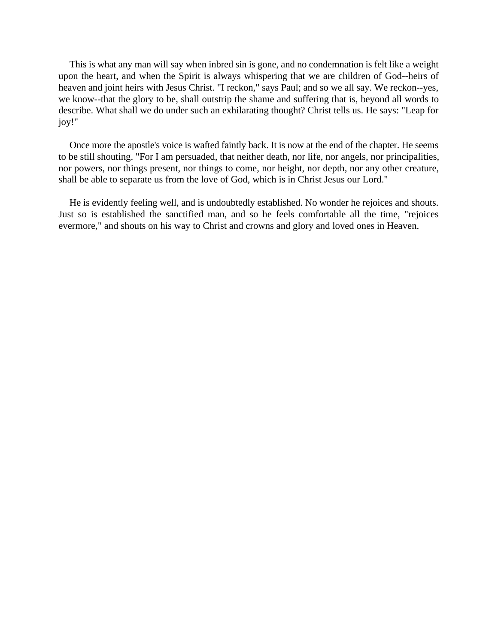This is what any man will say when inbred sin is gone, and no condemnation is felt like a weight upon the heart, and when the Spirit is always whispering that we are children of God--heirs of heaven and joint heirs with Jesus Christ. "I reckon," says Paul; and so we all say. We reckon--yes, we know--that the glory to be, shall outstrip the shame and suffering that is, beyond all words to describe. What shall we do under such an exhilarating thought? Christ tells us. He says: "Leap for joy!"

Once more the apostle's voice is wafted faintly back. It is now at the end of the chapter. He seems to be still shouting. "For I am persuaded, that neither death, nor life, nor angels, nor principalities, nor powers, nor things present, nor things to come, nor height, nor depth, nor any other creature, shall be able to separate us from the love of God, which is in Christ Jesus our Lord."

He is evidently feeling well, and is undoubtedly established. No wonder he rejoices and shouts. Just so is established the sanctified man, and so he feels comfortable all the time, "rejoices evermore," and shouts on his way to Christ and crowns and glory and loved ones in Heaven.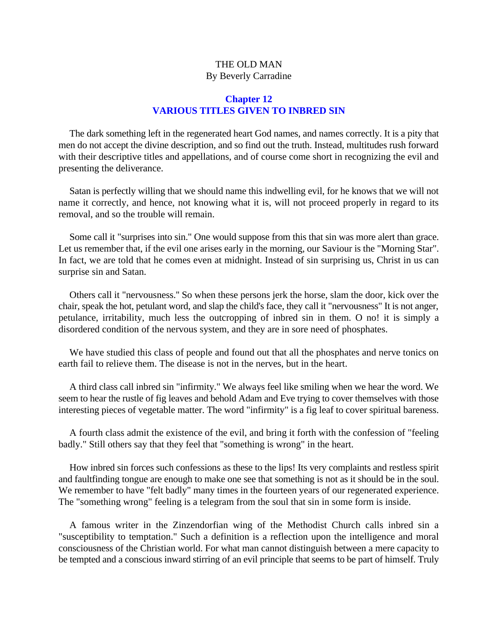# THE OLD MAN By Beverly Carradine

## **Chapter 12 VARIOUS TITLES GIVEN TO INBRED SIN**

The dark something left in the regenerated heart God names, and names correctly. It is a pity that men do not accept the divine description, and so find out the truth. Instead, multitudes rush forward with their descriptive titles and appellations, and of course come short in recognizing the evil and presenting the deliverance.

Satan is perfectly willing that we should name this indwelling evil, for he knows that we will not name it correctly, and hence, not knowing what it is, will not proceed properly in regard to its removal, and so the trouble will remain.

Some call it "surprises into sin." One would suppose from this that sin was more alert than grace. Let us remember that, if the evil one arises early in the morning, our Saviour is the "Morning Star". In fact, we are told that he comes even at midnight. Instead of sin surprising us, Christ in us can surprise sin and Satan.

Others call it "nervousness.'' So when these persons jerk the horse, slam the door, kick over the chair, speak the hot, petulant word, and slap the child's face, they call it "nervousness" It is not anger, petulance, irritability, much less the outcropping of inbred sin in them. O no! it is simply a disordered condition of the nervous system, and they are in sore need of phosphates.

We have studied this class of people and found out that all the phosphates and nerve tonics on earth fail to relieve them. The disease is not in the nerves, but in the heart.

A third class call inbred sin "infirmity." We always feel like smiling when we hear the word. We seem to hear the rustle of fig leaves and behold Adam and Eve trying to cover themselves with those interesting pieces of vegetable matter. The word "infirmity" is a fig leaf to cover spiritual bareness.

A fourth class admit the existence of the evil, and bring it forth with the confession of "feeling badly." Still others say that they feel that "something is wrong" in the heart.

How inbred sin forces such confessions as these to the lips! Its very complaints and restless spirit and faultfinding tongue are enough to make one see that something is not as it should be in the soul. We remember to have "felt badly" many times in the fourteen years of our regenerated experience. The "something wrong" feeling is a telegram from the soul that sin in some form is inside.

A famous writer in the Zinzendorfian wing of the Methodist Church calls inbred sin a "susceptibility to temptation." Such a definition is a reflection upon the intelligence and moral consciousness of the Christian world. For what man cannot distinguish between a mere capacity to be tempted and a conscious inward stirring of an evil principle that seems to be part of himself. Truly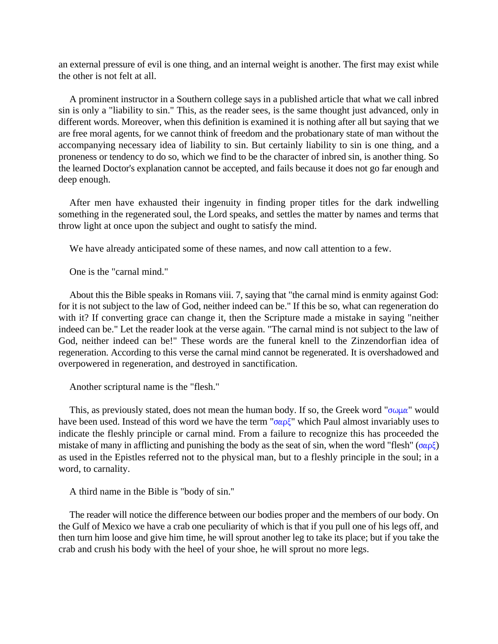an external pressure of evil is one thing, and an internal weight is another. The first may exist while the other is not felt at all.

A prominent instructor in a Southern college says in a published article that what we call inbred sin is only a "liability to sin." This, as the reader sees, is the same thought just advanced, only in different words. Moreover, when this definition is examined it is nothing after all but saying that we are free moral agents, for we cannot think of freedom and the probationary state of man without the accompanying necessary idea of liability to sin. But certainly liability to sin is one thing, and a proneness or tendency to do so, which we find to be the character of inbred sin, is another thing. So the learned Doctor's explanation cannot be accepted, and fails because it does not go far enough and deep enough.

After men have exhausted their ingenuity in finding proper titles for the dark indwelling something in the regenerated soul, the Lord speaks, and settles the matter by names and terms that throw light at once upon the subject and ought to satisfy the mind.

We have already anticipated some of these names, and now call attention to a few.

One is the "carnal mind."

About this the Bible speaks in Romans viii. 7, saying that "the carnal mind is enmity against God: for it is not subject to the law of God, neither indeed can be." If this be so, what can regeneration do with it? If converting grace can change it, then the Scripture made a mistake in saying "neither indeed can be." Let the reader look at the verse again. "The carnal mind is not subject to the law of God, neither indeed can be!" These words are the funeral knell to the Zinzendorfian idea of regeneration. According to this verse the carnal mind cannot be regenerated. It is overshadowed and overpowered in regeneration, and destroyed in sanctification.

Another scriptural name is the "flesh."

This, as previously stated, does not mean the human body. If so, the Greek word " $\sigma \omega \mu \alpha$ " would have been used. Instead of this word we have the term " $\sigma \alpha \beta \zeta$ " which Paul almost invariably uses to indicate the fleshly principle or carnal mind. From a failure to recognize this has proceeded the mistake of many in afflicting and punishing the body as the seat of sin, when the word "flesh" ( $\sigma \alpha \rho \xi$ ) as used in the Epistles referred not to the physical man, but to a fleshly principle in the soul; in a word, to carnality.

A third name in the Bible is "body of sin.''

The reader will notice the difference between our bodies proper and the members of our body. On the Gulf of Mexico we have a crab one peculiarity of which is that if you pull one of his legs off, and then turn him loose and give him time, he will sprout another leg to take its place; but if you take the crab and crush his body with the heel of your shoe, he will sprout no more legs.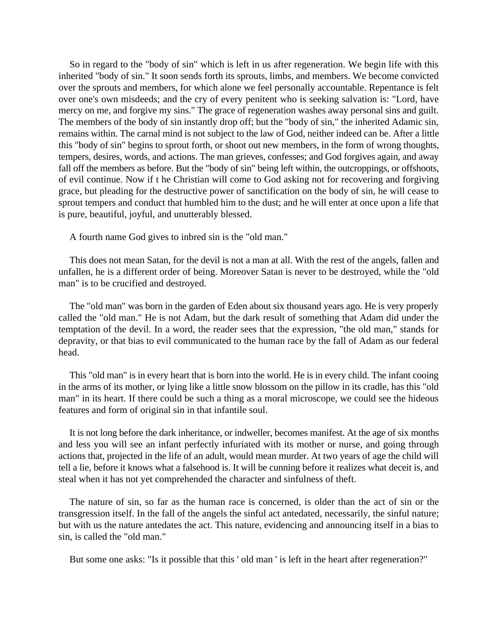So in regard to the "body of sin" which is left in us after regeneration. We begin life with this inherited "body of sin." It soon sends forth its sprouts, limbs, and members. We become convicted over the sprouts and members, for which alone we feel personally accountable. Repentance is felt over one's own misdeeds; and the cry of every penitent who is seeking salvation is: "Lord, have mercy on me, and forgive my sins." The grace of regeneration washes away personal sins and guilt. The members of the body of sin instantly drop off; but the "body of sin," the inherited Adamic sin, remains within. The carnal mind is not subject to the law of God, neither indeed can be. After a little this "body of sin" begins to sprout forth, or shoot out new members, in the form of wrong thoughts, tempers, desires, words, and actions. The man grieves, confesses; and God forgives again, and away fall off the members as before. But the "body of sin" being left within, the outcroppings, or offshoots, of evil continue. Now if t he Christian will come to God asking not for recovering and forgiving grace, but pleading for the destructive power of sanctification on the body of sin, he will cease to sprout tempers and conduct that humbled him to the dust; and he will enter at once upon a life that is pure, beautiful, joyful, and unutterably blessed.

A fourth name God gives to inbred sin is the "old man."

This does not mean Satan, for the devil is not a man at all. With the rest of the angels, fallen and unfallen, he is a different order of being. Moreover Satan is never to be destroyed, while the "old man" is to be crucified and destroyed.

The "old man" was born in the garden of Eden about six thousand years ago. He is very properly called the "old man." He is not Adam, but the dark result of something that Adam did under the temptation of the devil. In a word, the reader sees that the expression, "the old man," stands for depravity, or that bias to evil communicated to the human race by the fall of Adam as our federal head.

This "old man" is in every heart that is born into the world. He is in every child. The infant cooing in the arms of its mother, or lying like a little snow blossom on the pillow in its cradle, has this "old man" in its heart. If there could be such a thing as a moral microscope, we could see the hideous features and form of original sin in that infantile soul.

It is not long before the dark inheritance, or indweller, becomes manifest. At the age of six months and less you will see an infant perfectly infuriated with its mother or nurse, and going through actions that, projected in the life of an adult, would mean murder. At two years of age the child will tell a lie, before it knows what a falsehood is. It will be cunning before it realizes what deceit is, and steal when it has not yet comprehended the character and sinfulness of theft.

The nature of sin, so far as the human race is concerned, is older than the act of sin or the transgression itself. In the fall of the angels the sinful act antedated, necessarily, the sinful nature; but with us the nature antedates the act. This nature, evidencing and announcing itself in a bias to sin, is called the "old man."

But some one asks: "Is it possible that this ' old man ' is left in the heart after regeneration?"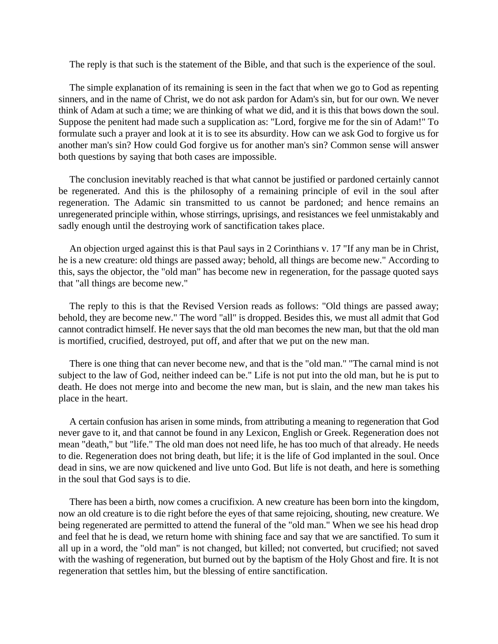The reply is that such is the statement of the Bible, and that such is the experience of the soul.

The simple explanation of its remaining is seen in the fact that when we go to God as repenting sinners, and in the name of Christ, we do not ask pardon for Adam's sin, but for our own. We never think of Adam at such a time; we are thinking of what we did, and it is this that bows down the soul. Suppose the penitent had made such a supplication as: "Lord, forgive me for the sin of Adam!" To formulate such a prayer and look at it is to see its absurdity. How can we ask God to forgive us for another man's sin? How could God forgive us for another man's sin? Common sense will answer both questions by saying that both cases are impossible.

The conclusion inevitably reached is that what cannot be justified or pardoned certainly cannot be regenerated. And this is the philosophy of a remaining principle of evil in the soul after regeneration. The Adamic sin transmitted to us cannot be pardoned; and hence remains an unregenerated principle within, whose stirrings, uprisings, and resistances we feel unmistakably and sadly enough until the destroying work of sanctification takes place.

An objection urged against this is that Paul says in 2 Corinthians v. 17 "If any man be in Christ, he is a new creature: old things are passed away; behold, all things are become new." According to this, says the objector, the "old man" has become new in regeneration, for the passage quoted says that "all things are become new."

The reply to this is that the Revised Version reads as follows: "Old things are passed away; behold, they are become new." The word "all" is dropped. Besides this, we must all admit that God cannot contradict himself. He never says that the old man becomes the new man, but that the old man is mortified, crucified, destroyed, put off, and after that we put on the new man.

There is one thing that can never become new, and that is the "old man." "The carnal mind is not subject to the law of God, neither indeed can be." Life is not put into the old man, but he is put to death. He does not merge into and become the new man, but is slain, and the new man takes his place in the heart.

A certain confusion has arisen in some minds, from attributing a meaning to regeneration that God never gave to it, and that cannot be found in any Lexicon, English or Greek. Regeneration does not mean "death," but "life." The old man does not need life, he has too much of that already. He needs to die. Regeneration does not bring death, but life; it is the life of God implanted in the soul. Once dead in sins, we are now quickened and live unto God. But life is not death, and here is something in the soul that God says is to die.

There has been a birth, now comes a crucifixion. A new creature has been born into the kingdom, now an old creature is to die right before the eyes of that same rejoicing, shouting, new creature. We being regenerated are permitted to attend the funeral of the "old man." When we see his head drop and feel that he is dead, we return home with shining face and say that we are sanctified. To sum it all up in a word, the "old man" is not changed, but killed; not converted, but crucified; not saved with the washing of regeneration, but burned out by the baptism of the Holy Ghost and fire. It is not regeneration that settles him, but the blessing of entire sanctification.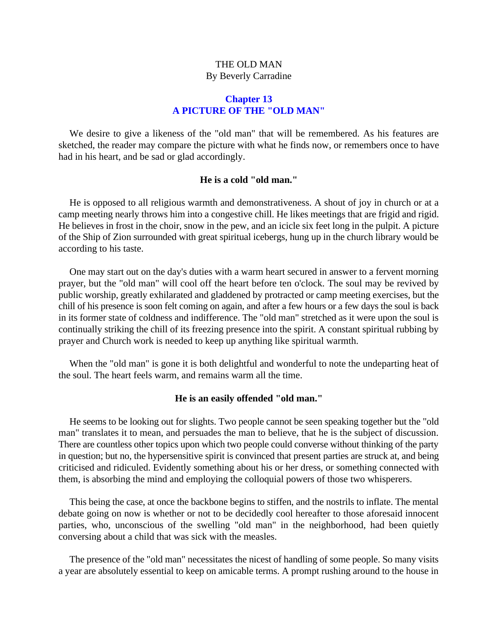# THE OLD MAN By Beverly Carradine

### **Chapter 13 A PICTURE OF THE "OLD MAN"**

We desire to give a likeness of the "old man" that will be remembered. As his features are sketched, the reader may compare the picture with what he finds now, or remembers once to have had in his heart, and be sad or glad accordingly.

### **He is a cold "old man."**

He is opposed to all religious warmth and demonstrativeness. A shout of joy in church or at a camp meeting nearly throws him into a congestive chill. He likes meetings that are frigid and rigid. He believes in frost in the choir, snow in the pew, and an icicle six feet long in the pulpit. A picture of the Ship of Zion surrounded with great spiritual icebergs, hung up in the church library would be according to his taste.

One may start out on the day's duties with a warm heart secured in answer to a fervent morning prayer, but the "old man" will cool off the heart before ten o'clock. The soul may be revived by public worship, greatly exhilarated and gladdened by protracted or camp meeting exercises, but the chill of his presence is soon felt coming on again, and after a few hours or a few days the soul is back in its former state of coldness and indifference. The "old man" stretched as it were upon the soul is continually striking the chill of its freezing presence into the spirit. A constant spiritual rubbing by prayer and Church work is needed to keep up anything like spiritual warmth.

When the "old man" is gone it is both delightful and wonderful to note the undeparting heat of the soul. The heart feels warm, and remains warm all the time.

### **He is an easily offended "old man."**

He seems to be looking out for slights. Two people cannot be seen speaking together but the "old man" translates it to mean, and persuades the man to believe, that he is the subject of discussion. There are countless other topics upon which two people could converse without thinking of the party in question; but no, the hypersensitive spirit is convinced that present parties are struck at, and being criticised and ridiculed. Evidently something about his or her dress, or something connected with them, is absorbing the mind and employing the colloquial powers of those two whisperers.

This being the case, at once the backbone begins to stiffen, and the nostrils to inflate. The mental debate going on now is whether or not to be decidedly cool hereafter to those aforesaid innocent parties, who, unconscious of the swelling "old man" in the neighborhood, had been quietly conversing about a child that was sick with the measles.

The presence of the "old man" necessitates the nicest of handling of some people. So many visits a year are absolutely essential to keep on amicable terms. A prompt rushing around to the house in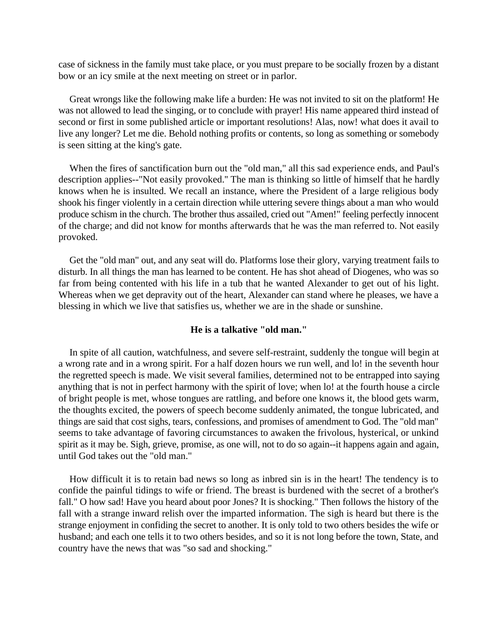case of sickness in the family must take place, or you must prepare to be socially frozen by a distant bow or an icy smile at the next meeting on street or in parlor.

Great wrongs like the following make life a burden: He was not invited to sit on the platform! He was not allowed to lead the singing, or to conclude with prayer! His name appeared third instead of second or first in some published article or important resolutions! Alas, now! what does it avail to live any longer? Let me die. Behold nothing profits or contents, so long as something or somebody is seen sitting at the king's gate.

When the fires of sanctification burn out the "old man," all this sad experience ends, and Paul's description applies--"Not easily provoked.'' The man is thinking so little of himself that he hardly knows when he is insulted. We recall an instance, where the President of a large religious body shook his finger violently in a certain direction while uttering severe things about a man who would produce schism in the church. The brother thus assailed, cried out "Amen!" feeling perfectly innocent of the charge; and did not know for months afterwards that he was the man referred to. Not easily provoked.

Get the "old man" out, and any seat will do. Platforms lose their glory, varying treatment fails to disturb. In all things the man has learned to be content. He has shot ahead of Diogenes, who was so far from being contented with his life in a tub that he wanted Alexander to get out of his light. Whereas when we get depravity out of the heart, Alexander can stand where he pleases, we have a blessing in which we live that satisfies us, whether we are in the shade or sunshine.

### **He is a talkative "old man."**

In spite of all caution, watchfulness, and severe self-restraint, suddenly the tongue will begin at a wrong rate and in a wrong spirit. For a half dozen hours we run well, and lo! in the seventh hour the regretted speech is made. We visit several families, determined not to be entrapped into saying anything that is not in perfect harmony with the spirit of love; when lo! at the fourth house a circle of bright people is met, whose tongues are rattling, and before one knows it, the blood gets warm, the thoughts excited, the powers of speech become suddenly animated, the tongue lubricated, and things are said that cost sighs, tears, confessions, and promises of amendment to God. The "old man" seems to take advantage of favoring circumstances to awaken the frivolous, hysterical, or unkind spirit as it may be. Sigh, grieve, promise, as one will, not to do so again--it happens again and again, until God takes out the "old man."

How difficult it is to retain bad news so long as inbred sin is in the heart! The tendency is to confide the painful tidings to wife or friend. The breast is burdened with the secret of a brother's fall." O how sad! Have you heard about poor Jones? It is shocking." Then follows the history of the fall with a strange inward relish over the imparted information. The sigh is heard but there is the strange enjoyment in confiding the secret to another. It is only told to two others besides the wife or husband; and each one tells it to two others besides, and so it is not long before the town, State, and country have the news that was "so sad and shocking."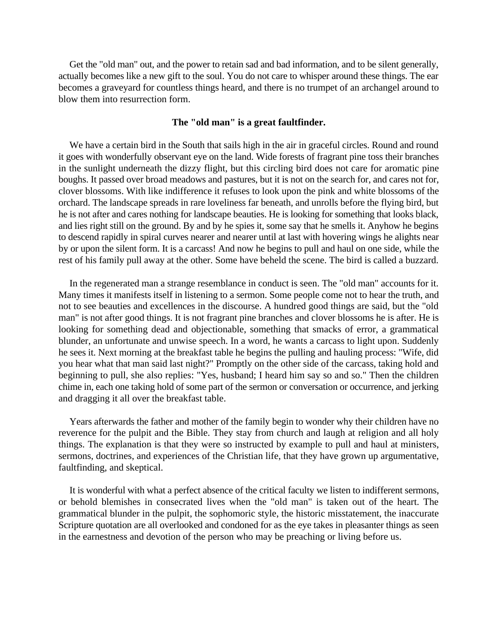Get the "old man" out, and the power to retain sad and bad information, and to be silent generally, actually becomes like a new gift to the soul. You do not care to whisper around these things. The ear becomes a graveyard for countless things heard, and there is no trumpet of an archangel around to blow them into resurrection form.

### **The "old man" is a great faultfinder.**

We have a certain bird in the South that sails high in the air in graceful circles. Round and round it goes with wonderfully observant eye on the land. Wide forests of fragrant pine toss their branches in the sunlight underneath the dizzy flight, but this circling bird does not care for aromatic pine boughs. It passed over broad meadows and pastures, but it is not on the search for, and cares not for, clover blossoms. With like indifference it refuses to look upon the pink and white blossoms of the orchard. The landscape spreads in rare loveliness far beneath, and unrolls before the flying bird, but he is not after and cares nothing for landscape beauties. He is looking for something that looks black, and lies right still on the ground. By and by he spies it, some say that he smells it. Anyhow he begins to descend rapidly in spiral curves nearer and nearer until at last with hovering wings he alights near by or upon the silent form. It is a carcass! And now he begins to pull and haul on one side, while the rest of his family pull away at the other. Some have beheld the scene. The bird is called a buzzard.

In the regenerated man a strange resemblance in conduct is seen. The "old man" accounts for it. Many times it manifests itself in listening to a sermon. Some people come not to hear the truth, and not to see beauties and excellences in the discourse. A hundred good things are said, but the "old man" is not after good things. It is not fragrant pine branches and clover blossoms he is after. He is looking for something dead and objectionable, something that smacks of error, a grammatical blunder, an unfortunate and unwise speech. In a word, he wants a carcass to light upon. Suddenly he sees it. Next morning at the breakfast table he begins the pulling and hauling process: "Wife, did you hear what that man said last night?" Promptly on the other side of the carcass, taking hold and beginning to pull, she also replies: "Yes, husband; I heard him say so and so." Then the children chime in, each one taking hold of some part of the sermon or conversation or occurrence, and jerking and dragging it all over the breakfast table.

Years afterwards the father and mother of the family begin to wonder why their children have no reverence for the pulpit and the Bible. They stay from church and laugh at religion and all holy things. The explanation is that they were so instructed by example to pull and haul at ministers, sermons, doctrines, and experiences of the Christian life, that they have grown up argumentative, faultfinding, and skeptical.

It is wonderful with what a perfect absence of the critical faculty we listen to indifferent sermons, or behold blemishes in consecrated lives when the "old man" is taken out of the heart. The grammatical blunder in the pulpit, the sophomoric style, the historic misstatement, the inaccurate Scripture quotation are all overlooked and condoned for as the eye takes in pleasanter things as seen in the earnestness and devotion of the person who may be preaching or living before us.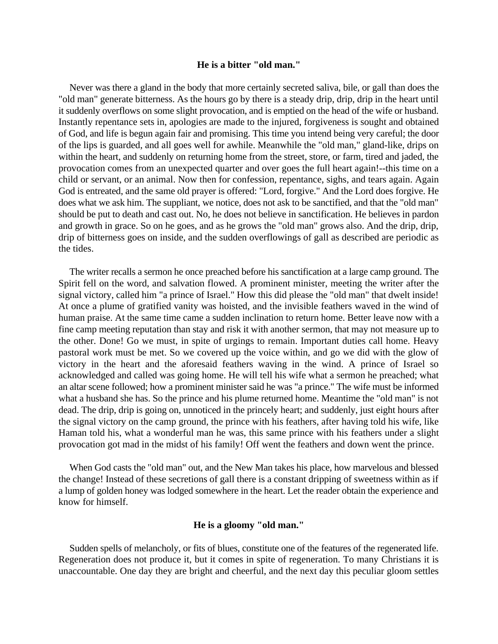#### **He is a bitter "old man."**

Never was there a gland in the body that more certainly secreted saliva, bile, or gall than does the "old man" generate bitterness. As the hours go by there is a steady drip, drip, drip in the heart until it suddenly overflows on some slight provocation, and is emptied on the head of the wife or husband. Instantly repentance sets in, apologies are made to the injured, forgiveness is sought and obtained of God, and life is begun again fair and promising. This time you intend being very careful; the door of the lips is guarded, and all goes well for awhile. Meanwhile the "old man," gland-like, drips on within the heart, and suddenly on returning home from the street, store, or farm, tired and jaded, the provocation comes from an unexpected quarter and over goes the full heart again!--this time on a child or servant, or an animal. Now then for confession, repentance, sighs, and tears again. Again God is entreated, and the same old prayer is offered: "Lord, forgive." And the Lord does forgive. He does what we ask him. The suppliant, we notice, does not ask to be sanctified, and that the "old man" should be put to death and cast out. No, he does not believe in sanctification. He believes in pardon and growth in grace. So on he goes, and as he grows the "old man" grows also. And the drip, drip, drip of bitterness goes on inside, and the sudden overflowings of gall as described are periodic as the tides.

The writer recalls a sermon he once preached before his sanctification at a large camp ground. The Spirit fell on the word, and salvation flowed. A prominent minister, meeting the writer after the signal victory, called him "a prince of Israel." How this did please the "old man" that dwelt inside! At once a plume of gratified vanity was hoisted, and the invisible feathers waved in the wind of human praise. At the same time came a sudden inclination to return home. Better leave now with a fine camp meeting reputation than stay and risk it with another sermon, that may not measure up to the other. Done! Go we must, in spite of urgings to remain. Important duties call home. Heavy pastoral work must be met. So we covered up the voice within, and go we did with the glow of victory in the heart and the aforesaid feathers waving in the wind. A prince of Israel so acknowledged and called was going home. He will tell his wife what a sermon he preached; what an altar scene followed; how a prominent minister said he was "a prince." The wife must be informed what a husband she has. So the prince and his plume returned home. Meantime the "old man" is not dead. The drip, drip is going on, unnoticed in the princely heart; and suddenly, just eight hours after the signal victory on the camp ground, the prince with his feathers, after having told his wife, like Haman told his, what a wonderful man he was, this same prince with his feathers under a slight provocation got mad in the midst of his family! Off went the feathers and down went the prince.

When God casts the "old man" out, and the New Man takes his place, how marvelous and blessed the change! Instead of these secretions of gall there is a constant dripping of sweetness within as if a lump of golden honey was lodged somewhere in the heart. Let the reader obtain the experience and know for himself.

### **He is a gloomy "old man."**

Sudden spells of melancholy, or fits of blues, constitute one of the features of the regenerated life. Regeneration does not produce it, but it comes in spite of regeneration. To many Christians it is unaccountable. One day they are bright and cheerful, and the next day this peculiar gloom settles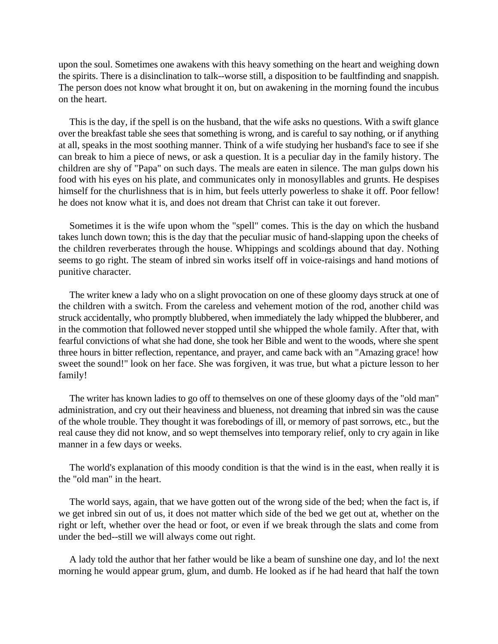upon the soul. Sometimes one awakens with this heavy something on the heart and weighing down the spirits. There is a disinclination to talk--worse still, a disposition to be faultfinding and snappish. The person does not know what brought it on, but on awakening in the morning found the incubus on the heart.

This is the day, if the spell is on the husband, that the wife asks no questions. With a swift glance over the breakfast table she sees that something is wrong, and is careful to say nothing, or if anything at all, speaks in the most soothing manner. Think of a wife studying her husband's face to see if she can break to him a piece of news, or ask a question. It is a peculiar day in the family history. The children are shy of "Papa" on such days. The meals are eaten in silence. The man gulps down his food with his eyes on his plate, and communicates only in monosyllables and grunts. He despises himself for the churlishness that is in him, but feels utterly powerless to shake it off. Poor fellow! he does not know what it is, and does not dream that Christ can take it out forever.

Sometimes it is the wife upon whom the "spell" comes. This is the day on which the husband takes lunch down town; this is the day that the peculiar music of hand-slapping upon the cheeks of the children reverberates through the house. Whippings and scoldings abound that day. Nothing seems to go right. The steam of inbred sin works itself off in voice-raisings and hand motions of punitive character.

The writer knew a lady who on a slight provocation on one of these gloomy days struck at one of the children with a switch. From the careless and vehement motion of the rod, another child was struck accidentally, who promptly blubbered, when immediately the lady whipped the blubberer, and in the commotion that followed never stopped until she whipped the whole family. After that, with fearful convictions of what she had done, she took her Bible and went to the woods, where she spent three hours in bitter reflection, repentance, and prayer, and came back with an "Amazing grace! how sweet the sound!" look on her face. She was forgiven, it was true, but what a picture lesson to her family!

The writer has known ladies to go off to themselves on one of these gloomy days of the "old man" administration, and cry out their heaviness and blueness, not dreaming that inbred sin was the cause of the whole trouble. They thought it was forebodings of ill, or memory of past sorrows, etc., but the real cause they did not know, and so wept themselves into temporary relief, only to cry again in like manner in a few days or weeks.

The world's explanation of this moody condition is that the wind is in the east, when really it is the "old man" in the heart.

The world says, again, that we have gotten out of the wrong side of the bed; when the fact is, if we get inbred sin out of us, it does not matter which side of the bed we get out at, whether on the right or left, whether over the head or foot, or even if we break through the slats and come from under the bed--still we will always come out right.

A lady told the author that her father would be like a beam of sunshine one day, and lo! the next morning he would appear grum, glum, and dumb. He looked as if he had heard that half the town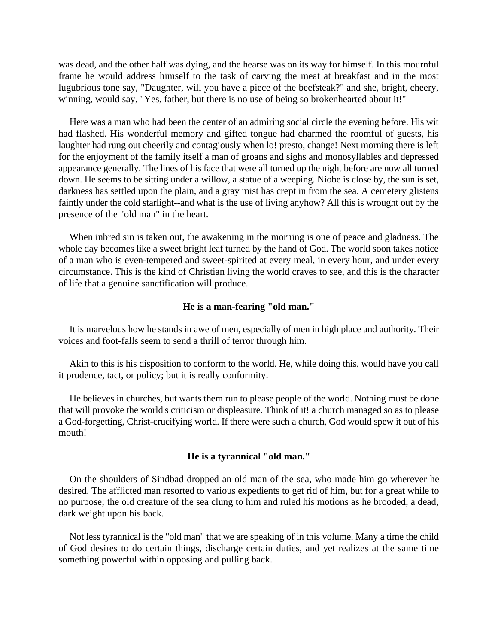was dead, and the other half was dying, and the hearse was on its way for himself. In this mournful frame he would address himself to the task of carving the meat at breakfast and in the most lugubrious tone say, "Daughter, will you have a piece of the beefsteak?" and she, bright, cheery, winning, would say, "Yes, father, but there is no use of being so brokenhearted about it!"

Here was a man who had been the center of an admiring social circle the evening before. His wit had flashed. His wonderful memory and gifted tongue had charmed the roomful of guests, his laughter had rung out cheerily and contagiously when lo! presto, change! Next morning there is left for the enjoyment of the family itself a man of groans and sighs and monosyllables and depressed appearance generally. The lines of his face that were all turned up the night before are now all turned down. He seems to be sitting under a willow, a statue of a weeping. Niobe is close by, the sun is set, darkness has settled upon the plain, and a gray mist has crept in from the sea. A cemetery glistens faintly under the cold starlight--and what is the use of living anyhow? All this is wrought out by the presence of the "old man" in the heart.

When inbred sin is taken out, the awakening in the morning is one of peace and gladness. The whole day becomes like a sweet bright leaf turned by the hand of God. The world soon takes notice of a man who is even-tempered and sweet-spirited at every meal, in every hour, and under every circumstance. This is the kind of Christian living the world craves to see, and this is the character of life that a genuine sanctification will produce.

### **He is a man-fearing "old man."**

It is marvelous how he stands in awe of men, especially of men in high place and authority. Their voices and foot-falls seem to send a thrill of terror through him.

Akin to this is his disposition to conform to the world. He, while doing this, would have you call it prudence, tact, or policy; but it is really conformity.

He believes in churches, but wants them run to please people of the world. Nothing must be done that will provoke the world's criticism or displeasure. Think of it! a church managed so as to please a God-forgetting, Christ-crucifying world. If there were such a church, God would spew it out of his mouth!

### **He is a tyrannical "old man."**

On the shoulders of Sindbad dropped an old man of the sea, who made him go wherever he desired. The afflicted man resorted to various expedients to get rid of him, but for a great while to no purpose; the old creature of the sea clung to him and ruled his motions as he brooded, a dead, dark weight upon his back.

Not less tyrannical is the "old man" that we are speaking of in this volume. Many a time the child of God desires to do certain things, discharge certain duties, and yet realizes at the same time something powerful within opposing and pulling back.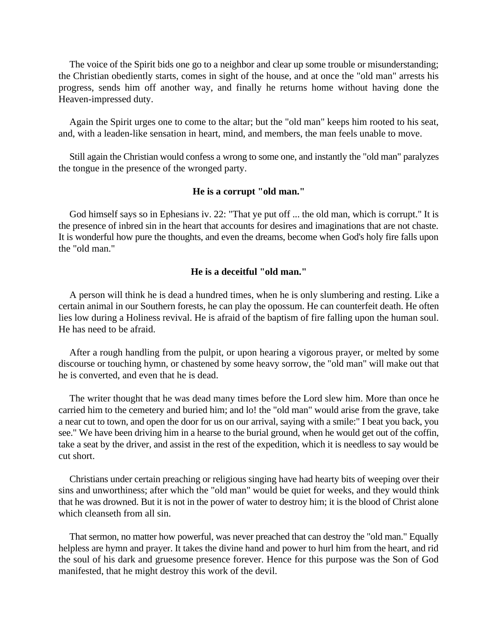The voice of the Spirit bids one go to a neighbor and clear up some trouble or misunderstanding; the Christian obediently starts, comes in sight of the house, and at once the "old man" arrests his progress, sends him off another way, and finally he returns home without having done the Heaven-impressed duty.

Again the Spirit urges one to come to the altar; but the "old man" keeps him rooted to his seat, and, with a leaden-like sensation in heart, mind, and members, the man feels unable to move.

Still again the Christian would confess a wrong to some one, and instantly the "old man" paralyzes the tongue in the presence of the wronged party.

## **He is a corrupt "old man."**

God himself says so in Ephesians iv. 22: "That ye put off ... the old man, which is corrupt." It is the presence of inbred sin in the heart that accounts for desires and imaginations that are not chaste. It is wonderful how pure the thoughts, and even the dreams, become when God's holy fire falls upon the "old man."

## **He is a deceitful "old man."**

A person will think he is dead a hundred times, when he is only slumbering and resting. Like a certain animal in our Southern forests, he can play the opossum. He can counterfeit death. He often lies low during a Holiness revival. He is afraid of the baptism of fire falling upon the human soul. He has need to be afraid.

After a rough handling from the pulpit, or upon hearing a vigorous prayer, or melted by some discourse or touching hymn, or chastened by some heavy sorrow, the "old man" will make out that he is converted, and even that he is dead.

The writer thought that he was dead many times before the Lord slew him. More than once he carried him to the cemetery and buried him; and lo! the "old man" would arise from the grave, take a near cut to town, and open the door for us on our arrival, saying with a smile:" I beat you back, you see." We have been driving him in a hearse to the burial ground, when he would get out of the coffin, take a seat by the driver, and assist in the rest of the expedition, which it is needless to say would be cut short.

Christians under certain preaching or religious singing have had hearty bits of weeping over their sins and unworthiness; after which the "old man" would be quiet for weeks, and they would think that he was drowned. But it is not in the power of water to destroy him; it is the blood of Christ alone which cleanseth from all sin.

That sermon, no matter how powerful, was never preached that can destroy the "old man." Equally helpless are hymn and prayer. It takes the divine hand and power to hurl him from the heart, and rid the soul of his dark and gruesome presence forever. Hence for this purpose was the Son of God manifested, that he might destroy this work of the devil.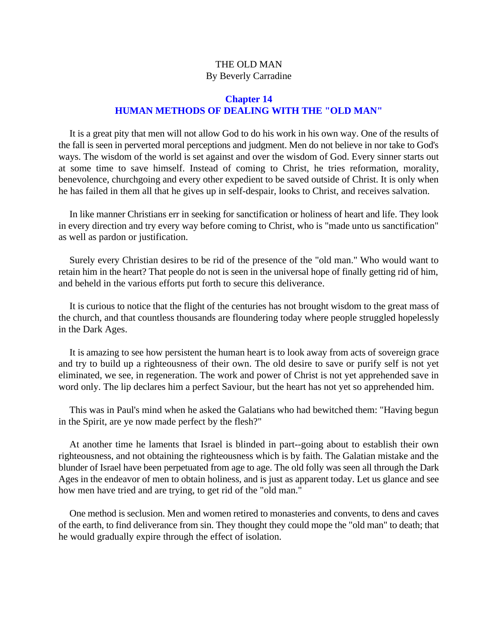# THE OLD MAN By Beverly Carradine

# **Chapter 14 HUMAN METHODS OF DEALING WITH THE "OLD MAN"**

It is a great pity that men will not allow God to do his work in his own way. One of the results of the fall is seen in perverted moral perceptions and judgment. Men do not believe in nor take to God's ways. The wisdom of the world is set against and over the wisdom of God. Every sinner starts out at some time to save himself. Instead of coming to Christ, he tries reformation, morality, benevolence, churchgoing and every other expedient to be saved outside of Christ. It is only when he has failed in them all that he gives up in self-despair, looks to Christ, and receives salvation.

In like manner Christians err in seeking for sanctification or holiness of heart and life. They look in every direction and try every way before coming to Christ, who is "made unto us sanctification" as well as pardon or justification.

Surely every Christian desires to be rid of the presence of the "old man." Who would want to retain him in the heart? That people do not is seen in the universal hope of finally getting rid of him, and beheld in the various efforts put forth to secure this deliverance.

It is curious to notice that the flight of the centuries has not brought wisdom to the great mass of the church, and that countless thousands are floundering today where people struggled hopelessly in the Dark Ages.

It is amazing to see how persistent the human heart is to look away from acts of sovereign grace and try to build up a righteousness of their own. The old desire to save or purify self is not yet eliminated, we see, in regeneration. The work and power of Christ is not yet apprehended save in word only. The lip declares him a perfect Saviour, but the heart has not yet so apprehended him.

This was in Paul's mind when he asked the Galatians who had bewitched them: "Having begun in the Spirit, are ye now made perfect by the flesh?"

At another time he laments that Israel is blinded in part--going about to establish their own righteousness, and not obtaining the righteousness which is by faith. The Galatian mistake and the blunder of Israel have been perpetuated from age to age. The old folly was seen all through the Dark Ages in the endeavor of men to obtain holiness, and is just as apparent today. Let us glance and see how men have tried and are trying, to get rid of the "old man."

One method is seclusion. Men and women retired to monasteries and convents, to dens and caves of the earth, to find deliverance from sin. They thought they could mope the "old man" to death; that he would gradually expire through the effect of isolation.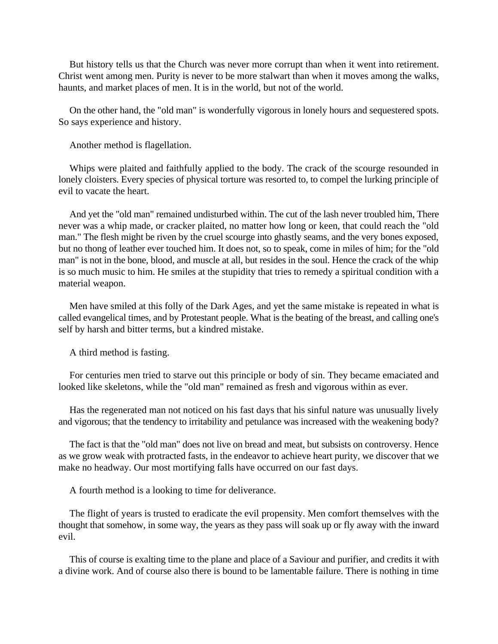But history tells us that the Church was never more corrupt than when it went into retirement. Christ went among men. Purity is never to be more stalwart than when it moves among the walks, haunts, and market places of men. It is in the world, but not of the world.

On the other hand, the "old man" is wonderfully vigorous in lonely hours and sequestered spots. So says experience and history.

Another method is flagellation.

Whips were plaited and faithfully applied to the body. The crack of the scourge resounded in lonely cloisters. Every species of physical torture was resorted to, to compel the lurking principle of evil to vacate the heart.

And yet the "old man" remained undisturbed within. The cut of the lash never troubled him, There never was a whip made, or cracker plaited, no matter how long or keen, that could reach the "old man." The flesh might be riven by the cruel scourge into ghastly seams, and the very bones exposed, but no thong of leather ever touched him. It does not, so to speak, come in miles of him; for the "old man" is not in the bone, blood, and muscle at all, but resides in the soul. Hence the crack of the whip is so much music to him. He smiles at the stupidity that tries to remedy a spiritual condition with a material weapon.

Men have smiled at this folly of the Dark Ages, and yet the same mistake is repeated in what is called evangelical times, and by Protestant people. What is the beating of the breast, and calling one's self by harsh and bitter terms, but a kindred mistake.

A third method is fasting.

For centuries men tried to starve out this principle or body of sin. They became emaciated and looked like skeletons, while the "old man" remained as fresh and vigorous within as ever.

Has the regenerated man not noticed on his fast days that his sinful nature was unusually lively and vigorous; that the tendency to irritability and petulance was increased with the weakening body?

The fact is that the "old man" does not live on bread and meat, but subsists on controversy. Hence as we grow weak with protracted fasts, in the endeavor to achieve heart purity, we discover that we make no headway. Our most mortifying falls have occurred on our fast days.

A fourth method is a looking to time for deliverance.

The flight of years is trusted to eradicate the evil propensity. Men comfort themselves with the thought that somehow, in some way, the years as they pass will soak up or fly away with the inward evil.

This of course is exalting time to the plane and place of a Saviour and purifier, and credits it with a divine work. And of course also there is bound to be lamentable failure. There is nothing in time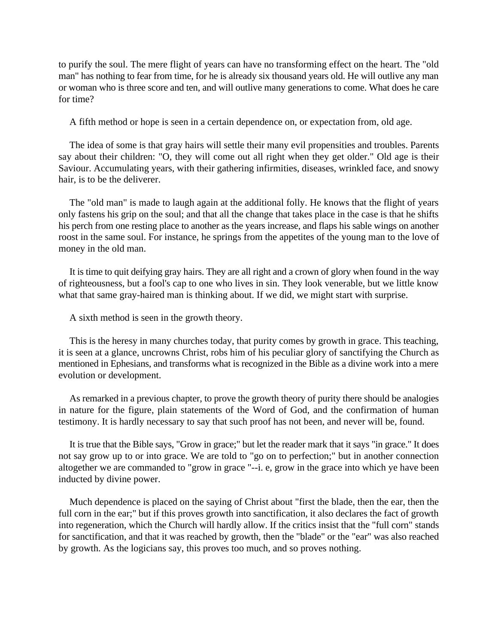to purify the soul. The mere flight of years can have no transforming effect on the heart. The "old man" has nothing to fear from time, for he is already six thousand years old. He will outlive any man or woman who is three score and ten, and will outlive many generations to come. What does he care for time?

A fifth method or hope is seen in a certain dependence on, or expectation from, old age.

The idea of some is that gray hairs will settle their many evil propensities and troubles. Parents say about their children: "O, they will come out all right when they get older." Old age is their Saviour. Accumulating years, with their gathering infirmities, diseases, wrinkled face, and snowy hair, is to be the deliverer.

The "old man" is made to laugh again at the additional folly. He knows that the flight of years only fastens his grip on the soul; and that all the change that takes place in the case is that he shifts his perch from one resting place to another as the years increase, and flaps his sable wings on another roost in the same soul. For instance, he springs from the appetites of the young man to the love of money in the old man.

It is time to quit deifying gray hairs. They are all right and a crown of glory when found in the way of righteousness, but a fool's cap to one who lives in sin. They look venerable, but we little know what that same gray-haired man is thinking about. If we did, we might start with surprise.

A sixth method is seen in the growth theory.

This is the heresy in many churches today, that purity comes by growth in grace. This teaching, it is seen at a glance, uncrowns Christ, robs him of his peculiar glory of sanctifying the Church as mentioned in Ephesians, and transforms what is recognized in the Bible as a divine work into a mere evolution or development.

As remarked in a previous chapter, to prove the growth theory of purity there should be analogies in nature for the figure, plain statements of the Word of God, and the confirmation of human testimony. It is hardly necessary to say that such proof has not been, and never will be, found.

It is true that the Bible says, "Grow in grace;" but let the reader mark that it says "in grace." It does not say grow up to or into grace. We are told to "go on to perfection;" but in another connection altogether we are commanded to "grow in grace "--i. e, grow in the grace into which ye have been inducted by divine power.

Much dependence is placed on the saying of Christ about "first the blade, then the ear, then the full corn in the ear;" but if this proves growth into sanctification, it also declares the fact of growth into regeneration, which the Church will hardly allow. If the critics insist that the "full corn" stands for sanctification, and that it was reached by growth, then the "blade" or the "ear" was also reached by growth. As the logicians say, this proves too much, and so proves nothing.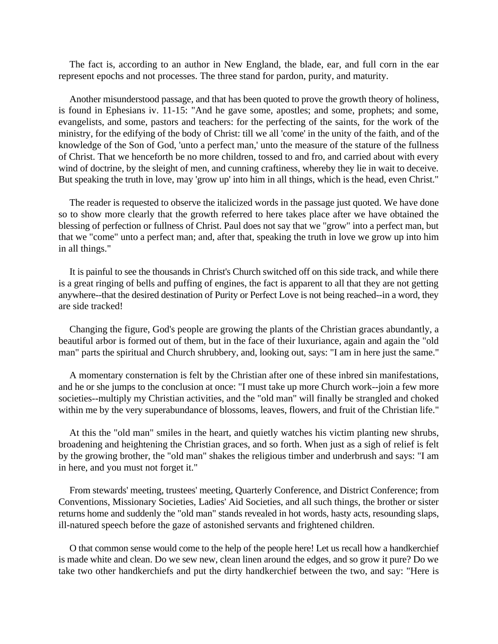The fact is, according to an author in New England, the blade, ear, and full corn in the ear represent epochs and not processes. The three stand for pardon, purity, and maturity.

Another misunderstood passage, and that has been quoted to prove the growth theory of holiness, is found in Ephesians iv. 11-15: "And he gave some, apostles; and some, prophets; and some, evangelists, and some, pastors and teachers: for the perfecting of the saints, for the work of the ministry, for the edifying of the body of Christ: till we all 'come' in the unity of the faith, and of the knowledge of the Son of God, 'unto a perfect man,' unto the measure of the stature of the fullness of Christ. That we henceforth be no more children, tossed to and fro, and carried about with every wind of doctrine, by the sleight of men, and cunning craftiness, whereby they lie in wait to deceive. But speaking the truth in love, may 'grow up' into him in all things, which is the head, even Christ."

The reader is requested to observe the italicized words in the passage just quoted. We have done so to show more clearly that the growth referred to here takes place after we have obtained the blessing of perfection or fullness of Christ. Paul does not say that we "grow" into a perfect man, but that we "come" unto a perfect man; and, after that, speaking the truth in love we grow up into him in all things."

It is painful to see the thousands in Christ's Church switched off on this side track, and while there is a great ringing of bells and puffing of engines, the fact is apparent to all that they are not getting anywhere--that the desired destination of Purity or Perfect Love is not being reached--in a word, they are side tracked!

Changing the figure, God's people are growing the plants of the Christian graces abundantly, a beautiful arbor is formed out of them, but in the face of their luxuriance, again and again the "old man" parts the spiritual and Church shrubbery, and, looking out, says: "I am in here just the same."

A momentary consternation is felt by the Christian after one of these inbred sin manifestations, and he or she jumps to the conclusion at once: "I must take up more Church work--join a few more societies--multiply my Christian activities, and the "old man" will finally be strangled and choked within me by the very superabundance of blossoms, leaves, flowers, and fruit of the Christian life."

At this the "old man" smiles in the heart, and quietly watches his victim planting new shrubs, broadening and heightening the Christian graces, and so forth. When just as a sigh of relief is felt by the growing brother, the "old man" shakes the religious timber and underbrush and says: "I am in here, and you must not forget it."

From stewards' meeting, trustees' meeting, Quarterly Conference, and District Conference; from Conventions, Missionary Societies, Ladies' Aid Societies, and all such things, the brother or sister returns home and suddenly the "old man" stands revealed in hot words, hasty acts, resounding slaps, ill-natured speech before the gaze of astonished servants and frightened children.

O that common sense would come to the help of the people here! Let us recall how a handkerchief is made white and clean. Do we sew new, clean linen around the edges, and so grow it pure? Do we take two other handkerchiefs and put the dirty handkerchief between the two, and say: "Here is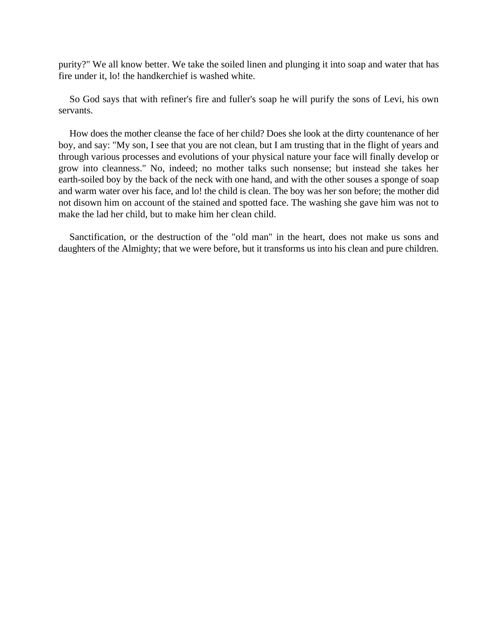purity?" We all know better. We take the soiled linen and plunging it into soap and water that has fire under it, lo! the handkerchief is washed white.

So God says that with refiner's fire and fuller's soap he will purify the sons of Levi, his own servants.

How does the mother cleanse the face of her child? Does she look at the dirty countenance of her boy, and say: "My son, I see that you are not clean, but I am trusting that in the flight of years and through various processes and evolutions of your physical nature your face will finally develop or grow into cleanness." No, indeed; no mother talks such nonsense; but instead she takes her earth-soiled boy by the back of the neck with one hand, and with the other souses a sponge of soap and warm water over his face, and lo! the child is clean. The boy was her son before; the mother did not disown him on account of the stained and spotted face. The washing she gave him was not to make the lad her child, but to make him her clean child.

Sanctification, or the destruction of the "old man" in the heart, does not make us sons and daughters of the Almighty; that we were before, but it transforms us into his clean and pure children.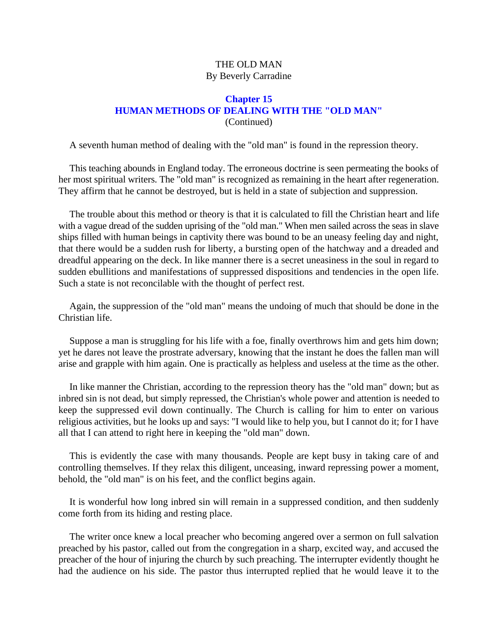# THE OLD MAN By Beverly Carradine

# **Chapter 15 HUMAN METHODS OF DEALING WITH THE "OLD MAN"** (Continued)

A seventh human method of dealing with the "old man" is found in the repression theory.

This teaching abounds in England today. The erroneous doctrine is seen permeating the books of her most spiritual writers. The "old man" is recognized as remaining in the heart after regeneration. They affirm that he cannot be destroyed, but is held in a state of subjection and suppression.

The trouble about this method or theory is that it is calculated to fill the Christian heart and life with a vague dread of the sudden uprising of the "old man." When men sailed across the seas in slave ships filled with human beings in captivity there was bound to be an uneasy feeling day and night, that there would be a sudden rush for liberty, a bursting open of the hatchway and a dreaded and dreadful appearing on the deck. In like manner there is a secret uneasiness in the soul in regard to sudden ebullitions and manifestations of suppressed dispositions and tendencies in the open life. Such a state is not reconcilable with the thought of perfect rest.

Again, the suppression of the "old man" means the undoing of much that should be done in the Christian life.

Suppose a man is struggling for his life with a foe, finally overthrows him and gets him down; yet he dares not leave the prostrate adversary, knowing that the instant he does the fallen man will arise and grapple with him again. One is practically as helpless and useless at the time as the other.

In like manner the Christian, according to the repression theory has the "old man" down; but as inbred sin is not dead, but simply repressed, the Christian's whole power and attention is needed to keep the suppressed evil down continually. The Church is calling for him to enter on various religious activities, but he looks up and says: "I would like to help you, but I cannot do it; for I have all that I can attend to right here in keeping the "old man" down.

This is evidently the case with many thousands. People are kept busy in taking care of and controlling themselves. If they relax this diligent, unceasing, inward repressing power a moment, behold, the "old man" is on his feet, and the conflict begins again.

It is wonderful how long inbred sin will remain in a suppressed condition, and then suddenly come forth from its hiding and resting place.

The writer once knew a local preacher who becoming angered over a sermon on full salvation preached by his pastor, called out from the congregation in a sharp, excited way, and accused the preacher of the hour of injuring the church by such preaching. The interrupter evidently thought he had the audience on his side. The pastor thus interrupted replied that he would leave it to the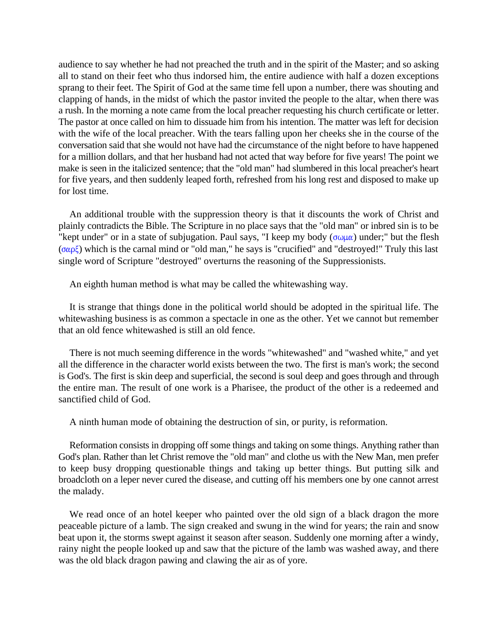audience to say whether he had not preached the truth and in the spirit of the Master; and so asking all to stand on their feet who thus indorsed him, the entire audience with half a dozen exceptions sprang to their feet. The Spirit of God at the same time fell upon a number, there was shouting and clapping of hands, in the midst of which the pastor invited the people to the altar, when there was a rush. In the morning a note came from the local preacher requesting his church certificate or letter. The pastor at once called on him to dissuade him from his intention. The matter was left for decision with the wife of the local preacher. With the tears falling upon her cheeks she in the course of the conversation said that she would not have had the circumstance of the night before to have happened for a million dollars, and that her husband had not acted that way before for five years! The point we make is seen in the italicized sentence; that the "old man" had slumbered in this local preacher's heart for five years, and then suddenly leaped forth, refreshed from his long rest and disposed to make up for lost time.

An additional trouble with the suppression theory is that it discounts the work of Christ and plainly contradicts the Bible. The Scripture in no place says that the "old man" or inbred sin is to be "kept under" or in a state of subjugation. Paul says, "I keep my body ( $\sigma \omega \mu \alpha$ ) under;" but the flesh  $(\sigma \alpha \rho \xi)$  which is the carnal mind or "old man," he says is "crucified" and "destroyed!" Truly this last single word of Scripture "destroyed" overturns the reasoning of the Suppressionists.

An eighth human method is what may be called the whitewashing way.

It is strange that things done in the political world should be adopted in the spiritual life. The whitewashing business is as common a spectacle in one as the other. Yet we cannot but remember that an old fence whitewashed is still an old fence.

There is not much seeming difference in the words "whitewashed" and "washed white," and yet all the difference in the character world exists between the two. The first is man's work; the second is God's. The first is skin deep and superficial, the second is soul deep and goes through and through the entire man. The result of one work is a Pharisee, the product of the other is a redeemed and sanctified child of God.

A ninth human mode of obtaining the destruction of sin, or purity, is reformation.

Reformation consists in dropping off some things and taking on some things. Anything rather than God's plan. Rather than let Christ remove the "old man" and clothe us with the New Man, men prefer to keep busy dropping questionable things and taking up better things. But putting silk and broadcloth on a leper never cured the disease, and cutting off his members one by one cannot arrest the malady.

We read once of an hotel keeper who painted over the old sign of a black dragon the more peaceable picture of a lamb. The sign creaked and swung in the wind for years; the rain and snow beat upon it, the storms swept against it season after season. Suddenly one morning after a windy, rainy night the people looked up and saw that the picture of the lamb was washed away, and there was the old black dragon pawing and clawing the air as of yore.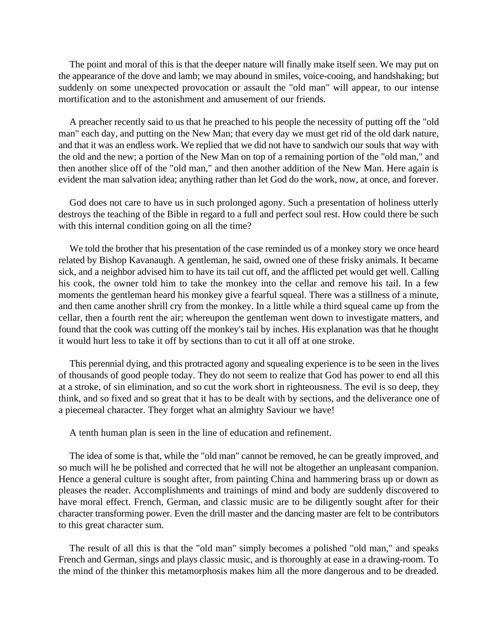The point and moral of this is that the deeper nature will finally make itself seen. We may put on the appearance of the dove and lamb; we may abound in smiles, voice-cooing, and handshaking; but suddenly on some unexpected provocation or assault the "old man" will appear, to our intense mortification and to the astonishment and amusement of our friends.

A preacher recently said to us that he preached to his people the necessity of putting off the "old man" each day, and putting on the New Man; that every day we must get rid of the old dark nature, and that it was an endless work. We replied that we did not have to sandwich our souls that way with the old and the new; a portion of the New Man on top of a remaining portion of the "old man," and then another slice off of the "old man," and then another addition of the New Man. Here again is evident the man salvation idea; anything rather than let God do the work, now, at once, and forever.

God does not care to have us in such prolonged agony. Such a presentation of holiness utterly destroys the teaching of the Bible in regard to a full and perfect soul rest. How could there be such with this internal condition going on all the time?

We told the brother that his presentation of the case reminded us of a monkey story we once heard related by Bishop Kavanaugh. A gentleman, he said, owned one of these frisky animals. It became sick, and a neighbor advised him to have its tail cut off, and the afflicted pet would get well. Calling his cook, the owner told him to take the monkey into the cellar and remove his tail. In a few moments the gentleman heard his monkey give a fearful squeal. There was a stillness of a minute, and then came another shrill cry from the monkey. In a little while a third squeal came up from the cellar, then a fourth rent the air; whereupon the gentleman went down to investigate matters, and found that the cook was cutting off the monkey's tail by inches. His explanation was that he thought it would hurt less to take it off by sections than to cut it all off at one stroke.

This perennial dying, and this protracted agony and squealing experience is to be seen in the lives of thousands of good people today. They do not seem to realize that God has power to end all this at a stroke, of sin elimination, and so cut the work short in righteousness. The evil is so deep, they think, and so fixed and so great that it has to be dealt with by sections, and the deliverance one of a piecemeal character. They forget what an almighty Saviour we have!

A tenth human plan is seen in the line of education and refinement.

The idea of some is that, while the "old man" cannot be removed, he can be greatly improved, and so much will he be polished and corrected that he will not be altogether an unpleasant companion. Hence a general culture is sought after, from painting China and hammering brass up or down as pleases the reader. Accomplishments and trainings of mind and body are suddenly discovered to have moral effect. French, German, and classic music are to be diligently sought after for their character transforming power. Even the drill master and the dancing master are felt to be contributors to this great character sum.

The result of all this is that the "old man" simply becomes a polished "old man," and speaks French and German, sings and plays classic music, and is thoroughly at ease in a drawing-room. To the mind of the thinker this metamorphosis makes him all the more dangerous and to be dreaded.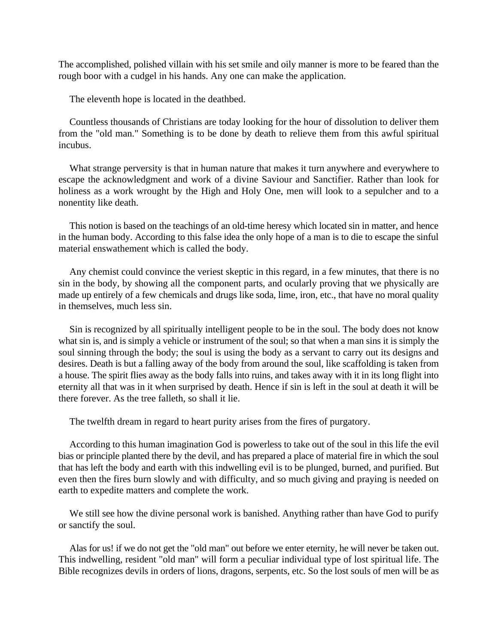The accomplished, polished villain with his set smile and oily manner is more to be feared than the rough boor with a cudgel in his hands. Any one can make the application.

The eleventh hope is located in the deathbed.

Countless thousands of Christians are today looking for the hour of dissolution to deliver them from the "old man." Something is to be done by death to relieve them from this awful spiritual incubus.

What strange perversity is that in human nature that makes it turn anywhere and everywhere to escape the acknowledgment and work of a divine Saviour and Sanctifier. Rather than look for holiness as a work wrought by the High and Holy One, men will look to a sepulcher and to a nonentity like death.

This notion is based on the teachings of an old-time heresy which located sin in matter, and hence in the human body. According to this false idea the only hope of a man is to die to escape the sinful material enswathement which is called the body.

Any chemist could convince the veriest skeptic in this regard, in a few minutes, that there is no sin in the body, by showing all the component parts, and ocularly proving that we physically are made up entirely of a few chemicals and drugs like soda, lime, iron, etc., that have no moral quality in themselves, much less sin.

Sin is recognized by all spiritually intelligent people to be in the soul. The body does not know what sin is, and is simply a vehicle or instrument of the soul; so that when a man sins it is simply the soul sinning through the body; the soul is using the body as a servant to carry out its designs and desires. Death is but a falling away of the body from around the soul, like scaffolding is taken from a house. The spirit flies away as the body falls into ruins, and takes away with it in its long flight into eternity all that was in it when surprised by death. Hence if sin is left in the soul at death it will be there forever. As the tree falleth, so shall it lie.

The twelfth dream in regard to heart purity arises from the fires of purgatory.

According to this human imagination God is powerless to take out of the soul in this life the evil bias or principle planted there by the devil, and has prepared a place of material fire in which the soul that has left the body and earth with this indwelling evil is to be plunged, burned, and purified. But even then the fires burn slowly and with difficulty, and so much giving and praying is needed on earth to expedite matters and complete the work.

We still see how the divine personal work is banished. Anything rather than have God to purify or sanctify the soul.

Alas for us! if we do not get the "old man" out before we enter eternity, he will never be taken out. This indwelling, resident "old man" will form a peculiar individual type of lost spiritual life. The Bible recognizes devils in orders of lions, dragons, serpents, etc. So the lost souls of men will be as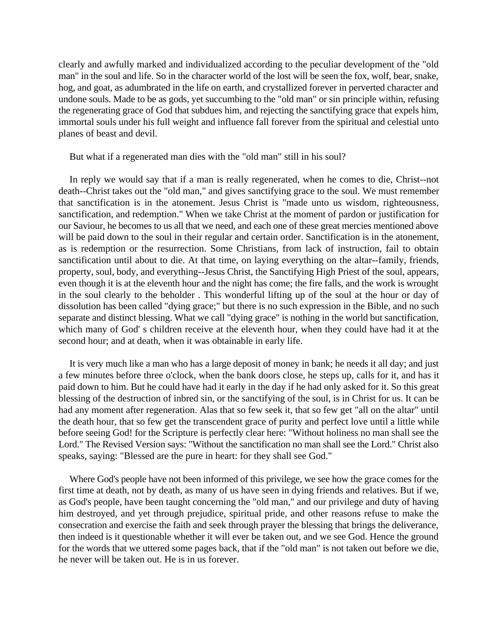clearly and awfully marked and individualized according to the peculiar development of the "old man" in the soul and life. So in the character world of the lost will be seen the fox, wolf, bear, snake, hog, and goat, as adumbrated in the life on earth, and crystallized forever in perverted character and undone souls. Made to be as gods, yet succumbing to the "old man" or sin principle within, refusing the regenerating grace of God that subdues him, and rejecting the sanctifying grace that expels him, immortal souls under his full weight and influence fall forever from the spiritual and celestial unto planes of beast and devil.

But what if a regenerated man dies with the "old man" still in his soul?

In reply we would say that if a man is really regenerated, when he comes to die, Christ--not death--Christ takes out the "old man," and gives sanctifying grace to the soul. We must remember that sanctification is in the atonement. Jesus Christ is "made unto us wisdom, righteousness, sanctification, and redemption." When we take Christ at the moment of pardon or justification for our Saviour, he becomes to us all that we need, and each one of these great mercies mentioned above will be paid down to the soul in their regular and certain order. Sanctification is in the atonement, as is redemption or the resurrection. Some Christians, from lack of instruction, fail to obtain sanctification until about to die. At that time, on laying everything on the altar--family, friends, property, soul, body, and everything--Jesus Christ, the Sanctifying High Priest of the soul, appears, even though it is at the eleventh hour and the night has come; the fire falls, and the work is wrought in the soul clearly to the beholder . This wonderful lifting up of the soul at the hour or day of dissolution has been called "dying grace;" but there is no such expression in the Bible, and no such separate and distinct blessing. What we call "dying grace" is nothing in the world but sanctification, which many of God' s children receive at the eleventh hour, when they could have had it at the second hour; and at death, when it was obtainable in early life.

It is very much like a man who has a large deposit of money in bank; he needs it all day; and just a few minutes before three o'clock, when the bank doors close, he steps up, calls for it, and has it paid down to him. But he could have had it early in the day if he had only asked for it. So this great blessing of the destruction of inbred sin, or the sanctifying of the soul, is in Christ for us. It can be had any moment after regeneration. Alas that so few seek it, that so few get "all on the altar" until the death hour, that so few get the transcendent grace of purity and perfect love until a little while before seeing God! for the Scripture is perfectly clear here: "Without holiness no man shall see the Lord." The Revised Version says: "Without the sanctification no man shall see the Lord." Christ also speaks, saying: "Blessed are the pure in heart: for they shall see God."

Where God's people have not been informed of this privilege, we see how the grace comes for the first time at death, not by death, as many of us have seen in dying friends and relatives. But if we, as God's people, have been taught concerning the "old man," and our privilege and duty of having him destroyed, and yet through prejudice, spiritual pride, and other reasons refuse to make the consecration and exercise the faith and seek through prayer the blessing that brings the deliverance, then indeed is it questionable whether it will ever be taken out, and we see God. Hence the ground for the words that we uttered some pages back, that if the "old man" is not taken out before we die, he never will be taken out. He is in us forever.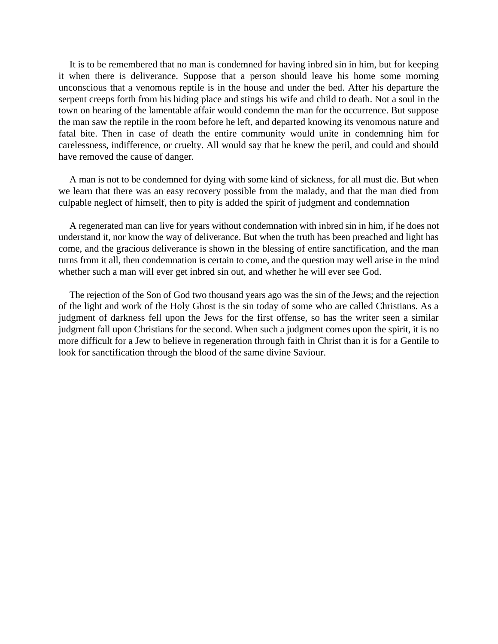It is to be remembered that no man is condemned for having inbred sin in him, but for keeping it when there is deliverance. Suppose that a person should leave his home some morning unconscious that a venomous reptile is in the house and under the bed. After his departure the serpent creeps forth from his hiding place and stings his wife and child to death. Not a soul in the town on hearing of the lamentable affair would condemn the man for the occurrence. But suppose the man saw the reptile in the room before he left, and departed knowing its venomous nature and fatal bite. Then in case of death the entire community would unite in condemning him for carelessness, indifference, or cruelty. All would say that he knew the peril, and could and should have removed the cause of danger.

A man is not to be condemned for dying with some kind of sickness, for all must die. But when we learn that there was an easy recovery possible from the malady, and that the man died from culpable neglect of himself, then to pity is added the spirit of judgment and condemnation

A regenerated man can live for years without condemnation with inbred sin in him, if he does not understand it, nor know the way of deliverance. But when the truth has been preached and light has come, and the gracious deliverance is shown in the blessing of entire sanctification, and the man turns from it all, then condemnation is certain to come, and the question may well arise in the mind whether such a man will ever get inbred sin out, and whether he will ever see God.

The rejection of the Son of God two thousand years ago was the sin of the Jews; and the rejection of the light and work of the Holy Ghost is the sin today of some who are called Christians. As a judgment of darkness fell upon the Jews for the first offense, so has the writer seen a similar judgment fall upon Christians for the second. When such a judgment comes upon the spirit, it is no more difficult for a Jew to believe in regeneration through faith in Christ than it is for a Gentile to look for sanctification through the blood of the same divine Saviour.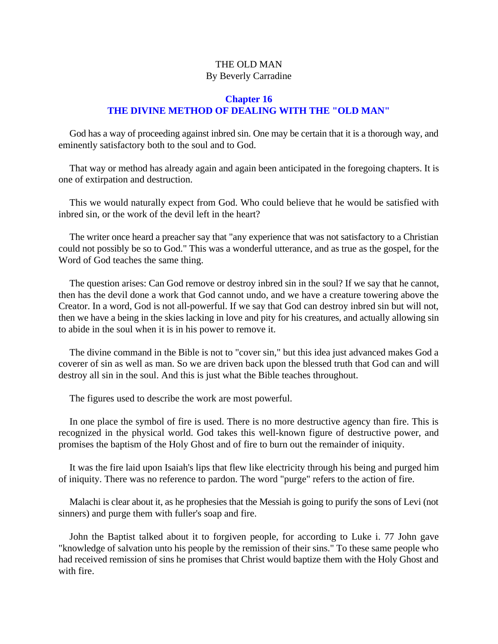# THE OLD MAN By Beverly Carradine

# **Chapter 16 THE DIVINE METHOD OF DEALING WITH THE "OLD MAN"**

God has a way of proceeding against inbred sin. One may be certain that it is a thorough way, and eminently satisfactory both to the soul and to God.

That way or method has already again and again been anticipated in the foregoing chapters. It is one of extirpation and destruction.

This we would naturally expect from God. Who could believe that he would be satisfied with inbred sin, or the work of the devil left in the heart?

The writer once heard a preacher say that "any experience that was not satisfactory to a Christian could not possibly be so to God." This was a wonderful utterance, and as true as the gospel, for the Word of God teaches the same thing.

The question arises: Can God remove or destroy inbred sin in the soul? If we say that he cannot, then has the devil done a work that God cannot undo, and we have a creature towering above the Creator. In a word, God is not all-powerful. If we say that God can destroy inbred sin but will not, then we have a being in the skies lacking in love and pity for his creatures, and actually allowing sin to abide in the soul when it is in his power to remove it.

The divine command in the Bible is not to "cover sin," but this idea just advanced makes God a coverer of sin as well as man. So we are driven back upon the blessed truth that God can and will destroy all sin in the soul. And this is just what the Bible teaches throughout.

The figures used to describe the work are most powerful.

In one place the symbol of fire is used. There is no more destructive agency than fire. This is recognized in the physical world. God takes this well-known figure of destructive power, and promises the baptism of the Holy Ghost and of fire to burn out the remainder of iniquity.

It was the fire laid upon Isaiah's lips that flew like electricity through his being and purged him of iniquity. There was no reference to pardon. The word "purge" refers to the action of fire.

Malachi is clear about it, as he prophesies that the Messiah is going to purify the sons of Levi (not sinners) and purge them with fuller's soap and fire.

John the Baptist talked about it to forgiven people, for according to Luke i. 77 John gave "knowledge of salvation unto his people by the remission of their sins." To these same people who had received remission of sins he promises that Christ would baptize them with the Holy Ghost and with fire.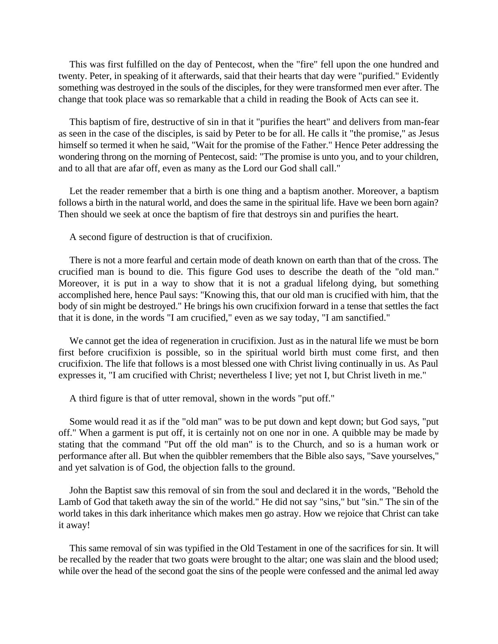This was first fulfilled on the day of Pentecost, when the "fire" fell upon the one hundred and twenty. Peter, in speaking of it afterwards, said that their hearts that day were "purified." Evidently something was destroyed in the souls of the disciples, for they were transformed men ever after. The change that took place was so remarkable that a child in reading the Book of Acts can see it.

This baptism of fire, destructive of sin in that it "purifies the heart" and delivers from man-fear as seen in the case of the disciples, is said by Peter to be for all. He calls it "the promise," as Jesus himself so termed it when he said, "Wait for the promise of the Father." Hence Peter addressing the wondering throng on the morning of Pentecost, said: "The promise is unto you, and to your children, and to all that are afar off, even as many as the Lord our God shall call."

Let the reader remember that a birth is one thing and a baptism another. Moreover, a baptism follows a birth in the natural world, and does the same in the spiritual life. Have we been born again? Then should we seek at once the baptism of fire that destroys sin and purifies the heart.

A second figure of destruction is that of crucifixion.

There is not a more fearful and certain mode of death known on earth than that of the cross. The crucified man is bound to die. This figure God uses to describe the death of the "old man." Moreover, it is put in a way to show that it is not a gradual lifelong dying, but something accomplished here, hence Paul says: "Knowing this, that our old man is crucified with him, that the body of sin might be destroyed." He brings his own crucifixion forward in a tense that settles the fact that it is done, in the words "I am crucified," even as we say today, "I am sanctified."

We cannot get the idea of regeneration in crucifixion. Just as in the natural life we must be born first before crucifixion is possible, so in the spiritual world birth must come first, and then crucifixion. The life that follows is a most blessed one with Christ living continually in us. As Paul expresses it, "I am crucified with Christ; nevertheless I live; yet not I, but Christ liveth in me."

A third figure is that of utter removal, shown in the words "put off."

Some would read it as if the "old man" was to be put down and kept down; but God says, "put off." When a garment is put off, it is certainly not on one nor in one. A quibble may be made by stating that the command "Put off the old man" is to the Church, and so is a human work or performance after all. But when the quibbler remembers that the Bible also says, "Save yourselves," and yet salvation is of God, the objection falls to the ground.

John the Baptist saw this removal of sin from the soul and declared it in the words, "Behold the Lamb of God that taketh away the sin of the world." He did not say "sins," but "sin." The sin of the world takes in this dark inheritance which makes men go astray. How we rejoice that Christ can take it away!

This same removal of sin was typified in the Old Testament in one of the sacrifices for sin. It will be recalled by the reader that two goats were brought to the altar; one was slain and the blood used; while over the head of the second goat the sins of the people were confessed and the animal led away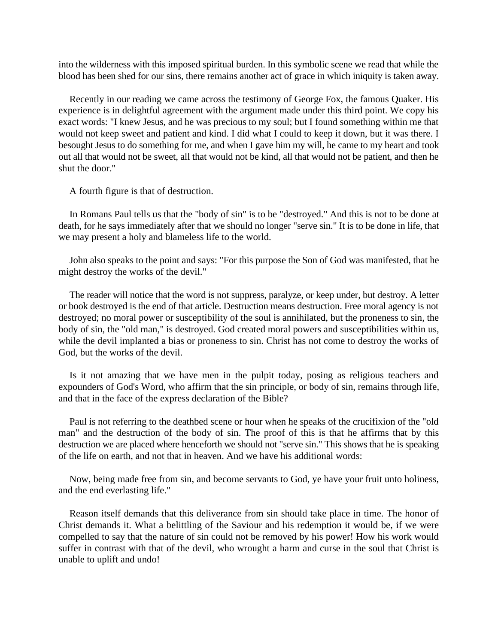into the wilderness with this imposed spiritual burden. In this symbolic scene we read that while the blood has been shed for our sins, there remains another act of grace in which iniquity is taken away.

Recently in our reading we came across the testimony of George Fox, the famous Quaker. His experience is in delightful agreement with the argument made under this third point. We copy his exact words: "I knew Jesus, and he was precious to my soul; but I found something within me that would not keep sweet and patient and kind. I did what I could to keep it down, but it was there. I besought Jesus to do something for me, and when I gave him my will, he came to my heart and took out all that would not be sweet, all that would not be kind, all that would not be patient, and then he shut the door.''

A fourth figure is that of destruction.

In Romans Paul tells us that the "body of sin" is to be "destroyed." And this is not to be done at death, for he says immediately after that we should no longer "serve sin." It is to be done in life, that we may present a holy and blameless life to the world.

John also speaks to the point and says: "For this purpose the Son of God was manifested, that he might destroy the works of the devil."

The reader will notice that the word is not suppress, paralyze, or keep under, but destroy. A letter or book destroyed is the end of that article. Destruction means destruction. Free moral agency is not destroyed; no moral power or susceptibility of the soul is annihilated, but the proneness to sin, the body of sin, the "old man," is destroyed. God created moral powers and susceptibilities within us, while the devil implanted a bias or proneness to sin. Christ has not come to destroy the works of God, but the works of the devil.

Is it not amazing that we have men in the pulpit today, posing as religious teachers and expounders of God's Word, who affirm that the sin principle, or body of sin, remains through life, and that in the face of the express declaration of the Bible?

Paul is not referring to the deathbed scene or hour when he speaks of the crucifixion of the "old man" and the destruction of the body of sin. The proof of this is that he affirms that by this destruction we are placed where henceforth we should not "serve sin." This shows that he is speaking of the life on earth, and not that in heaven. And we have his additional words:

Now, being made free from sin, and become servants to God, ye have your fruit unto holiness, and the end everlasting life."

Reason itself demands that this deliverance from sin should take place in time. The honor of Christ demands it. What a belittling of the Saviour and his redemption it would be, if we were compelled to say that the nature of sin could not be removed by his power! How his work would suffer in contrast with that of the devil, who wrought a harm and curse in the soul that Christ is unable to uplift and undo!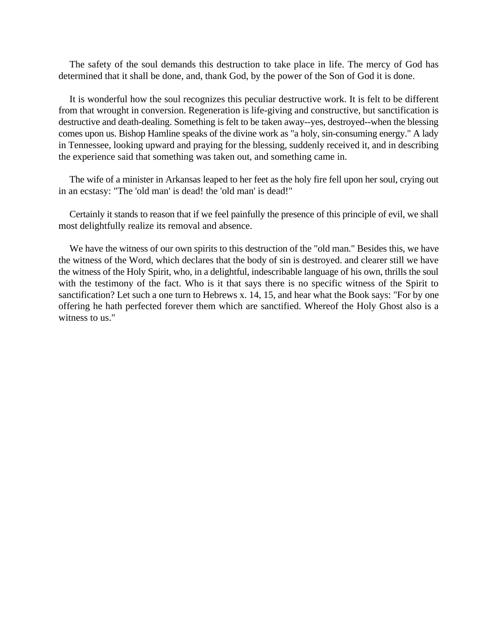The safety of the soul demands this destruction to take place in life. The mercy of God has determined that it shall be done, and, thank God, by the power of the Son of God it is done.

It is wonderful how the soul recognizes this peculiar destructive work. It is felt to be different from that wrought in conversion. Regeneration is life-giving and constructive, but sanctification is destructive and death-dealing. Something is felt to be taken away--yes, destroyed--when the blessing comes upon us. Bishop Hamline speaks of the divine work as "a holy, sin-consuming energy." A lady in Tennessee, looking upward and praying for the blessing, suddenly received it, and in describing the experience said that something was taken out, and something came in.

The wife of a minister in Arkansas leaped to her feet as the holy fire fell upon her soul, crying out in an ecstasy: "The 'old man' is dead! the 'old man' is dead!"

Certainly it stands to reason that if we feel painfully the presence of this principle of evil, we shall most delightfully realize its removal and absence.

We have the witness of our own spirits to this destruction of the "old man." Besides this, we have the witness of the Word, which declares that the body of sin is destroyed. and clearer still we have the witness of the Holy Spirit, who, in a delightful, indescribable language of his own, thrills the soul with the testimony of the fact. Who is it that says there is no specific witness of the Spirit to sanctification? Let such a one turn to Hebrews x. 14, 15, and hear what the Book says: "For by one offering he hath perfected forever them which are sanctified. Whereof the Holy Ghost also is a witness to us."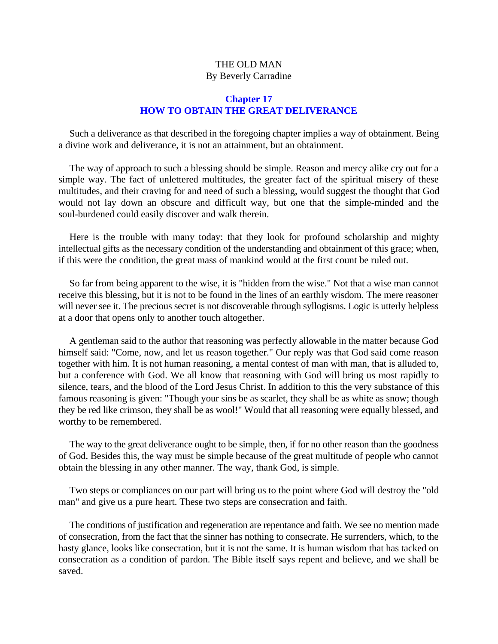# THE OLD MAN By Beverly Carradine

# **Chapter 17 HOW TO OBTAIN THE GREAT DELIVERANCE**

Such a deliverance as that described in the foregoing chapter implies a way of obtainment. Being a divine work and deliverance, it is not an attainment, but an obtainment.

The way of approach to such a blessing should be simple. Reason and mercy alike cry out for a simple way. The fact of unlettered multitudes, the greater fact of the spiritual misery of these multitudes, and their craving for and need of such a blessing, would suggest the thought that God would not lay down an obscure and difficult way, but one that the simple-minded and the soul-burdened could easily discover and walk therein.

Here is the trouble with many today: that they look for profound scholarship and mighty intellectual gifts as the necessary condition of the understanding and obtainment of this grace; when, if this were the condition, the great mass of mankind would at the first count be ruled out.

So far from being apparent to the wise, it is "hidden from the wise." Not that a wise man cannot receive this blessing, but it is not to be found in the lines of an earthly wisdom. The mere reasoner will never see it. The precious secret is not discoverable through syllogisms. Logic is utterly helpless at a door that opens only to another touch altogether.

A gentleman said to the author that reasoning was perfectly allowable in the matter because God himself said: "Come, now, and let us reason together." Our reply was that God said come reason together with him. It is not human reasoning, a mental contest of man with man, that is alluded to, but a conference with God. We all know that reasoning with God will bring us most rapidly to silence, tears, and the blood of the Lord Jesus Christ. In addition to this the very substance of this famous reasoning is given: "Though your sins be as scarlet, they shall be as white as snow; though they be red like crimson, they shall be as wool!" Would that all reasoning were equally blessed, and worthy to be remembered.

The way to the great deliverance ought to be simple, then, if for no other reason than the goodness of God. Besides this, the way must be simple because of the great multitude of people who cannot obtain the blessing in any other manner. The way, thank God, is simple.

Two steps or compliances on our part will bring us to the point where God will destroy the "old man" and give us a pure heart. These two steps are consecration and faith.

The conditions of justification and regeneration are repentance and faith. We see no mention made of consecration, from the fact that the sinner has nothing to consecrate. He surrenders, which, to the hasty glance, looks like consecration, but it is not the same. It is human wisdom that has tacked on consecration as a condition of pardon. The Bible itself says repent and believe, and we shall be saved.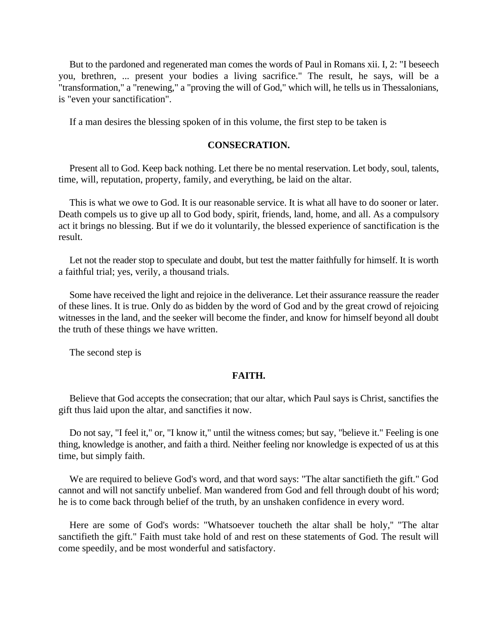But to the pardoned and regenerated man comes the words of Paul in Romans xii. I, 2: "I beseech you, brethren, ... present your bodies a living sacrifice." The result, he says, will be a "transformation," a "renewing," a "proving the will of God," which will, he tells us in Thessalonians, is "even your sanctification".

If a man desires the blessing spoken of in this volume, the first step to be taken is

#### **CONSECRATION.**

Present all to God. Keep back nothing. Let there be no mental reservation. Let body, soul, talents, time, will, reputation, property, family, and everything, be laid on the altar.

This is what we owe to God. It is our reasonable service. It is what all have to do sooner or later. Death compels us to give up all to God body, spirit, friends, land, home, and all. As a compulsory act it brings no blessing. But if we do it voluntarily, the blessed experience of sanctification is the result.

Let not the reader stop to speculate and doubt, but test the matter faithfully for himself. It is worth a faithful trial; yes, verily, a thousand trials.

Some have received the light and rejoice in the deliverance. Let their assurance reassure the reader of these lines. It is true. Only do as bidden by the word of God and by the great crowd of rejoicing witnesses in the land, and the seeker will become the finder, and know for himself beyond all doubt the truth of these things we have written.

The second step is

#### **FAITH.**

Believe that God accepts the consecration; that our altar, which Paul says is Christ, sanctifies the gift thus laid upon the altar, and sanctifies it now.

Do not say, "I feel it," or, "I know it," until the witness comes; but say, "believe it." Feeling is one thing, knowledge is another, and faith a third. Neither feeling nor knowledge is expected of us at this time, but simply faith.

We are required to believe God's word, and that word says: "The altar sanctifieth the gift." God cannot and will not sanctify unbelief. Man wandered from God and fell through doubt of his word; he is to come back through belief of the truth, by an unshaken confidence in every word.

Here are some of God's words: "Whatsoever toucheth the altar shall be holy,'' "The altar sanctifieth the gift." Faith must take hold of and rest on these statements of God. The result will come speedily, and be most wonderful and satisfactory.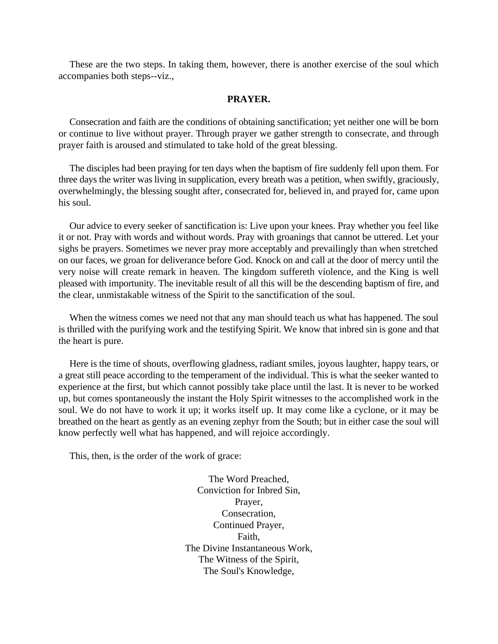These are the two steps. In taking them, however, there is another exercise of the soul which accompanies both steps--viz.,

#### **PRAYER.**

Consecration and faith are the conditions of obtaining sanctification; yet neither one will be born or continue to live without prayer. Through prayer we gather strength to consecrate, and through prayer faith is aroused and stimulated to take hold of the great blessing.

The disciples had been praying for ten days when the baptism of fire suddenly fell upon them. For three days the writer was living in supplication, every breath was a petition, when swiftly, graciously, overwhelmingly, the blessing sought after, consecrated for, believed in, and prayed for, came upon his soul.

Our advice to every seeker of sanctification is: Live upon your knees. Pray whether you feel like it or not. Pray with words and without words. Pray with groanings that cannot be uttered. Let your sighs be prayers. Sometimes we never pray more acceptably and prevailingly than when stretched on our faces, we groan for deliverance before God. Knock on and call at the door of mercy until the very noise will create remark in heaven. The kingdom suffereth violence, and the King is well pleased with importunity. The inevitable result of all this will be the descending baptism of fire, and the clear, unmistakable witness of the Spirit to the sanctification of the soul.

When the witness comes we need not that any man should teach us what has happened. The soul is thrilled with the purifying work and the testifying Spirit. We know that inbred sin is gone and that the heart is pure.

Here is the time of shouts, overflowing gladness, radiant smiles, joyous laughter, happy tears, or a great still peace according to the temperament of the individual. This is what the seeker wanted to experience at the first, but which cannot possibly take place until the last. It is never to be worked up, but comes spontaneously the instant the Holy Spirit witnesses to the accomplished work in the soul. We do not have to work it up; it works itself up. It may come like a cyclone, or it may be breathed on the heart as gently as an evening zephyr from the South; but in either case the soul will know perfectly well what has happened, and will rejoice accordingly.

This, then, is the order of the work of grace:

The Word Preached, Conviction for Inbred Sin, Prayer, Consecration, Continued Prayer, Faith, The Divine Instantaneous Work, The Witness of the Spirit, The Soul's Knowledge,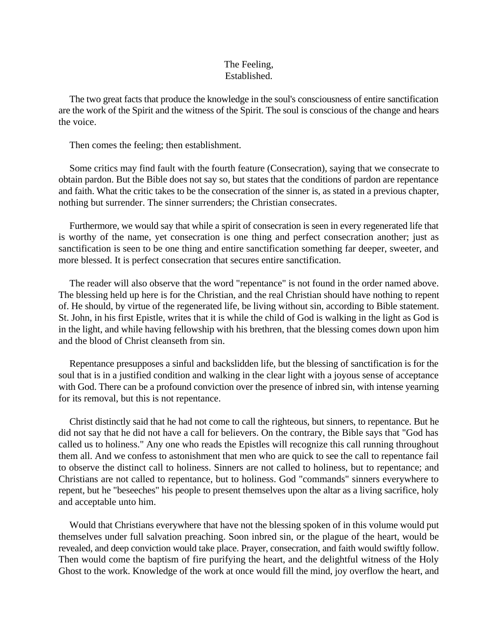#### The Feeling, Established.

The two great facts that produce the knowledge in the soul's consciousness of entire sanctification are the work of the Spirit and the witness of the Spirit. The soul is conscious of the change and hears the voice.

Then comes the feeling; then establishment.

Some critics may find fault with the fourth feature (Consecration), saying that we consecrate to obtain pardon. But the Bible does not say so, but states that the conditions of pardon are repentance and faith. What the critic takes to be the consecration of the sinner is, as stated in a previous chapter, nothing but surrender. The sinner surrenders; the Christian consecrates.

Furthermore, we would say that while a spirit of consecration is seen in every regenerated life that is worthy of the name, yet consecration is one thing and perfect consecration another; just as sanctification is seen to be one thing and entire sanctification something far deeper, sweeter, and more blessed. It is perfect consecration that secures entire sanctification.

The reader will also observe that the word "repentance" is not found in the order named above. The blessing held up here is for the Christian, and the real Christian should have nothing to repent of. He should, by virtue of the regenerated life, be living without sin, according to Bible statement. St. John, in his first Epistle, writes that it is while the child of God is walking in the light as God is in the light, and while having fellowship with his brethren, that the blessing comes down upon him and the blood of Christ cleanseth from sin.

Repentance presupposes a sinful and backslidden life, but the blessing of sanctification is for the soul that is in a justified condition and walking in the clear light with a joyous sense of acceptance with God. There can be a profound conviction over the presence of inbred sin, with intense yearning for its removal, but this is not repentance.

Christ distinctly said that he had not come to call the righteous, but sinners, to repentance. But he did not say that he did not have a call for believers. On the contrary, the Bible says that "God has called us to holiness." Any one who reads the Epistles will recognize this call running throughout them all. And we confess to astonishment that men who are quick to see the call to repentance fail to observe the distinct call to holiness. Sinners are not called to holiness, but to repentance; and Christians are not called to repentance, but to holiness. God "commands" sinners everywhere to repent, but he "beseeches" his people to present themselves upon the altar as a living sacrifice, holy and acceptable unto him.

Would that Christians everywhere that have not the blessing spoken of in this volume would put themselves under full salvation preaching. Soon inbred sin, or the plague of the heart, would be revealed, and deep conviction would take place. Prayer, consecration, and faith would swiftly follow. Then would come the baptism of fire purifying the heart, and the delightful witness of the Holy Ghost to the work. Knowledge of the work at once would fill the mind, joy overflow the heart, and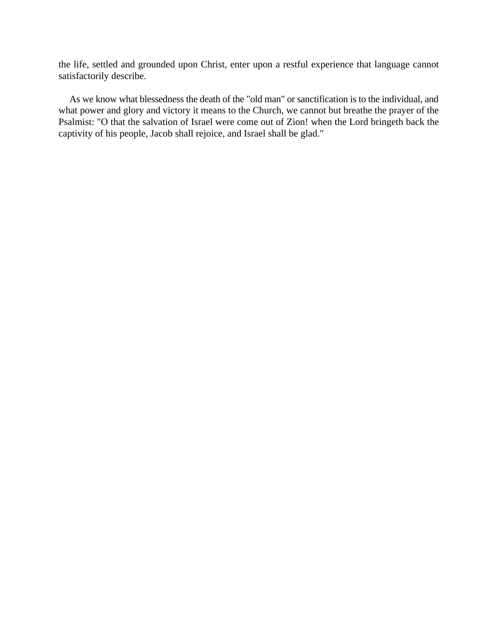the life, settled and grounded upon Christ, enter upon a restful experience that language cannot satisfactorily describe.

As we know what blessedness the death of the "old man" or sanctification is to the individual, and what power and glory and victory it means to the Church, we cannot but breathe the prayer of the Psalmist: "O that the salvation of Israel were come out of Zion! when the Lord bringeth back the captivity of his people, Jacob shall rejoice, and Israel shall be glad."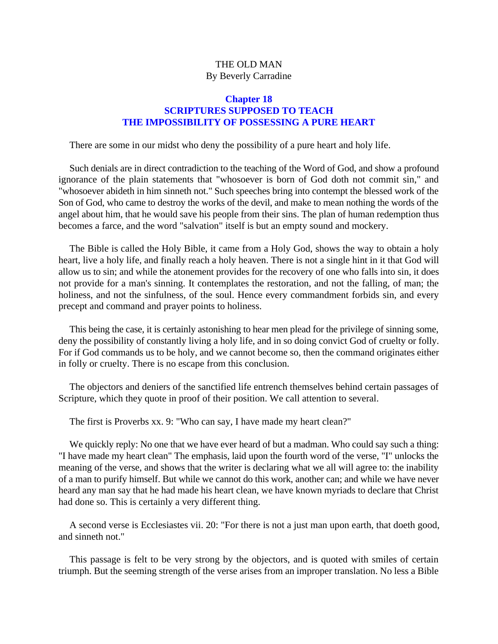# THE OLD MAN By Beverly Carradine

## **Chapter 18 SCRIPTURES SUPPOSED TO TEACH THE IMPOSSIBILITY OF POSSESSING A PURE HEART**

There are some in our midst who deny the possibility of a pure heart and holy life.

Such denials are in direct contradiction to the teaching of the Word of God, and show a profound ignorance of the plain statements that "whosoever is born of God doth not commit sin," and "whosoever abideth in him sinneth not." Such speeches bring into contempt the blessed work of the Son of God, who came to destroy the works of the devil, and make to mean nothing the words of the angel about him, that he would save his people from their sins. The plan of human redemption thus becomes a farce, and the word "salvation" itself is but an empty sound and mockery.

The Bible is called the Holy Bible, it came from a Holy God, shows the way to obtain a holy heart, live a holy life, and finally reach a holy heaven. There is not a single hint in it that God will allow us to sin; and while the atonement provides for the recovery of one who falls into sin, it does not provide for a man's sinning. It contemplates the restoration, and not the falling, of man; the holiness, and not the sinfulness, of the soul. Hence every commandment forbids sin, and every precept and command and prayer points to holiness.

This being the case, it is certainly astonishing to hear men plead for the privilege of sinning some, deny the possibility of constantly living a holy life, and in so doing convict God of cruelty or folly. For if God commands us to be holy, and we cannot become so, then the command originates either in folly or cruelty. There is no escape from this conclusion.

The objectors and deniers of the sanctified life entrench themselves behind certain passages of Scripture, which they quote in proof of their position. We call attention to several.

The first is Proverbs xx. 9: "Who can say, I have made my heart clean?"

We quickly reply: No one that we have ever heard of but a madman. Who could say such a thing: "I have made my heart clean" The emphasis, laid upon the fourth word of the verse, "I" unlocks the meaning of the verse, and shows that the writer is declaring what we all will agree to: the inability of a man to purify himself. But while we cannot do this work, another can; and while we have never heard any man say that he had made his heart clean, we have known myriads to declare that Christ had done so. This is certainly a very different thing.

A second verse is Ecclesiastes vii. 20: "For there is not a just man upon earth, that doeth good, and sinneth not."

This passage is felt to be very strong by the objectors, and is quoted with smiles of certain triumph. But the seeming strength of the verse arises from an improper translation. No less a Bible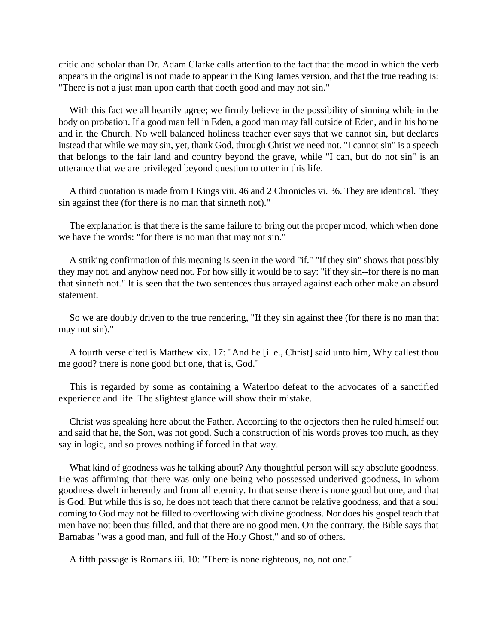critic and scholar than Dr. Adam Clarke calls attention to the fact that the mood in which the verb appears in the original is not made to appear in the King James version, and that the true reading is: "There is not a just man upon earth that doeth good and may not sin."

With this fact we all heartily agree; we firmly believe in the possibility of sinning while in the body on probation. If a good man fell in Eden, a good man may fall outside of Eden, and in his home and in the Church. No well balanced holiness teacher ever says that we cannot sin, but declares instead that while we may sin, yet, thank God, through Christ we need not. "I cannot sin" is a speech that belongs to the fair land and country beyond the grave, while "I can, but do not sin" is an utterance that we are privileged beyond question to utter in this life.

A third quotation is made from I Kings viii. 46 and 2 Chronicles vi. 36. They are identical. "they sin against thee (for there is no man that sinneth not)."

The explanation is that there is the same failure to bring out the proper mood, which when done we have the words: "for there is no man that may not sin."

A striking confirmation of this meaning is seen in the word "if." "If they sin" shows that possibly they may not, and anyhow need not. For how silly it would be to say: "if they sin--for there is no man that sinneth not." It is seen that the two sentences thus arrayed against each other make an absurd statement.

So we are doubly driven to the true rendering, "If they sin against thee (for there is no man that may not sin)."

A fourth verse cited is Matthew xix. 17: "And he [i. e., Christ] said unto him, Why callest thou me good? there is none good but one, that is, God."

This is regarded by some as containing a Waterloo defeat to the advocates of a sanctified experience and life. The slightest glance will show their mistake.

Christ was speaking here about the Father. According to the objectors then he ruled himself out and said that he, the Son, was not good. Such a construction of his words proves too much, as they say in logic, and so proves nothing if forced in that way.

What kind of goodness was he talking about? Any thoughtful person will say absolute goodness. He was affirming that there was only one being who possessed underived goodness, in whom goodness dwelt inherently and from all eternity. In that sense there is none good but one, and that is God. But while this is so, he does not teach that there cannot be relative goodness, and that a soul coming to God may not be filled to overflowing with divine goodness. Nor does his gospel teach that men have not been thus filled, and that there are no good men. On the contrary, the Bible says that Barnabas "was a good man, and full of the Holy Ghost," and so of others.

A fifth passage is Romans iii. 10: "There is none righteous, no, not one."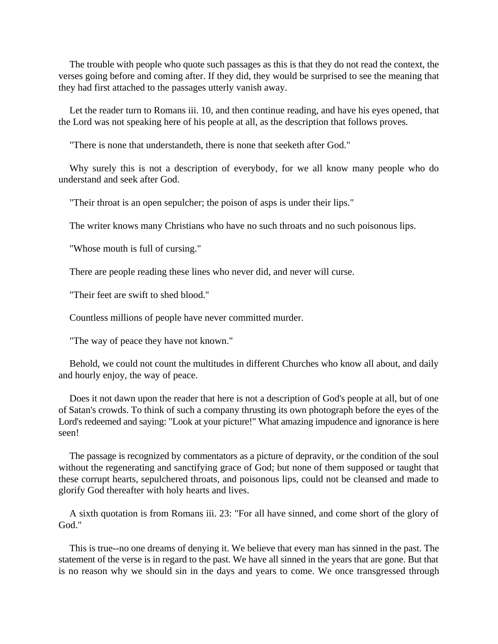The trouble with people who quote such passages as this is that they do not read the context, the verses going before and coming after. If they did, they would be surprised to see the meaning that they had first attached to the passages utterly vanish away.

Let the reader turn to Romans iii. 10, and then continue reading, and have his eyes opened, that the Lord was not speaking here of his people at all, as the description that follows proves.

"There is none that understandeth, there is none that seeketh after God."

Why surely this is not a description of everybody, for we all know many people who do understand and seek after God.

"Their throat is an open sepulcher; the poison of asps is under their lips."

The writer knows many Christians who have no such throats and no such poisonous lips.

"Whose mouth is full of cursing."

There are people reading these lines who never did, and never will curse.

"Their feet are swift to shed blood.''

Countless millions of people have never committed murder.

"The way of peace they have not known."

Behold, we could not count the multitudes in different Churches who know all about, and daily and hourly enjoy, the way of peace.

Does it not dawn upon the reader that here is not a description of God's people at all, but of one of Satan's crowds. To think of such a company thrusting its own photograph before the eyes of the Lord's redeemed and saying: "Look at your picture!" What amazing impudence and ignorance is here seen!

The passage is recognized by commentators as a picture of depravity, or the condition of the soul without the regenerating and sanctifying grace of God; but none of them supposed or taught that these corrupt hearts, sepulchered throats, and poisonous lips, could not be cleansed and made to glorify God thereafter with holy hearts and lives.

A sixth quotation is from Romans iii. 23: "For all have sinned, and come short of the glory of God."

This is true--no one dreams of denying it. We believe that every man has sinned in the past. The statement of the verse is in regard to the past. We have all sinned in the years that are gone. But that is no reason why we should sin in the days and years to come. We once transgressed through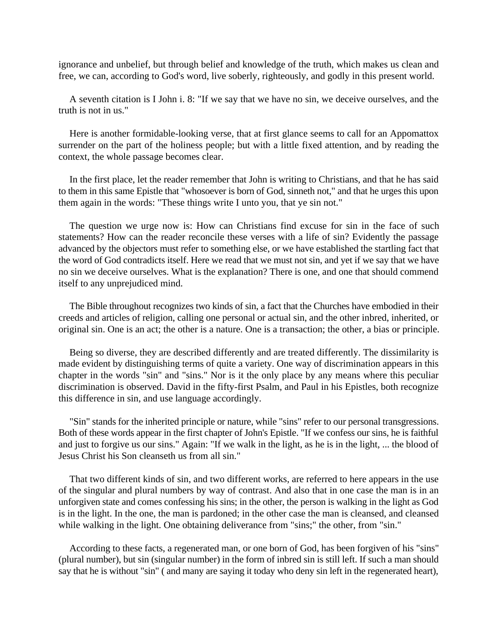ignorance and unbelief, but through belief and knowledge of the truth, which makes us clean and free, we can, according to God's word, live soberly, righteously, and godly in this present world.

A seventh citation is I John i. 8: "If we say that we have no sin, we deceive ourselves, and the truth is not in us."

Here is another formidable-looking verse, that at first glance seems to call for an Appomattox surrender on the part of the holiness people; but with a little fixed attention, and by reading the context, the whole passage becomes clear.

In the first place, let the reader remember that John is writing to Christians, and that he has said to them in this same Epistle that "whosoever is born of God, sinneth not," and that he urges this upon them again in the words: "These things write I unto you, that ye sin not."

The question we urge now is: How can Christians find excuse for sin in the face of such statements? How can the reader reconcile these verses with a life of sin? Evidently the passage advanced by the objectors must refer to something else, or we have established the startling fact that the word of God contradicts itself. Here we read that we must not sin, and yet if we say that we have no sin we deceive ourselves. What is the explanation? There is one, and one that should commend itself to any unprejudiced mind.

The Bible throughout recognizes two kinds of sin, a fact that the Churches have embodied in their creeds and articles of religion, calling one personal or actual sin, and the other inbred, inherited, or original sin. One is an act; the other is a nature. One is a transaction; the other, a bias or principle.

Being so diverse, they are described differently and are treated differently. The dissimilarity is made evident by distinguishing terms of quite a variety. One way of discrimination appears in this chapter in the words "sin" and "sins." Nor is it the only place by any means where this peculiar discrimination is observed. David in the fifty-first Psalm, and Paul in his Epistles, both recognize this difference in sin, and use language accordingly.

"Sin" stands for the inherited principle or nature, while "sins" refer to our personal transgressions. Both of these words appear in the first chapter of John's Epistle. "If we confess our sins, he is faithful and just to forgive us our sins." Again: "If we walk in the light, as he is in the light, ... the blood of Jesus Christ his Son cleanseth us from all sin."

That two different kinds of sin, and two different works, are referred to here appears in the use of the singular and plural numbers by way of contrast. And also that in one case the man is in an unforgiven state and comes confessing his sins; in the other, the person is walking in the light as God is in the light. In the one, the man is pardoned; in the other case the man is cleansed, and cleansed while walking in the light. One obtaining deliverance from "sins;" the other, from "sin."

According to these facts, a regenerated man, or one born of God, has been forgiven of his "sins" (plural number), but sin (singular number) in the form of inbred sin is still left. If such a man should say that he is without "sin" ( and many are saying it today who deny sin left in the regenerated heart),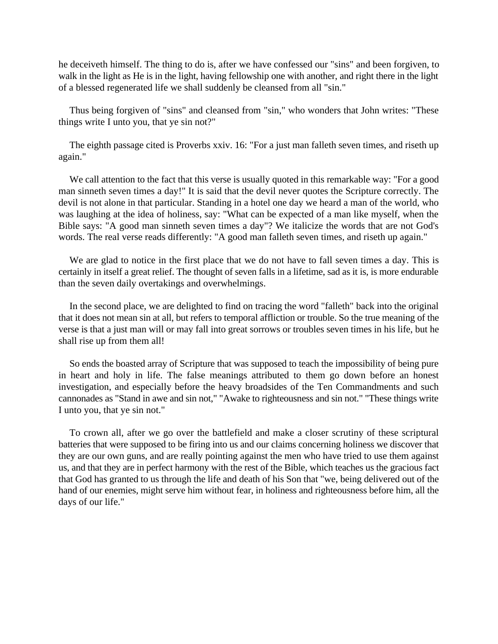he deceiveth himself. The thing to do is, after we have confessed our "sins" and been forgiven, to walk in the light as He is in the light, having fellowship one with another, and right there in the light of a blessed regenerated life we shall suddenly be cleansed from all "sin."

Thus being forgiven of "sins" and cleansed from "sin," who wonders that John writes: "These things write I unto you, that ye sin not?"

The eighth passage cited is Proverbs xxiv. 16: "For a just man falleth seven times, and riseth up again."

We call attention to the fact that this verse is usually quoted in this remarkable way: "For a good man sinneth seven times a day!" It is said that the devil never quotes the Scripture correctly. The devil is not alone in that particular. Standing in a hotel one day we heard a man of the world, who was laughing at the idea of holiness, say: "What can be expected of a man like myself, when the Bible says: "A good man sinneth seven times a day"? We italicize the words that are not God's words. The real verse reads differently: "A good man falleth seven times, and riseth up again."

We are glad to notice in the first place that we do not have to fall seven times a day. This is certainly in itself a great relief. The thought of seven falls in a lifetime, sad as it is, is more endurable than the seven daily overtakings and overwhelmings.

In the second place, we are delighted to find on tracing the word "falleth" back into the original that it does not mean sin at all, but refers to temporal affliction or trouble. So the true meaning of the verse is that a just man will or may fall into great sorrows or troubles seven times in his life, but he shall rise up from them all!

So ends the boasted array of Scripture that was supposed to teach the impossibility of being pure in heart and holy in life. The false meanings attributed to them go down before an honest investigation, and especially before the heavy broadsides of the Ten Commandments and such cannonades as "Stand in awe and sin not," "Awake to righteousness and sin not." "These things write I unto you, that ye sin not."

To crown all, after we go over the battlefield and make a closer scrutiny of these scriptural batteries that were supposed to be firing into us and our claims concerning holiness we discover that they are our own guns, and are really pointing against the men who have tried to use them against us, and that they are in perfect harmony with the rest of the Bible, which teaches us the gracious fact that God has granted to us through the life and death of his Son that "we, being delivered out of the hand of our enemies, might serve him without fear, in holiness and righteousness before him, all the days of our life."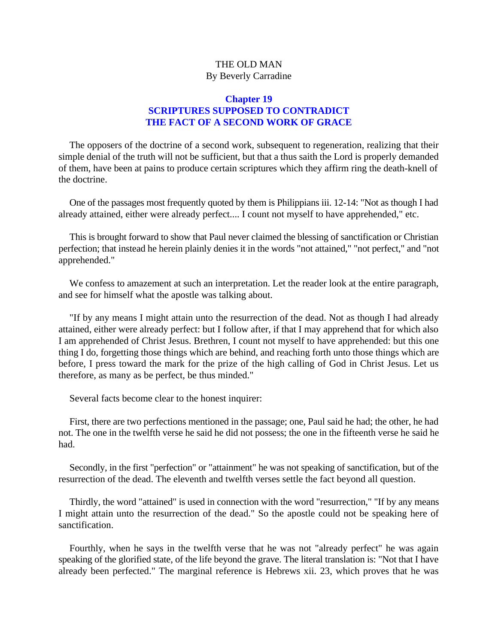# THE OLD MAN By Beverly Carradine

# **Chapter 19 SCRIPTURES SUPPOSED TO CONTRADICT THE FACT OF A SECOND WORK OF GRACE**

The opposers of the doctrine of a second work, subsequent to regeneration, realizing that their simple denial of the truth will not be sufficient, but that a thus saith the Lord is properly demanded of them, have been at pains to produce certain scriptures which they affirm ring the death-knell of the doctrine.

One of the passages most frequently quoted by them is Philippians iii. 12-14: "Not as though I had already attained, either were already perfect.... I count not myself to have apprehended," etc.

This is brought forward to show that Paul never claimed the blessing of sanctification or Christian perfection; that instead he herein plainly denies it in the words "not attained," "not perfect," and "not apprehended."

We confess to amazement at such an interpretation. Let the reader look at the entire paragraph, and see for himself what the apostle was talking about.

"If by any means I might attain unto the resurrection of the dead. Not as though I had already attained, either were already perfect: but I follow after, if that I may apprehend that for which also I am apprehended of Christ Jesus. Brethren, I count not myself to have apprehended: but this one thing I do, forgetting those things which are behind, and reaching forth unto those things which are before, I press toward the mark for the prize of the high calling of God in Christ Jesus. Let us therefore, as many as be perfect, be thus minded."

Several facts become clear to the honest inquirer:

First, there are two perfections mentioned in the passage; one, Paul said he had; the other, he had not. The one in the twelfth verse he said he did not possess; the one in the fifteenth verse he said he had.

Secondly, in the first "perfection" or "attainment" he was not speaking of sanctification, but of the resurrection of the dead. The eleventh and twelfth verses settle the fact beyond all question.

Thirdly, the word "attained" is used in connection with the word "resurrection," "If by any means I might attain unto the resurrection of the dead." So the apostle could not be speaking here of sanctification.

Fourthly, when he says in the twelfth verse that he was not "already perfect" he was again speaking of the glorified state, of the life beyond the grave. The literal translation is: "Not that I have already been perfected." The marginal reference is Hebrews xii. 23, which proves that he was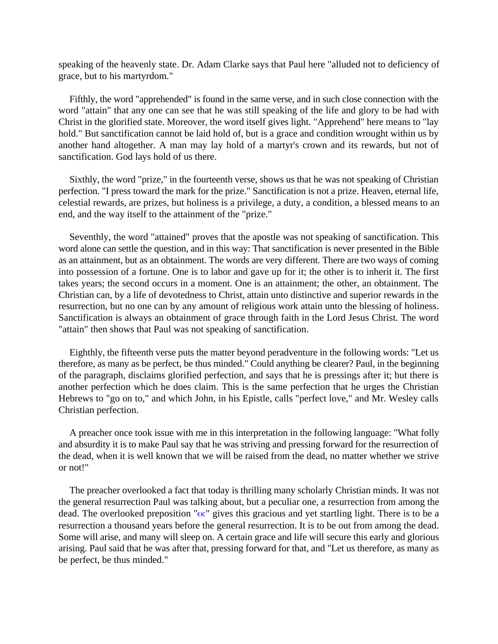speaking of the heavenly state. Dr. Adam Clarke says that Paul here "alluded not to deficiency of grace, but to his martyrdom."

Fifthly, the word "apprehended" is found in the same verse, and in such close connection with the word "attain" that any one can see that he was still speaking of the life and glory to be had with Christ in the glorified state. Moreover, the word itself gives light. "Apprehend" here means to "lay hold." But sanctification cannot be laid hold of, but is a grace and condition wrought within us by another hand altogether. A man may lay hold of a martyr's crown and its rewards, but not of sanctification. God lays hold of us there.

Sixthly, the word "prize," in the fourteenth verse, shows us that he was not speaking of Christian perfection. "I press toward the mark for the prize." Sanctification is not a prize. Heaven, eternal life, celestial rewards, are prizes, but holiness is a privilege, a duty, a condition, a blessed means to an end, and the way itself to the attainment of the "prize."

Seventhly, the word "attained" proves that the apostle was not speaking of sanctification. This word alone can settle the question, and in this way: That sanctification is never presented in the Bible as an attainment, but as an obtainment. The words are very different. There are two ways of coming into possession of a fortune. One is to labor and gave up for it; the other is to inherit it. The first takes years; the second occurs in a moment. One is an attainment; the other, an obtainment. The Christian can, by a life of devotedness to Christ, attain unto distinctive and superior rewards in the resurrection, but no one can by any amount of religious work attain unto the blessing of holiness. Sanctification is always an obtainment of grace through faith in the Lord Jesus Christ. The word "attain" then shows that Paul was not speaking of sanctification.

Eighthly, the fifteenth verse puts the matter beyond peradventure in the following words: "Let us therefore, as many as be perfect, be thus minded." Could anything be clearer? Paul, in the beginning of the paragraph, disclaims glorified perfection, and says that he is pressings after it; but there is another perfection which he does claim. This is the same perfection that he urges the Christian Hebrews to "go on to," and which John, in his Epistle, calls "perfect love," and Mr. Wesley calls Christian perfection.

A preacher once took issue with me in this interpretation in the following language: "What folly and absurdity it is to make Paul say that he was striving and pressing forward for the resurrection of the dead, when it is well known that we will be raised from the dead, no matter whether we strive or not!"

The preacher overlooked a fact that today is thrilling many scholarly Christian minds. It was not the general resurrection Paul was talking about, but a peculiar one, a resurrection from among the dead. The overlooked preposition " $\epsilon \kappa$ " gives this gracious and yet startling light. There is to be a resurrection a thousand years before the general resurrection. It is to be out from among the dead. Some will arise, and many will sleep on. A certain grace and life will secure this early and glorious arising. Paul said that he was after that, pressing forward for that, and "Let us therefore, as many as be perfect, be thus minded."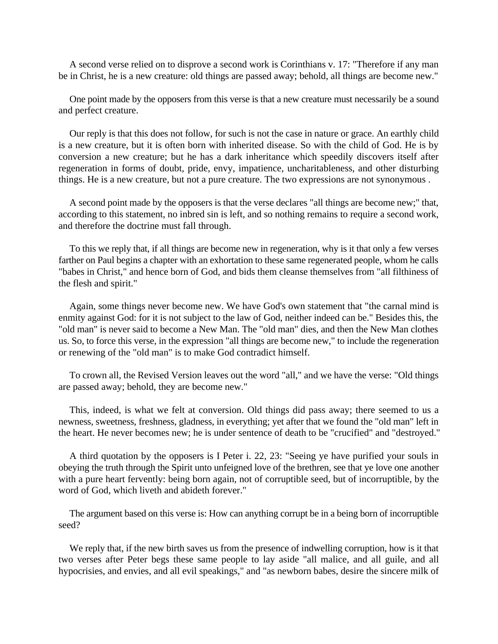A second verse relied on to disprove a second work is Corinthians v. 17: "Therefore if any man be in Christ, he is a new creature: old things are passed away; behold, all things are become new."

One point made by the opposers from this verse is that a new creature must necessarily be a sound and perfect creature.

Our reply is that this does not follow, for such is not the case in nature or grace. An earthly child is a new creature, but it is often born with inherited disease. So with the child of God. He is by conversion a new creature; but he has a dark inheritance which speedily discovers itself after regeneration in forms of doubt, pride, envy, impatience, uncharitableness, and other disturbing things. He is a new creature, but not a pure creature. The two expressions are not synonymous .

A second point made by the opposers is that the verse declares "all things are become new;" that, according to this statement, no inbred sin is left, and so nothing remains to require a second work, and therefore the doctrine must fall through.

To this we reply that, if all things are become new in regeneration, why is it that only a few verses farther on Paul begins a chapter with an exhortation to these same regenerated people, whom he calls "babes in Christ," and hence born of God, and bids them cleanse themselves from "all filthiness of the flesh and spirit."

Again, some things never become new. We have God's own statement that "the carnal mind is enmity against God: for it is not subject to the law of God, neither indeed can be." Besides this, the "old man" is never said to become a New Man. The "old man" dies, and then the New Man clothes us. So, to force this verse, in the expression "all things are become new," to include the regeneration or renewing of the "old man" is to make God contradict himself.

To crown all, the Revised Version leaves out the word "all," and we have the verse: "Old things are passed away; behold, they are become new."

This, indeed, is what we felt at conversion. Old things did pass away; there seemed to us a newness, sweetness, freshness, gladness, in everything; yet after that we found the "old man" left in the heart. He never becomes new; he is under sentence of death to be "crucified" and "destroyed."

A third quotation by the opposers is I Peter i. 22, 23: "Seeing ye have purified your souls in obeying the truth through the Spirit unto unfeigned love of the brethren, see that ye love one another with a pure heart fervently: being born again, not of corruptible seed, but of incorruptible, by the word of God, which liveth and abideth forever."

The argument based on this verse is: How can anything corrupt be in a being born of incorruptible seed?

We reply that, if the new birth saves us from the presence of indwelling corruption, how is it that two verses after Peter begs these same people to lay aside "all malice, and all guile, and all hypocrisies, and envies, and all evil speakings," and "as newborn babes, desire the sincere milk of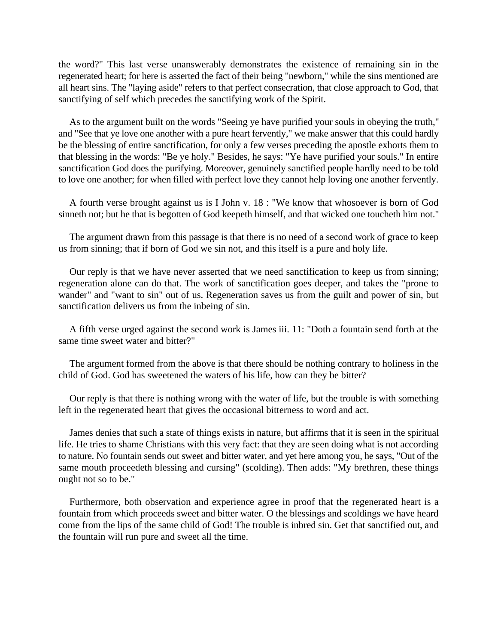the word?" This last verse unanswerably demonstrates the existence of remaining sin in the regenerated heart; for here is asserted the fact of their being "newborn," while the sins mentioned are all heart sins. The "laying aside" refers to that perfect consecration, that close approach to God, that sanctifying of self which precedes the sanctifying work of the Spirit.

As to the argument built on the words "Seeing ye have purified your souls in obeying the truth," and "See that ye love one another with a pure heart fervently," we make answer that this could hardly be the blessing of entire sanctification, for only a few verses preceding the apostle exhorts them to that blessing in the words: "Be ye holy." Besides, he says: "Ye have purified your souls." In entire sanctification God does the purifying. Moreover, genuinely sanctified people hardly need to be told to love one another; for when filled with perfect love they cannot help loving one another fervently.

A fourth verse brought against us is I John v. 18 : "We know that whosoever is born of God sinneth not; but he that is begotten of God keepeth himself, and that wicked one toucheth him not."

The argument drawn from this passage is that there is no need of a second work of grace to keep us from sinning; that if born of God we sin not, and this itself is a pure and holy life.

Our reply is that we have never asserted that we need sanctification to keep us from sinning; regeneration alone can do that. The work of sanctification goes deeper, and takes the "prone to wander" and "want to sin" out of us. Regeneration saves us from the guilt and power of sin, but sanctification delivers us from the inbeing of sin.

A fifth verse urged against the second work is James iii. 11: "Doth a fountain send forth at the same time sweet water and bitter?"

The argument formed from the above is that there should be nothing contrary to holiness in the child of God. God has sweetened the waters of his life, how can they be bitter?

Our reply is that there is nothing wrong with the water of life, but the trouble is with something left in the regenerated heart that gives the occasional bitterness to word and act.

James denies that such a state of things exists in nature, but affirms that it is seen in the spiritual life. He tries to shame Christians with this very fact: that they are seen doing what is not according to nature. No fountain sends out sweet and bitter water, and yet here among you, he says, "Out of the same mouth proceedeth blessing and cursing" (scolding). Then adds: "My brethren, these things ought not so to be."

Furthermore, both observation and experience agree in proof that the regenerated heart is a fountain from which proceeds sweet and bitter water. O the blessings and scoldings we have heard come from the lips of the same child of God! The trouble is inbred sin. Get that sanctified out, and the fountain will run pure and sweet all the time.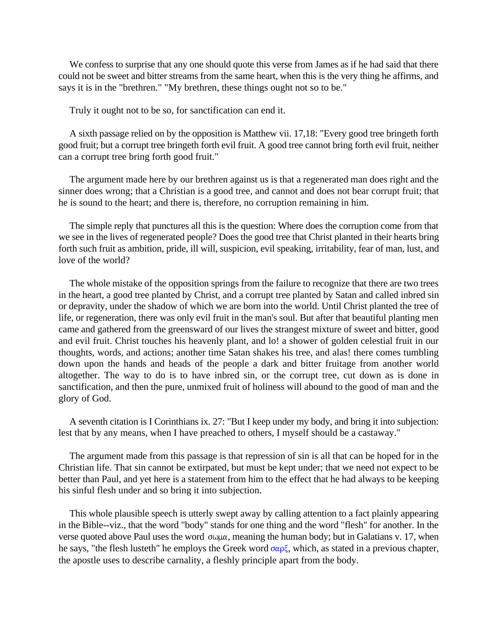We confess to surprise that any one should quote this verse from James as if he had said that there could not be sweet and bitter streams from the same heart, when this is the very thing he affirms, and says it is in the "brethren." "My brethren, these things ought not so to be."

Truly it ought not to be so, for sanctification can end it.

A sixth passage relied on by the opposition is Matthew vii. 17,18: "Every good tree bringeth forth good fruit; but a corrupt tree bringeth forth evil fruit. A good tree cannot bring forth evil fruit, neither can a corrupt tree bring forth good fruit."

The argument made here by our brethren against us is that a regenerated man does right and the sinner does wrong; that a Christian is a good tree, and cannot and does not bear corrupt fruit; that he is sound to the heart; and there is, therefore, no corruption remaining in him.

The simple reply that punctures all this is the question: Where does the corruption come from that we see in the lives of regenerated people? Does the good tree that Christ planted in their hearts bring forth such fruit as ambition, pride, ill will, suspicion, evil speaking, irritability, fear of man, lust, and love of the world?

The whole mistake of the opposition springs from the failure to recognize that there are two trees in the heart, a good tree planted by Christ, and a corrupt tree planted by Satan and called inbred sin or depravity, under the shadow of which we are born into the world. Until Christ planted the tree of life, or regeneration, there was only evil fruit in the man's soul. But after that beautiful planting men came and gathered from the greensward of our lives the strangest mixture of sweet and bitter, good and evil fruit. Christ touches his heavenly plant, and lo! a shower of golden celestial fruit in our thoughts, words, and actions; another time Satan shakes his tree, and alas! there comes tumbling down upon the hands and heads of the people a dark and bitter fruitage from another world altogether. The way to do is to have inbred sin, or the corrupt tree, cut down as is done in sanctification, and then the pure, unmixed fruit of holiness will abound to the good of man and the glory of God.

A seventh citation is I Corinthians ix. 27: "But I keep under my body, and bring it into subjection: lest that by any means, when I have preached to others, I myself should be a castaway."

The argument made from this passage is that repression of sin is all that can be hoped for in the Christian life. That sin cannot be extirpated, but must be kept under; that we need not expect to be better than Paul, and yet here is a statement from him to the effect that he had always to be keeping his sinful flesh under and so bring it into subjection.

This whole plausible speech is utterly swept away by calling attention to a fact plainly appearing in the Bible--viz., that the word "body" stands for one thing and the word "flesh" for another. In the verse quoted above Paul uses the word  $\sigma \omega \mu \alpha$ , meaning the human body; but in Galatians v. 17, when he says, "the flesh lusteth" he employs the Greek word  $\sigma \alpha \rho \zeta$ , which, as stated in a previous chapter, the apostle uses to describe carnality, a fleshly principle apart from the body.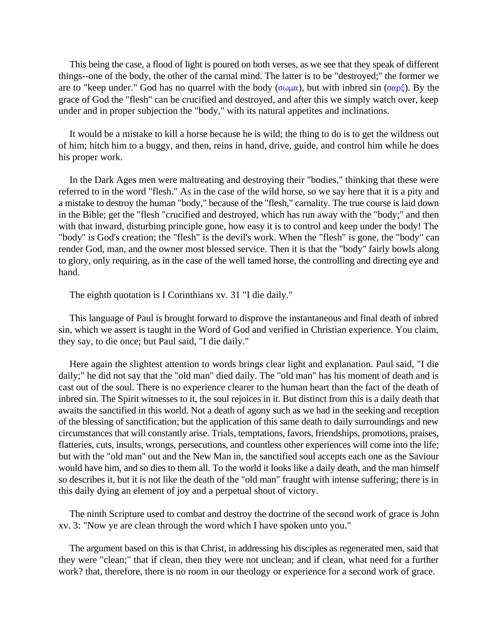This being the case, a flood of light is poured on both verses, as we see that they speak of different things--one of the body, the other of the carnal mind. The latter is to be "destroyed;" the former we are to "keep under." God has no quarrel with the body ( $\sigma \omega \mu \alpha$ ), but with inbred sin ( $\sigma \alpha \rho \xi$ ). By the grace of God the "flesh" can be crucified and destroyed, and after this we simply watch over, keep under and in proper subjection the "body," with its natural appetites and inclinations.

It would be a mistake to kill a horse because he is wild; the thing to do is to get the wildness out of him; hitch him to a buggy, and then, reins in hand, drive, guide, and control him while he does his proper work.

In the Dark Ages men were maltreating and destroying their "bodies," thinking that these were referred to in the word "flesh." As in the case of the wild horse, so we say here that it is a pity and a mistake to destroy the human "body," because of the "flesh," carnality. The true course is laid down in the Bible; get the "flesh "crucified and destroyed, which has run away with the "body;" and then with that inward, disturbing principle gone, how easy it is to control and keep under the body! The "body'' is God's creation; the "flesh" is the devil's work. When the "flesh" is gone, the "body" can render God, man, and the owner most blessed service. Then it is that the "body" fairly bowls along to glory, only requiring, as in the case of the well tamed horse, the controlling and directing eye and hand.

The eighth quotation is I Corinthians xv. 31 "I die daily."

This language of Paul is brought forward to disprove the instantaneous and final death of inbred sin, which we assert is taught in the Word of God and verified in Christian experience. You claim, they say, to die once; but Paul said, "I die daily."

Here again the slightest attention to words brings clear light and explanation. Paul said, "I die daily;" he did not say that the "old man" died daily. The "old man" has his moment of death and is cast out of the soul. There is no experience clearer to the human heart than the fact of the death of inbred sin. The Spirit witnesses to it, the soul rejoices in it. But distinct from this is a daily death that awaits the sanctified in this world. Not a death of agony such as we had in the seeking and reception of the blessing of sanctification; but the application of this same death to daily surroundings and new circumstances that will constantly arise. Trials, temptations, favors, friendships, promotions, praises, flatteries, cuts, insults, wrongs, persecutions, and countless other experiences will come into the life; but with the "old man" out and the New Man in, the sanctified soul accepts each one as the Saviour would have him, and so dies to them all. To the world it looks like a daily death, and the man himself so describes it, but it is not like the death of the "old man" fraught with intense suffering; there is in this daily dying an element of joy and a perpetual shout of victory.

The ninth Scripture used to combat and destroy the doctrine of the second work of grace is John xv. 3: "Now ye are clean through the word which I have spoken unto you."

The argument based on this is that Christ, in addressing his disciples as regenerated men, said that they were "clean;" that if clean, then they were not unclean; and if clean, what need for a further work? that, therefore, there is no room in our theology or experience for a second work of grace.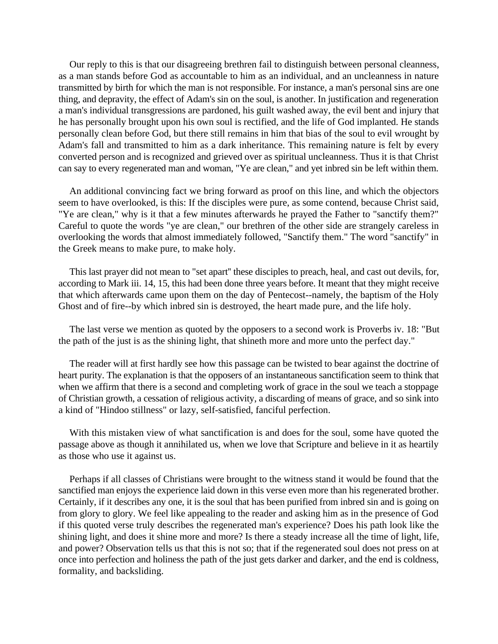Our reply to this is that our disagreeing brethren fail to distinguish between personal cleanness, as a man stands before God as accountable to him as an individual, and an uncleanness in nature transmitted by birth for which the man is not responsible. For instance, a man's personal sins are one thing, and depravity, the effect of Adam's sin on the soul, is another. In justification and regeneration a man's individual transgressions are pardoned, his guilt washed away, the evil bent and injury that he has personally brought upon his own soul is rectified, and the life of God implanted. He stands personally clean before God, but there still remains in him that bias of the soul to evil wrought by Adam's fall and transmitted to him as a dark inheritance. This remaining nature is felt by every converted person and is recognized and grieved over as spiritual uncleanness. Thus it is that Christ can say to every regenerated man and woman, "Ye are clean," and yet inbred sin be left within them.

An additional convincing fact we bring forward as proof on this line, and which the objectors seem to have overlooked, is this: If the disciples were pure, as some contend, because Christ said, "Ye are clean," why is it that a few minutes afterwards he prayed the Father to "sanctify them?" Careful to quote the words "ye are clean," our brethren of the other side are strangely careless in overlooking the words that almost immediately followed, "Sanctify them." The word "sanctify" in the Greek means to make pure, to make holy.

This last prayer did not mean to "set apart'' these disciples to preach, heal, and cast out devils, for, according to Mark iii. 14, 15, this had been done three years before. It meant that they might receive that which afterwards came upon them on the day of Pentecost--namely, the baptism of the Holy Ghost and of fire--by which inbred sin is destroyed, the heart made pure, and the life holy.

The last verse we mention as quoted by the opposers to a second work is Proverbs iv. 18: "But the path of the just is as the shining light, that shineth more and more unto the perfect day."

The reader will at first hardly see how this passage can be twisted to bear against the doctrine of heart purity. The explanation is that the opposers of an instantaneous sanctification seem to think that when we affirm that there is a second and completing work of grace in the soul we teach a stoppage of Christian growth, a cessation of religious activity, a discarding of means of grace, and so sink into a kind of "Hindoo stillness" or lazy, self-satisfied, fanciful perfection.

With this mistaken view of what sanctification is and does for the soul, some have quoted the passage above as though it annihilated us, when we love that Scripture and believe in it as heartily as those who use it against us.

Perhaps if all classes of Christians were brought to the witness stand it would be found that the sanctified man enjoys the experience laid down in this verse even more than his regenerated brother. Certainly, if it describes any one, it is the soul that has been purified from inbred sin and is going on from glory to glory. We feel like appealing to the reader and asking him as in the presence of God if this quoted verse truly describes the regenerated man's experience? Does his path look like the shining light, and does it shine more and more? Is there a steady increase all the time of light, life, and power? Observation tells us that this is not so; that if the regenerated soul does not press on at once into perfection and holiness the path of the just gets darker and darker, and the end is coldness, formality, and backsliding.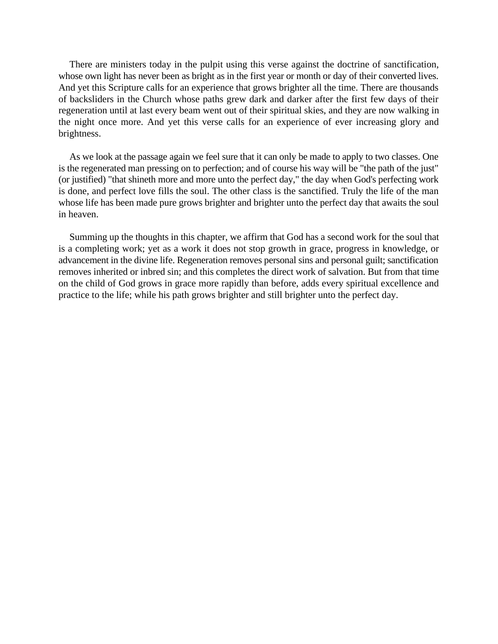There are ministers today in the pulpit using this verse against the doctrine of sanctification, whose own light has never been as bright as in the first year or month or day of their converted lives. And yet this Scripture calls for an experience that grows brighter all the time. There are thousands of backsliders in the Church whose paths grew dark and darker after the first few days of their regeneration until at last every beam went out of their spiritual skies, and they are now walking in the night once more. And yet this verse calls for an experience of ever increasing glory and brightness.

As we look at the passage again we feel sure that it can only be made to apply to two classes. One is the regenerated man pressing on to perfection; and of course his way will be "the path of the just" (or justified) "that shineth more and more unto the perfect day," the day when God's perfecting work is done, and perfect love fills the soul. The other class is the sanctified. Truly the life of the man whose life has been made pure grows brighter and brighter unto the perfect day that awaits the soul in heaven.

Summing up the thoughts in this chapter, we affirm that God has a second work for the soul that is a completing work; yet as a work it does not stop growth in grace, progress in knowledge, or advancement in the divine life. Regeneration removes personal sins and personal guilt; sanctification removes inherited or inbred sin; and this completes the direct work of salvation. But from that time on the child of God grows in grace more rapidly than before, adds every spiritual excellence and practice to the life; while his path grows brighter and still brighter unto the perfect day.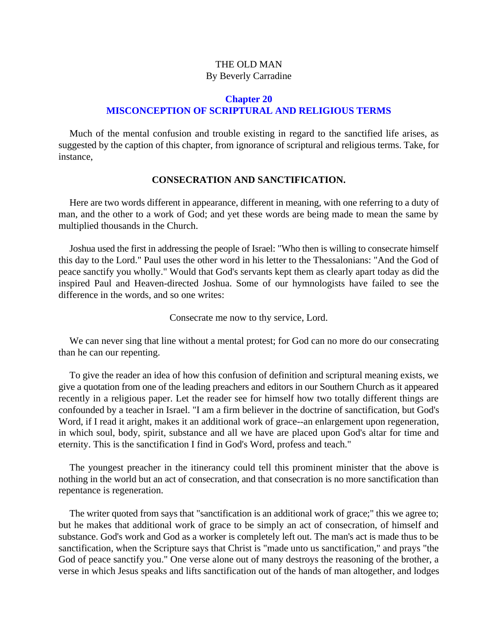# THE OLD MAN By Beverly Carradine

# **Chapter 20 MISCONCEPTION OF SCRIPTURAL AND RELIGIOUS TERMS**

Much of the mental confusion and trouble existing in regard to the sanctified life arises, as suggested by the caption of this chapter, from ignorance of scriptural and religious terms. Take, for instance,

#### **CONSECRATION AND SANCTIFICATION.**

Here are two words different in appearance, different in meaning, with one referring to a duty of man, and the other to a work of God; and yet these words are being made to mean the same by multiplied thousands in the Church.

Joshua used the first in addressing the people of Israel: "Who then is willing to consecrate himself this day to the Lord." Paul uses the other word in his letter to the Thessalonians: "And the God of peace sanctify you wholly." Would that God's servants kept them as clearly apart today as did the inspired Paul and Heaven-directed Joshua. Some of our hymnologists have failed to see the difference in the words, and so one writes:

Consecrate me now to thy service, Lord.

We can never sing that line without a mental protest; for God can no more do our consecrating than he can our repenting.

To give the reader an idea of how this confusion of definition and scriptural meaning exists, we give a quotation from one of the leading preachers and editors in our Southern Church as it appeared recently in a religious paper. Let the reader see for himself how two totally different things are confounded by a teacher in Israel. "I am a firm believer in the doctrine of sanctification, but God's Word, if I read it aright, makes it an additional work of grace--an enlargement upon regeneration, in which soul, body, spirit, substance and all we have are placed upon God's altar for time and eternity. This is the sanctification I find in God's Word, profess and teach."

The youngest preacher in the itinerancy could tell this prominent minister that the above is nothing in the world but an act of consecration, and that consecration is no more sanctification than repentance is regeneration.

The writer quoted from says that "sanctification is an additional work of grace;" this we agree to; but he makes that additional work of grace to be simply an act of consecration, of himself and substance. God's work and God as a worker is completely left out. The man's act is made thus to be sanctification, when the Scripture says that Christ is "made unto us sanctification," and prays "the God of peace sanctify you." One verse alone out of many destroys the reasoning of the brother, a verse in which Jesus speaks and lifts sanctification out of the hands of man altogether, and lodges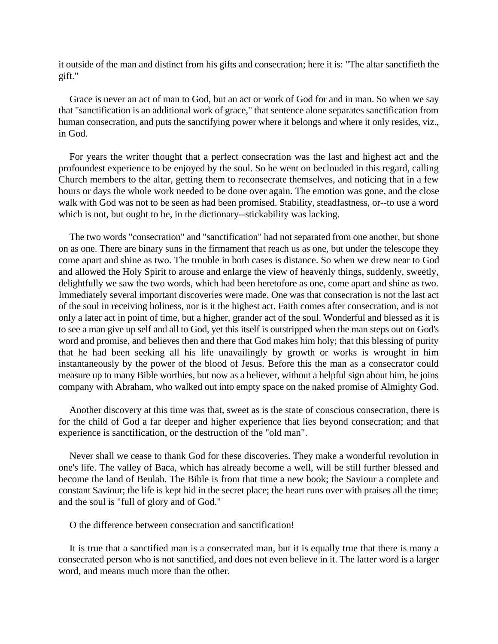it outside of the man and distinct from his gifts and consecration; here it is: "The altar sanctifieth the gift."

Grace is never an act of man to God, but an act or work of God for and in man. So when we say that "sanctification is an additional work of grace," that sentence alone separates sanctification from human consecration, and puts the sanctifying power where it belongs and where it only resides, viz., in God.

For years the writer thought that a perfect consecration was the last and highest act and the profoundest experience to be enjoyed by the soul. So he went on beclouded in this regard, calling Church members to the altar, getting them to reconsecrate themselves, and noticing that in a few hours or days the whole work needed to be done over again. The emotion was gone, and the close walk with God was not to be seen as had been promised. Stability, steadfastness, or--to use a word which is not, but ought to be, in the dictionary--stickability was lacking.

The two words "consecration" and "sanctification" had not separated from one another, but shone on as one. There are binary suns in the firmament that reach us as one, but under the telescope they come apart and shine as two. The trouble in both cases is distance. So when we drew near to God and allowed the Holy Spirit to arouse and enlarge the view of heavenly things, suddenly, sweetly, delightfully we saw the two words, which had been heretofore as one, come apart and shine as two. Immediately several important discoveries were made. One was that consecration is not the last act of the soul in receiving holiness, nor is it the highest act. Faith comes after consecration, and is not only a later act in point of time, but a higher, grander act of the soul. Wonderful and blessed as it is to see a man give up self and all to God, yet this itself is outstripped when the man steps out on God's word and promise, and believes then and there that God makes him holy; that this blessing of purity that he had been seeking all his life unavailingly by growth or works is wrought in him instantaneously by the power of the blood of Jesus. Before this the man as a consecrator could measure up to many Bible worthies, but now as a believer, without a helpful sign about him, he joins company with Abraham, who walked out into empty space on the naked promise of Almighty God.

Another discovery at this time was that, sweet as is the state of conscious consecration, there is for the child of God a far deeper and higher experience that lies beyond consecration; and that experience is sanctification, or the destruction of the "old man".

Never shall we cease to thank God for these discoveries. They make a wonderful revolution in one's life. The valley of Baca, which has already become a well, will be still further blessed and become the land of Beulah. The Bible is from that time a new book; the Saviour a complete and constant Saviour; the life is kept hid in the secret place; the heart runs over with praises all the time; and the soul is "full of glory and of God."

O the difference between consecration and sanctification!

It is true that a sanctified man is a consecrated man, but it is equally true that there is many a consecrated person who is not sanctified, and does not even believe in it. The latter word is a larger word, and means much more than the other.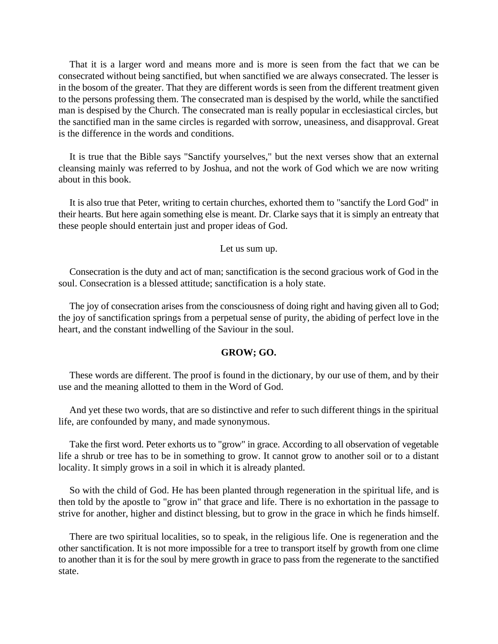That it is a larger word and means more and is more is seen from the fact that we can be consecrated without being sanctified, but when sanctified we are always consecrated. The lesser is in the bosom of the greater. That they are different words is seen from the different treatment given to the persons professing them. The consecrated man is despised by the world, while the sanctified man is despised by the Church. The consecrated man is really popular in ecclesiastical circles, but the sanctified man in the same circles is regarded with sorrow, uneasiness, and disapproval. Great is the difference in the words and conditions.

It is true that the Bible says "Sanctify yourselves," but the next verses show that an external cleansing mainly was referred to by Joshua, and not the work of God which we are now writing about in this book.

It is also true that Peter, writing to certain churches, exhorted them to "sanctify the Lord God" in their hearts. But here again something else is meant. Dr. Clarke says that it is simply an entreaty that these people should entertain just and proper ideas of God.

Let us sum up.

Consecration is the duty and act of man; sanctification is the second gracious work of God in the soul. Consecration is a blessed attitude; sanctification is a holy state.

The joy of consecration arises from the consciousness of doing right and having given all to God; the joy of sanctification springs from a perpetual sense of purity, the abiding of perfect love in the heart, and the constant indwelling of the Saviour in the soul.

# **GROW; GO.**

These words are different. The proof is found in the dictionary, by our use of them, and by their use and the meaning allotted to them in the Word of God.

And yet these two words, that are so distinctive and refer to such different things in the spiritual life, are confounded by many, and made synonymous.

Take the first word. Peter exhorts us to "grow" in grace. According to all observation of vegetable life a shrub or tree has to be in something to grow. It cannot grow to another soil or to a distant locality. It simply grows in a soil in which it is already planted.

So with the child of God. He has been planted through regeneration in the spiritual life, and is then told by the apostle to "grow in" that grace and life. There is no exhortation in the passage to strive for another, higher and distinct blessing, but to grow in the grace in which he finds himself.

There are two spiritual localities, so to speak, in the religious life. One is regeneration and the other sanctification. It is not more impossible for a tree to transport itself by growth from one clime to another than it is for the soul by mere growth in grace to pass from the regenerate to the sanctified state.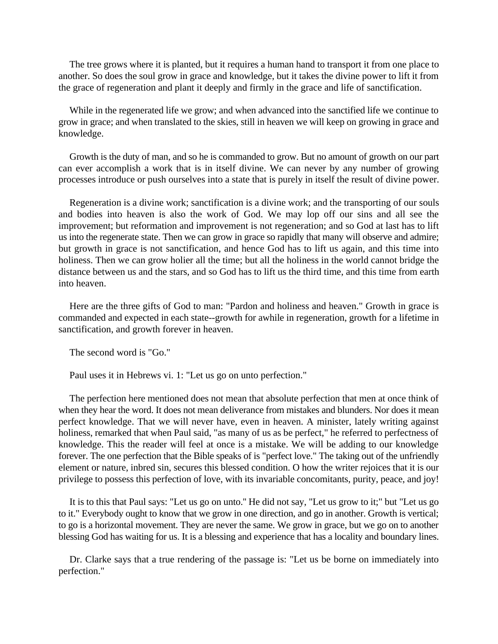The tree grows where it is planted, but it requires a human hand to transport it from one place to another. So does the soul grow in grace and knowledge, but it takes the divine power to lift it from the grace of regeneration and plant it deeply and firmly in the grace and life of sanctification.

While in the regenerated life we grow; and when advanced into the sanctified life we continue to grow in grace; and when translated to the skies, still in heaven we will keep on growing in grace and knowledge.

Growth is the duty of man, and so he is commanded to grow. But no amount of growth on our part can ever accomplish a work that is in itself divine. We can never by any number of growing processes introduce or push ourselves into a state that is purely in itself the result of divine power.

Regeneration is a divine work; sanctification is a divine work; and the transporting of our souls and bodies into heaven is also the work of God. We may lop off our sins and all see the improvement; but reformation and improvement is not regeneration; and so God at last has to lift us into the regenerate state. Then we can grow in grace so rapidly that many will observe and admire; but growth in grace is not sanctification, and hence God has to lift us again, and this time into holiness. Then we can grow holier all the time; but all the holiness in the world cannot bridge the distance between us and the stars, and so God has to lift us the third time, and this time from earth into heaven.

Here are the three gifts of God to man: "Pardon and holiness and heaven." Growth in grace is commanded and expected in each state--growth for awhile in regeneration, growth for a lifetime in sanctification, and growth forever in heaven.

The second word is "Go."

Paul uses it in Hebrews vi. 1: "Let us go on unto perfection."

The perfection here mentioned does not mean that absolute perfection that men at once think of when they hear the word. It does not mean deliverance from mistakes and blunders. Nor does it mean perfect knowledge. That we will never have, even in heaven. A minister, lately writing against holiness, remarked that when Paul said, "as many of us as be perfect," he referred to perfectness of knowledge. This the reader will feel at once is a mistake. We will be adding to our knowledge forever. The one perfection that the Bible speaks of is "perfect love." The taking out of the unfriendly element or nature, inbred sin, secures this blessed condition. O how the writer rejoices that it is our privilege to possess this perfection of love, with its invariable concomitants, purity, peace, and joy!

It is to this that Paul says: "Let us go on unto.'' He did not say, "Let us grow to it;" but "Let us go to it." Everybody ought to know that we grow in one direction, and go in another. Growth is vertical; to go is a horizontal movement. They are never the same. We grow in grace, but we go on to another blessing God has waiting for us. It is a blessing and experience that has a locality and boundary lines.

Dr. Clarke says that a true rendering of the passage is: "Let us be borne on immediately into perfection."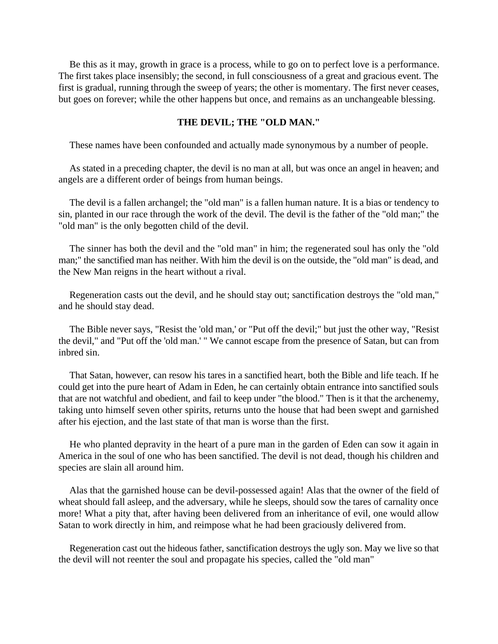Be this as it may, growth in grace is a process, while to go on to perfect love is a performance. The first takes place insensibly; the second, in full consciousness of a great and gracious event. The first is gradual, running through the sweep of years; the other is momentary. The first never ceases, but goes on forever; while the other happens but once, and remains as an unchangeable blessing.

# **THE DEVIL; THE "OLD MAN."**

These names have been confounded and actually made synonymous by a number of people.

As stated in a preceding chapter, the devil is no man at all, but was once an angel in heaven; and angels are a different order of beings from human beings.

The devil is a fallen archangel; the "old man" is a fallen human nature. It is a bias or tendency to sin, planted in our race through the work of the devil. The devil is the father of the "old man;" the "old man" is the only begotten child of the devil.

The sinner has both the devil and the "old man" in him; the regenerated soul has only the "old man;" the sanctified man has neither. With him the devil is on the outside, the "old man" is dead, and the New Man reigns in the heart without a rival.

Regeneration casts out the devil, and he should stay out; sanctification destroys the "old man," and he should stay dead.

The Bible never says, "Resist the 'old man,' or "Put off the devil;" but just the other way, "Resist the devil," and "Put off the 'old man.' " We cannot escape from the presence of Satan, but can from inbred sin.

That Satan, however, can resow his tares in a sanctified heart, both the Bible and life teach. If he could get into the pure heart of Adam in Eden, he can certainly obtain entrance into sanctified souls that are not watchful and obedient, and fail to keep under "the blood." Then is it that the archenemy, taking unto himself seven other spirits, returns unto the house that had been swept and garnished after his ejection, and the last state of that man is worse than the first.

He who planted depravity in the heart of a pure man in the garden of Eden can sow it again in America in the soul of one who has been sanctified. The devil is not dead, though his children and species are slain all around him.

Alas that the garnished house can be devil-possessed again! Alas that the owner of the field of wheat should fall asleep, and the adversary, while he sleeps, should sow the tares of carnality once more! What a pity that, after having been delivered from an inheritance of evil, one would allow Satan to work directly in him, and reimpose what he had been graciously delivered from.

Regeneration cast out the hideous father, sanctification destroys the ugly son. May we live so that the devil will not reenter the soul and propagate his species, called the "old man"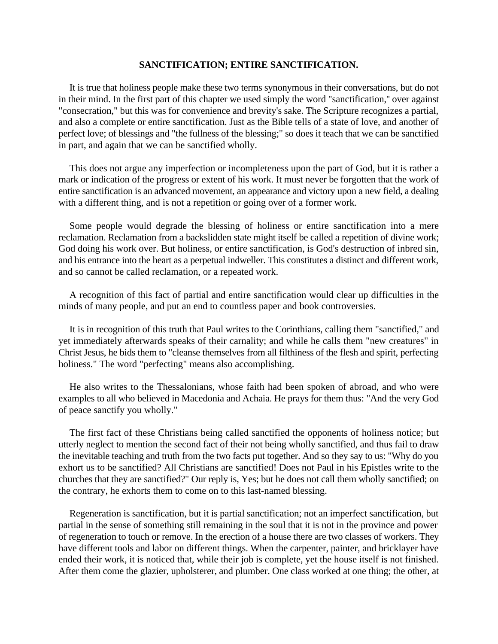#### **SANCTIFICATION; ENTIRE SANCTIFICATION.**

It is true that holiness people make these two terms synonymous in their conversations, but do not in their mind. In the first part of this chapter we used simply the word "sanctification,'' over against "consecration," but this was for convenience and brevity's sake. The Scripture recognizes a partial, and also a complete or entire sanctification. Just as the Bible tells of a state of love, and another of perfect love; of blessings and "the fullness of the blessing;" so does it teach that we can be sanctified in part, and again that we can be sanctified wholly.

This does not argue any imperfection or incompleteness upon the part of God, but it is rather a mark or indication of the progress or extent of his work. It must never be forgotten that the work of entire sanctification is an advanced movement, an appearance and victory upon a new field, a dealing with a different thing, and is not a repetition or going over of a former work.

Some people would degrade the blessing of holiness or entire sanctification into a mere reclamation. Reclamation from a backslidden state might itself be called a repetition of divine work; God doing his work over. But holiness, or entire sanctification, is God's destruction of inbred sin, and his entrance into the heart as a perpetual indweller. This constitutes a distinct and different work, and so cannot be called reclamation, or a repeated work.

A recognition of this fact of partial and entire sanctification would clear up difficulties in the minds of many people, and put an end to countless paper and book controversies.

It is in recognition of this truth that Paul writes to the Corinthians, calling them "sanctified," and yet immediately afterwards speaks of their carnality; and while he calls them "new creatures" in Christ Jesus, he bids them to "cleanse themselves from all filthiness of the flesh and spirit, perfecting holiness." The word "perfecting" means also accomplishing.

He also writes to the Thessalonians, whose faith had been spoken of abroad, and who were examples to all who believed in Macedonia and Achaia. He prays for them thus: "And the very God of peace sanctify you wholly."

The first fact of these Christians being called sanctified the opponents of holiness notice; but utterly neglect to mention the second fact of their not being wholly sanctified, and thus fail to draw the inevitable teaching and truth from the two facts put together. And so they say to us: "Why do you exhort us to be sanctified? All Christians are sanctified! Does not Paul in his Epistles write to the churches that they are sanctified?" Our reply is, Yes; but he does not call them wholly sanctified; on the contrary, he exhorts them to come on to this last-named blessing.

Regeneration is sanctification, but it is partial sanctification; not an imperfect sanctification, but partial in the sense of something still remaining in the soul that it is not in the province and power of regeneration to touch or remove. In the erection of a house there are two classes of workers. They have different tools and labor on different things. When the carpenter, painter, and bricklayer have ended their work, it is noticed that, while their job is complete, yet the house itself is not finished. After them come the glazier, upholsterer, and plumber. One class worked at one thing; the other, at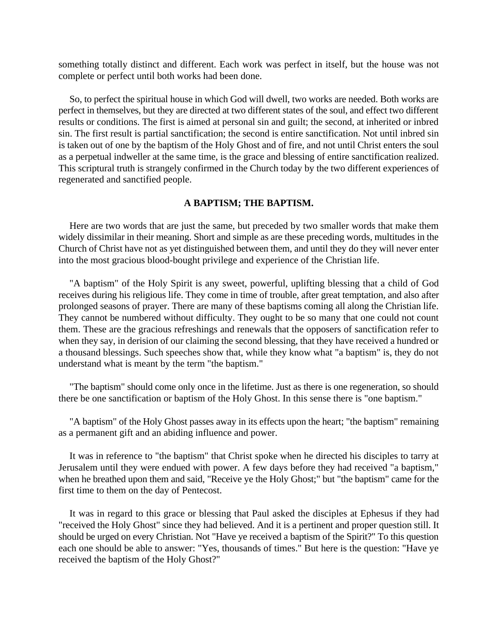something totally distinct and different. Each work was perfect in itself, but the house was not complete or perfect until both works had been done.

So, to perfect the spiritual house in which God will dwell, two works are needed. Both works are perfect in themselves, but they are directed at two different states of the soul, and effect two different results or conditions. The first is aimed at personal sin and guilt; the second, at inherited or inbred sin. The first result is partial sanctification; the second is entire sanctification. Not until inbred sin is taken out of one by the baptism of the Holy Ghost and of fire, and not until Christ enters the soul as a perpetual indweller at the same time, is the grace and blessing of entire sanctification realized. This scriptural truth is strangely confirmed in the Church today by the two different experiences of regenerated and sanctified people.

#### **A BAPTISM; THE BAPTISM.**

Here are two words that are just the same, but preceded by two smaller words that make them widely dissimilar in their meaning. Short and simple as are these preceding words, multitudes in the Church of Christ have not as yet distinguished between them, and until they do they will never enter into the most gracious blood-bought privilege and experience of the Christian life.

"A baptism" of the Holy Spirit is any sweet, powerful, uplifting blessing that a child of God receives during his religious life. They come in time of trouble, after great temptation, and also after prolonged seasons of prayer. There are many of these baptisms coming all along the Christian life. They cannot be numbered without difficulty. They ought to be so many that one could not count them. These are the gracious refreshings and renewals that the opposers of sanctification refer to when they say, in derision of our claiming the second blessing, that they have received a hundred or a thousand blessings. Such speeches show that, while they know what "a baptism" is, they do not understand what is meant by the term "the baptism."

"The baptism" should come only once in the lifetime. Just as there is one regeneration, so should there be one sanctification or baptism of the Holy Ghost. In this sense there is "one baptism."

"A baptism" of the Holy Ghost passes away in its effects upon the heart; "the baptism" remaining as a permanent gift and an abiding influence and power.

It was in reference to "the baptism" that Christ spoke when he directed his disciples to tarry at Jerusalem until they were endued with power. A few days before they had received "a baptism," when he breathed upon them and said, "Receive ye the Holy Ghost;" but "the baptism" came for the first time to them on the day of Pentecost.

It was in regard to this grace or blessing that Paul asked the disciples at Ephesus if they had "received the Holy Ghost" since they had believed. And it is a pertinent and proper question still. It should be urged on every Christian. Not "Have ye received a baptism of the Spirit?" To this question each one should be able to answer: "Yes, thousands of times." But here is the question: "Have ye received the baptism of the Holy Ghost?"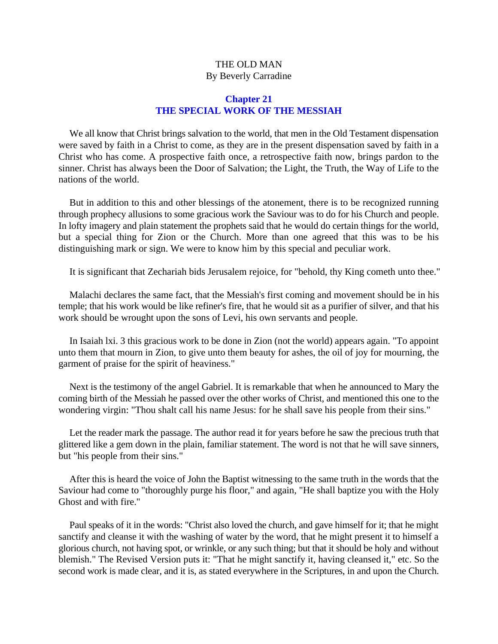# THE OLD MAN By Beverly Carradine

# **Chapter 21 THE SPECIAL WORK OF THE MESSIAH**

We all know that Christ brings salvation to the world, that men in the Old Testament dispensation were saved by faith in a Christ to come, as they are in the present dispensation saved by faith in a Christ who has come. A prospective faith once, a retrospective faith now, brings pardon to the sinner. Christ has always been the Door of Salvation; the Light, the Truth, the Way of Life to the nations of the world.

But in addition to this and other blessings of the atonement, there is to be recognized running through prophecy allusions to some gracious work the Saviour was to do for his Church and people. In lofty imagery and plain statement the prophets said that he would do certain things for the world, but a special thing for Zion or the Church. More than one agreed that this was to be his distinguishing mark or sign. We were to know him by this special and peculiar work.

It is significant that Zechariah bids Jerusalem rejoice, for "behold, thy King cometh unto thee."

Malachi declares the same fact, that the Messiah's first coming and movement should be in his temple; that his work would be like refiner's fire, that he would sit as a purifier of silver, and that his work should be wrought upon the sons of Levi, his own servants and people.

In Isaiah lxi. 3 this gracious work to be done in Zion (not the world) appears again. "To appoint unto them that mourn in Zion, to give unto them beauty for ashes, the oil of joy for mourning, the garment of praise for the spirit of heaviness."

Next is the testimony of the angel Gabriel. It is remarkable that when he announced to Mary the coming birth of the Messiah he passed over the other works of Christ, and mentioned this one to the wondering virgin: "Thou shalt call his name Jesus: for he shall save his people from their sins."

Let the reader mark the passage. The author read it for years before he saw the precious truth that glittered like a gem down in the plain, familiar statement. The word is not that he will save sinners, but "his people from their sins."

After this is heard the voice of John the Baptist witnessing to the same truth in the words that the Saviour had come to "thoroughly purge his floor," and again, "He shall baptize you with the Holy Ghost and with fire.''

Paul speaks of it in the words: "Christ also loved the church, and gave himself for it; that he might sanctify and cleanse it with the washing of water by the word, that he might present it to himself a glorious church, not having spot, or wrinkle, or any such thing; but that it should be holy and without blemish." The Revised Version puts it: "That he might sanctify it, having cleansed it," etc. So the second work is made clear, and it is, as stated everywhere in the Scriptures, in and upon the Church.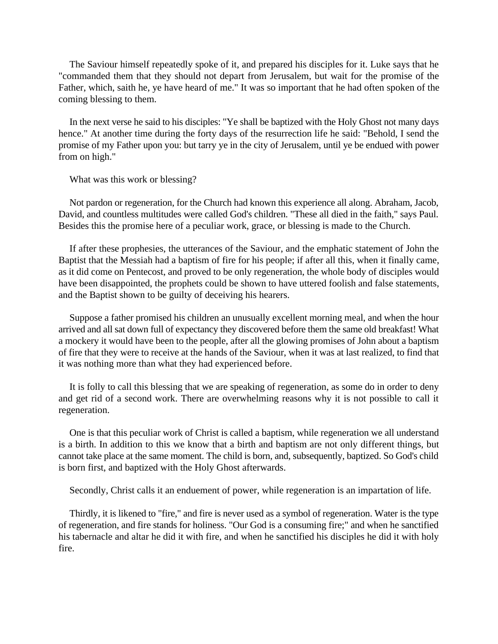The Saviour himself repeatedly spoke of it, and prepared his disciples for it. Luke says that he "commanded them that they should not depart from Jerusalem, but wait for the promise of the Father, which, saith he, ye have heard of me." It was so important that he had often spoken of the coming blessing to them.

In the next verse he said to his disciples: "Ye shall be baptized with the Holy Ghost not many days hence." At another time during the forty days of the resurrection life he said: "Behold, I send the promise of my Father upon you: but tarry ye in the city of Jerusalem, until ye be endued with power from on high."

What was this work or blessing?

Not pardon or regeneration, for the Church had known this experience all along. Abraham, Jacob, David, and countless multitudes were called God's children. "These all died in the faith," says Paul. Besides this the promise here of a peculiar work, grace, or blessing is made to the Church.

If after these prophesies, the utterances of the Saviour, and the emphatic statement of John the Baptist that the Messiah had a baptism of fire for his people; if after all this, when it finally came, as it did come on Pentecost, and proved to be only regeneration, the whole body of disciples would have been disappointed, the prophets could be shown to have uttered foolish and false statements, and the Baptist shown to be guilty of deceiving his hearers.

Suppose a father promised his children an unusually excellent morning meal, and when the hour arrived and all sat down full of expectancy they discovered before them the same old breakfast! What a mockery it would have been to the people, after all the glowing promises of John about a baptism of fire that they were to receive at the hands of the Saviour, when it was at last realized, to find that it was nothing more than what they had experienced before.

It is folly to call this blessing that we are speaking of regeneration, as some do in order to deny and get rid of a second work. There are overwhelming reasons why it is not possible to call it regeneration.

One is that this peculiar work of Christ is called a baptism, while regeneration we all understand is a birth. In addition to this we know that a birth and baptism are not only different things, but cannot take place at the same moment. The child is born, and, subsequently, baptized. So God's child is born first, and baptized with the Holy Ghost afterwards.

Secondly, Christ calls it an enduement of power, while regeneration is an impartation of life.

Thirdly, it is likened to "fire," and fire is never used as a symbol of regeneration. Water is the type of regeneration, and fire stands for holiness. "Our God is a consuming fire;" and when he sanctified his tabernacle and altar he did it with fire, and when he sanctified his disciples he did it with holy fire.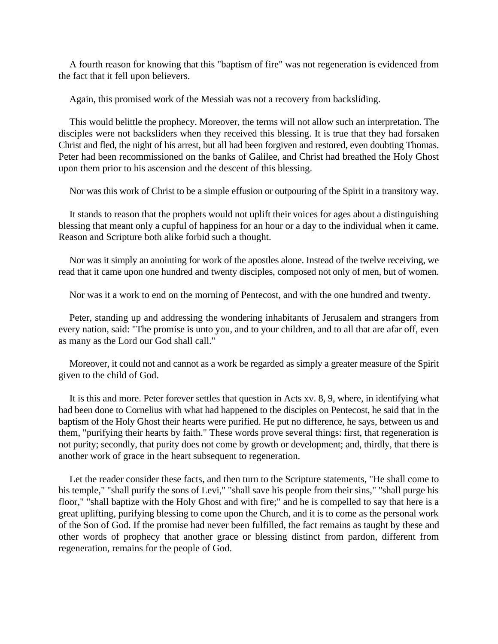A fourth reason for knowing that this "baptism of fire" was not regeneration is evidenced from the fact that it fell upon believers.

Again, this promised work of the Messiah was not a recovery from backsliding.

This would belittle the prophecy. Moreover, the terms will not allow such an interpretation. The disciples were not backsliders when they received this blessing. It is true that they had forsaken Christ and fled, the night of his arrest, but all had been forgiven and restored, even doubting Thomas. Peter had been recommissioned on the banks of Galilee, and Christ had breathed the Holy Ghost upon them prior to his ascension and the descent of this blessing.

Nor was this work of Christ to be a simple effusion or outpouring of the Spirit in a transitory way.

It stands to reason that the prophets would not uplift their voices for ages about a distinguishing blessing that meant only a cupful of happiness for an hour or a day to the individual when it came. Reason and Scripture both alike forbid such a thought.

Nor was it simply an anointing for work of the apostles alone. Instead of the twelve receiving, we read that it came upon one hundred and twenty disciples, composed not only of men, but of women.

Nor was it a work to end on the morning of Pentecost, and with the one hundred and twenty.

Peter, standing up and addressing the wondering inhabitants of Jerusalem and strangers from every nation, said: "The promise is unto you, and to your children, and to all that are afar off, even as many as the Lord our God shall call.''

Moreover, it could not and cannot as a work be regarded as simply a greater measure of the Spirit given to the child of God.

It is this and more. Peter forever settles that question in Acts xv. 8, 9, where, in identifying what had been done to Cornelius with what had happened to the disciples on Pentecost, he said that in the baptism of the Holy Ghost their hearts were purified. He put no difference, he says, between us and them, "purifying their hearts by faith." These words prove several things: first, that regeneration is not purity; secondly, that purity does not come by growth or development; and, thirdly, that there is another work of grace in the heart subsequent to regeneration.

Let the reader consider these facts, and then turn to the Scripture statements, "He shall come to his temple," "shall purify the sons of Levi," "shall save his people from their sins," "shall purge his floor," "shall baptize with the Holy Ghost and with fire;" and he is compelled to say that here is a great uplifting, purifying blessing to come upon the Church, and it is to come as the personal work of the Son of God. If the promise had never been fulfilled, the fact remains as taught by these and other words of prophecy that another grace or blessing distinct from pardon, different from regeneration, remains for the people of God.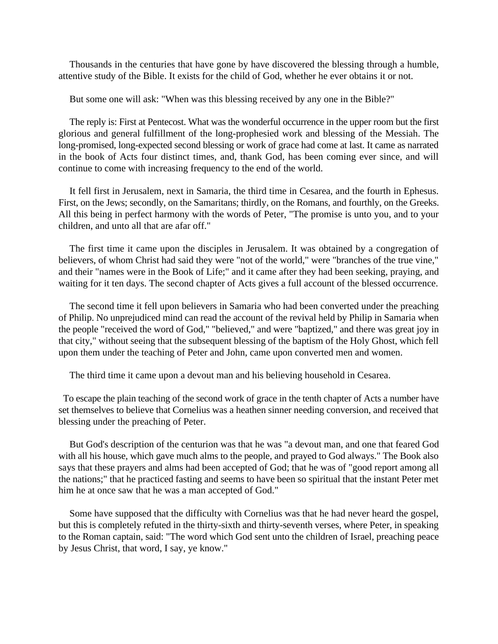Thousands in the centuries that have gone by have discovered the blessing through a humble, attentive study of the Bible. It exists for the child of God, whether he ever obtains it or not.

But some one will ask: "When was this blessing received by any one in the Bible?"

The reply is: First at Pentecost. What was the wonderful occurrence in the upper room but the first glorious and general fulfillment of the long-prophesied work and blessing of the Messiah. The long-promised, long-expected second blessing or work of grace had come at last. It came as narrated in the book of Acts four distinct times, and, thank God, has been coming ever since, and will continue to come with increasing frequency to the end of the world.

It fell first in Jerusalem, next in Samaria, the third time in Cesarea, and the fourth in Ephesus. First, on the Jews; secondly, on the Samaritans; thirdly, on the Romans, and fourthly, on the Greeks. All this being in perfect harmony with the words of Peter, "The promise is unto you, and to your children, and unto all that are afar off."

The first time it came upon the disciples in Jerusalem. It was obtained by a congregation of believers, of whom Christ had said they were "not of the world," were "branches of the true vine," and their "names were in the Book of Life;" and it came after they had been seeking, praying, and waiting for it ten days. The second chapter of Acts gives a full account of the blessed occurrence.

The second time it fell upon believers in Samaria who had been converted under the preaching of Philip. No unprejudiced mind can read the account of the revival held by Philip in Samaria when the people "received the word of God," "believed," and were "baptized," and there was great joy in that city," without seeing that the subsequent blessing of the baptism of the Holy Ghost, which fell upon them under the teaching of Peter and John, came upon converted men and women.

The third time it came upon a devout man and his believing household in Cesarea.

 To escape the plain teaching of the second work of grace in the tenth chapter of Acts a number have set themselves to believe that Cornelius was a heathen sinner needing conversion, and received that blessing under the preaching of Peter.

But God's description of the centurion was that he was "a devout man, and one that feared God with all his house, which gave much alms to the people, and prayed to God always." The Book also says that these prayers and alms had been accepted of God; that he was of "good report among all the nations;" that he practiced fasting and seems to have been so spiritual that the instant Peter met him he at once saw that he was a man accepted of God."

Some have supposed that the difficulty with Cornelius was that he had never heard the gospel, but this is completely refuted in the thirty-sixth and thirty-seventh verses, where Peter, in speaking to the Roman captain, said: "The word which God sent unto the children of Israel, preaching peace by Jesus Christ, that word, I say, ye know."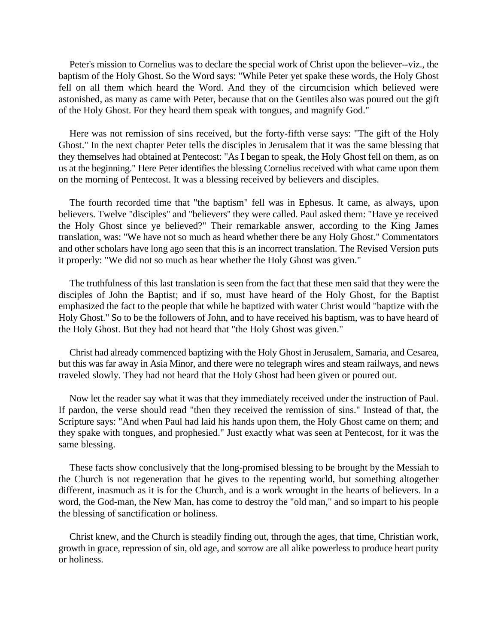Peter's mission to Cornelius was to declare the special work of Christ upon the believer--viz., the baptism of the Holy Ghost. So the Word says: "While Peter yet spake these words, the Holy Ghost fell on all them which heard the Word. And they of the circumcision which believed were astonished, as many as came with Peter, because that on the Gentiles also was poured out the gift of the Holy Ghost. For they heard them speak with tongues, and magnify God."

Here was not remission of sins received, but the forty-fifth verse says: "The gift of the Holy Ghost." In the next chapter Peter tells the disciples in Jerusalem that it was the same blessing that they themselves had obtained at Pentecost: "As I began to speak, the Holy Ghost fell on them, as on us at the beginning." Here Peter identifies the blessing Cornelius received with what came upon them on the morning of Pentecost. It was a blessing received by believers and disciples.

The fourth recorded time that "the baptism" fell was in Ephesus. It came, as always, upon believers. Twelve "disciples" and "believers'' they were called. Paul asked them: "Have ye received the Holy Ghost since ye believed?" Their remarkable answer, according to the King James translation, was: "We have not so much as heard whether there be any Holy Ghost." Commentators and other scholars have long ago seen that this is an incorrect translation. The Revised Version puts it properly: "We did not so much as hear whether the Holy Ghost was given."

The truthfulness of this last translation is seen from the fact that these men said that they were the disciples of John the Baptist; and if so, must have heard of the Holy Ghost, for the Baptist emphasized the fact to the people that while he baptized with water Christ would "baptize with the Holy Ghost." So to be the followers of John, and to have received his baptism, was to have heard of the Holy Ghost. But they had not heard that "the Holy Ghost was given."

Christ had already commenced baptizing with the Holy Ghost in Jerusalem, Samaria, and Cesarea, but this was far away in Asia Minor, and there were no telegraph wires and steam railways, and news traveled slowly. They had not heard that the Holy Ghost had been given or poured out.

Now let the reader say what it was that they immediately received under the instruction of Paul. If pardon, the verse should read "then they received the remission of sins." Instead of that, the Scripture says: "And when Paul had laid his hands upon them, the Holy Ghost came on them; and they spake with tongues, and prophesied." Just exactly what was seen at Pentecost, for it was the same blessing.

These facts show conclusively that the long-promised blessing to be brought by the Messiah to the Church is not regeneration that he gives to the repenting world, but something altogether different, inasmuch as it is for the Church, and is a work wrought in the hearts of believers. In a word, the God-man, the New Man, has come to destroy the "old man," and so impart to his people the blessing of sanctification or holiness.

Christ knew, and the Church is steadily finding out, through the ages, that time, Christian work, growth in grace, repression of sin, old age, and sorrow are all alike powerless to produce heart purity or holiness.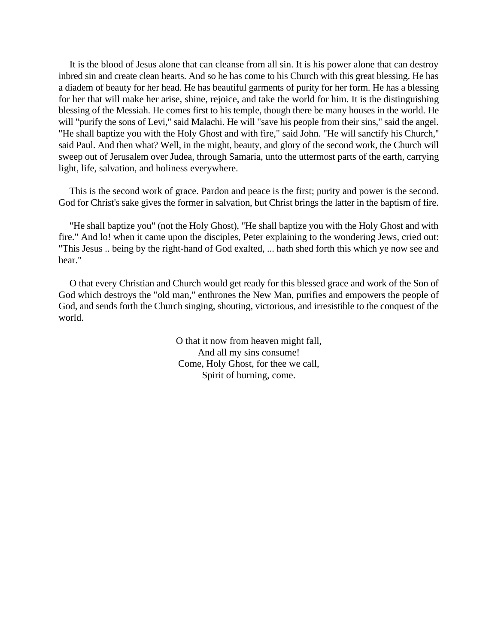It is the blood of Jesus alone that can cleanse from all sin. It is his power alone that can destroy inbred sin and create clean hearts. And so he has come to his Church with this great blessing. He has a diadem of beauty for her head. He has beautiful garments of purity for her form. He has a blessing for her that will make her arise, shine, rejoice, and take the world for him. It is the distinguishing blessing of the Messiah. He comes first to his temple, though there be many houses in the world. He will "purify the sons of Levi," said Malachi. He will "save his people from their sins," said the angel. "He shall baptize you with the Holy Ghost and with fire," said John. "He will sanctify his Church,'' said Paul. And then what? Well, in the might, beauty, and glory of the second work, the Church will sweep out of Jerusalem over Judea, through Samaria, unto the uttermost parts of the earth, carrying light, life, salvation, and holiness everywhere.

This is the second work of grace. Pardon and peace is the first; purity and power is the second. God for Christ's sake gives the former in salvation, but Christ brings the latter in the baptism of fire.

"He shall baptize you" (not the Holy Ghost), "He shall baptize you with the Holy Ghost and with fire." And lo! when it came upon the disciples, Peter explaining to the wondering Jews, cried out: "This Jesus .. being by the right-hand of God exalted, ... hath shed forth this which ye now see and hear."

O that every Christian and Church would get ready for this blessed grace and work of the Son of God which destroys the "old man," enthrones the New Man, purifies and empowers the people of God, and sends forth the Church singing, shouting, victorious, and irresistible to the conquest of the world.

> O that it now from heaven might fall, And all my sins consume! Come, Holy Ghost, for thee we call, Spirit of burning, come.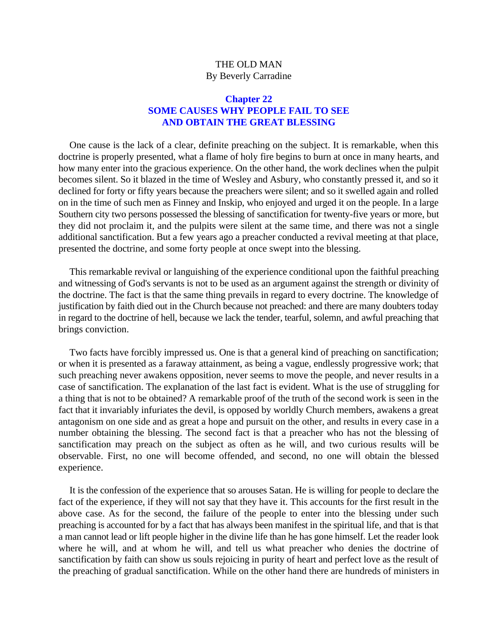# THE OLD MAN By Beverly Carradine

## **Chapter 22 SOME CAUSES WHY PEOPLE FAIL TO SEE AND OBTAIN THE GREAT BLESSING**

One cause is the lack of a clear, definite preaching on the subject. It is remarkable, when this doctrine is properly presented, what a flame of holy fire begins to burn at once in many hearts, and how many enter into the gracious experience. On the other hand, the work declines when the pulpit becomes silent. So it blazed in the time of Wesley and Asbury, who constantly pressed it, and so it declined for forty or fifty years because the preachers were silent; and so it swelled again and rolled on in the time of such men as Finney and Inskip, who enjoyed and urged it on the people. In a large Southern city two persons possessed the blessing of sanctification for twenty-five years or more, but they did not proclaim it, and the pulpits were silent at the same time, and there was not a single additional sanctification. But a few years ago a preacher conducted a revival meeting at that place, presented the doctrine, and some forty people at once swept into the blessing.

This remarkable revival or languishing of the experience conditional upon the faithful preaching and witnessing of God's servants is not to be used as an argument against the strength or divinity of the doctrine. The fact is that the same thing prevails in regard to every doctrine. The knowledge of justification by faith died out in the Church because not preached: and there are many doubters today in regard to the doctrine of hell, because we lack the tender, tearful, solemn, and awful preaching that brings conviction.

Two facts have forcibly impressed us. One is that a general kind of preaching on sanctification; or when it is presented as a faraway attainment, as being a vague, endlessly progressive work; that such preaching never awakens opposition, never seems to move the people, and never results in a case of sanctification. The explanation of the last fact is evident. What is the use of struggling for a thing that is not to be obtained? A remarkable proof of the truth of the second work is seen in the fact that it invariably infuriates the devil, is opposed by worldly Church members, awakens a great antagonism on one side and as great a hope and pursuit on the other, and results in every case in a number obtaining the blessing. The second fact is that a preacher who has not the blessing of sanctification may preach on the subject as often as he will, and two curious results will be observable. First, no one will become offended, and second, no one will obtain the blessed experience.

It is the confession of the experience that so arouses Satan. He is willing for people to declare the fact of the experience, if they will not say that they have it. This accounts for the first result in the above case. As for the second, the failure of the people to enter into the blessing under such preaching is accounted for by a fact that has always been manifest in the spiritual life, and that is that a man cannot lead or lift people higher in the divine life than he has gone himself. Let the reader look where he will, and at whom he will, and tell us what preacher who denies the doctrine of sanctification by faith can show us souls rejoicing in purity of heart and perfect love as the result of the preaching of gradual sanctification. While on the other hand there are hundreds of ministers in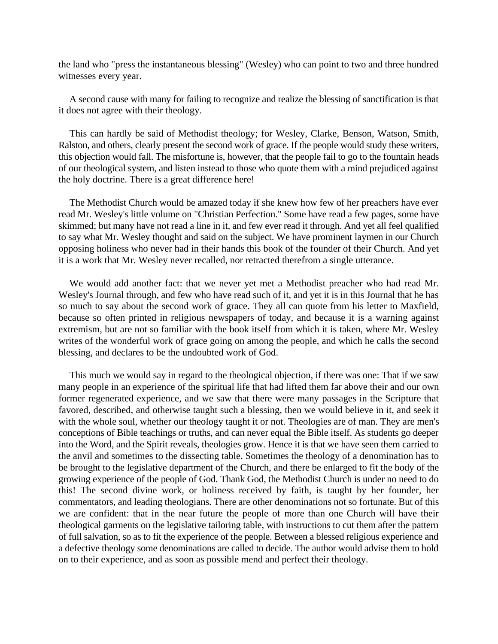the land who "press the instantaneous blessing" (Wesley) who can point to two and three hundred witnesses every year.

A second cause with many for failing to recognize and realize the blessing of sanctification is that it does not agree with their theology.

This can hardly be said of Methodist theology; for Wesley, Clarke, Benson, Watson, Smith, Ralston, and others, clearly present the second work of grace. If the people would study these writers, this objection would fall. The misfortune is, however, that the people fail to go to the fountain heads of our theological system, and listen instead to those who quote them with a mind prejudiced against the holy doctrine. There is a great difference here!

The Methodist Church would be amazed today if she knew how few of her preachers have ever read Mr. Wesley's little volume on "Christian Perfection." Some have read a few pages, some have skimmed; but many have not read a line in it, and few ever read it through. And yet all feel qualified to say what Mr. Wesley thought and said on the subject. We have prominent laymen in our Church opposing holiness who never had in their hands this book of the founder of their Church. And yet it is a work that Mr. Wesley never recalled, nor retracted therefrom a single utterance.

We would add another fact: that we never yet met a Methodist preacher who had read Mr. Wesley's Journal through, and few who have read such of it, and yet it is in this Journal that he has so much to say about the second work of grace. They all can quote from his letter to Maxfield, because so often printed in religious newspapers of today, and because it is a warning against extremism, but are not so familiar with the book itself from which it is taken, where Mr. Wesley writes of the wonderful work of grace going on among the people, and which he calls the second blessing, and declares to be the undoubted work of God.

This much we would say in regard to the theological objection, if there was one: That if we saw many people in an experience of the spiritual life that had lifted them far above their and our own former regenerated experience, and we saw that there were many passages in the Scripture that favored, described, and otherwise taught such a blessing, then we would believe in it, and seek it with the whole soul, whether our theology taught it or not. Theologies are of man. They are men's conceptions of Bible teachings or truths, and can never equal the Bible itself. As students go deeper into the Word, and the Spirit reveals, theologies grow. Hence it is that we have seen them carried to the anvil and sometimes to the dissecting table. Sometimes the theology of a denomination has to be brought to the legislative department of the Church, and there be enlarged to fit the body of the growing experience of the people of God. Thank God, the Methodist Church is under no need to do this! The second divine work, or holiness received by faith, is taught by her founder, her commentators, and leading theologians. There are other denominations not so fortunate. But of this we are confident: that in the near future the people of more than one Church will have their theological garments on the legislative tailoring table, with instructions to cut them after the pattern of full salvation, so as to fit the experience of the people. Between a blessed religious experience and a defective theology some denominations are called to decide. The author would advise them to hold on to their experience, and as soon as possible mend and perfect their theology.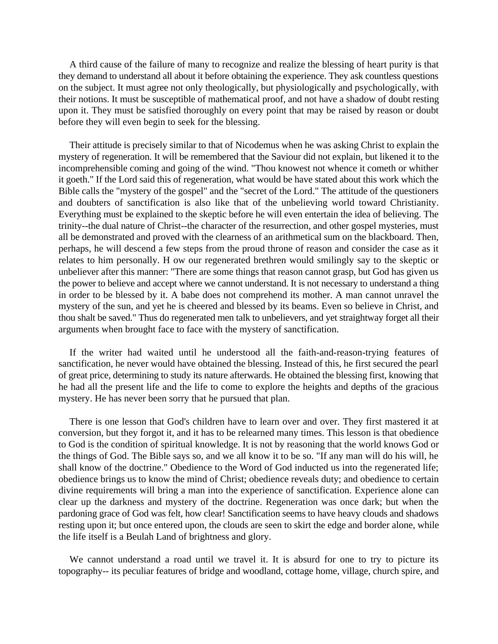A third cause of the failure of many to recognize and realize the blessing of heart purity is that they demand to understand all about it before obtaining the experience. They ask countless questions on the subject. It must agree not only theologically, but physiologically and psychologically, with their notions. It must be susceptible of mathematical proof, and not have a shadow of doubt resting upon it. They must be satisfied thoroughly on every point that may be raised by reason or doubt before they will even begin to seek for the blessing.

Their attitude is precisely similar to that of Nicodemus when he was asking Christ to explain the mystery of regeneration. It will be remembered that the Saviour did not explain, but likened it to the incomprehensible coming and going of the wind. "Thou knowest not whence it cometh or whither it goeth." If the Lord said this of regeneration, what would be have stated about this work which the Bible calls the "mystery of the gospel" and the "secret of the Lord." The attitude of the questioners and doubters of sanctification is also like that of the unbelieving world toward Christianity. Everything must be explained to the skeptic before he will even entertain the idea of believing. The trinity--the dual nature of Christ--the character of the resurrection, and other gospel mysteries, must all be demonstrated and proved with the clearness of an arithmetical sum on the blackboard. Then, perhaps, he will descend a few steps from the proud throne of reason and consider the case as it relates to him personally. H ow our regenerated brethren would smilingly say to the skeptic or unbeliever after this manner: "There are some things that reason cannot grasp, but God has given us the power to believe and accept where we cannot understand. It is not necessary to understand a thing in order to be blessed by it. A babe does not comprehend its mother. A man cannot unravel the mystery of the sun, and yet he is cheered and blessed by its beams. Even so believe in Christ, and thou shalt be saved." Thus do regenerated men talk to unbelievers, and yet straightway forget all their arguments when brought face to face with the mystery of sanctification.

If the writer had waited until he understood all the faith-and-reason-trying features of sanctification, he never would have obtained the blessing. Instead of this, he first secured the pearl of great price, determining to study its nature afterwards. He obtained the blessing first, knowing that he had all the present life and the life to come to explore the heights and depths of the gracious mystery. He has never been sorry that he pursued that plan.

There is one lesson that God's children have to learn over and over. They first mastered it at conversion, but they forgot it, and it has to be relearned many times. This lesson is that obedience to God is the condition of spiritual knowledge. It is not by reasoning that the world knows God or the things of God. The Bible says so, and we all know it to be so. "If any man will do his will, he shall know of the doctrine." Obedience to the Word of God inducted us into the regenerated life; obedience brings us to know the mind of Christ; obedience reveals duty; and obedience to certain divine requirements will bring a man into the experience of sanctification. Experience alone can clear up the darkness and mystery of the doctrine. Regeneration was once dark; but when the pardoning grace of God was felt, how clear! Sanctification seems to have heavy clouds and shadows resting upon it; but once entered upon, the clouds are seen to skirt the edge and border alone, while the life itself is a Beulah Land of brightness and glory.

We cannot understand a road until we travel it. It is absurd for one to try to picture its topography-- its peculiar features of bridge and woodland, cottage home, village, church spire, and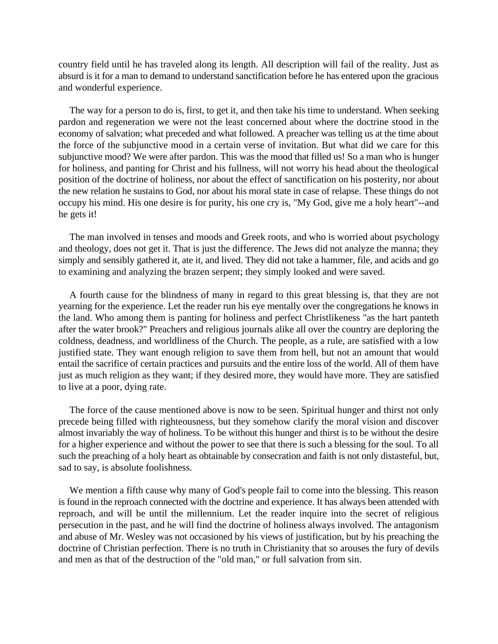country field until he has traveled along its length. All description will fail of the reality. Just as absurd is it for a man to demand to understand sanctification before he has entered upon the gracious and wonderful experience.

The way for a person to do is, first, to get it, and then take his time to understand. When seeking pardon and regeneration we were not the least concerned about where the doctrine stood in the economy of salvation; what preceded and what followed. A preacher was telling us at the time about the force of the subjunctive mood in a certain verse of invitation. But what did we care for this subjunctive mood? We were after pardon. This was the mood that filled us! So a man who is hunger for holiness, and panting for Christ and his fullness, will not worry his head about the theological position of the doctrine of holiness, nor about the effect of sanctification on his posterity, nor about the new relation he sustains to God, nor about his moral state in case of relapse. These things do not occupy his mind. His one desire is for purity, his one cry is, "My God, give me a holy heart"--and he gets it!

The man involved in tenses and moods and Greek roots, and who is worried about psychology and theology, does not get it. That is just the difference. The Jews did not analyze the manna; they simply and sensibly gathered it, ate it, and lived. They did not take a hammer, file, and acids and go to examining and analyzing the brazen serpent; they simply looked and were saved.

A fourth cause for the blindness of many in regard to this great blessing is, that they are not yearning for the experience. Let the reader run his eye mentally over the congregations he knows in the land. Who among them is panting for holiness and perfect Christlikeness "as the hart panteth after the water brook?" Preachers and religious journals alike all over the country are deploring the coldness, deadness, and worldliness of the Church. The people, as a rule, are satisfied with a low justified state. They want enough religion to save them from hell, but not an amount that would entail the sacrifice of certain practices and pursuits and the entire loss of the world. All of them have just as much religion as they want; if they desired more, they would have more. They are satisfied to live at a poor, dying rate.

The force of the cause mentioned above is now to be seen. Spiritual hunger and thirst not only precede being filled with righteousness, but they somehow clarify the moral vision and discover almost invariably the way of holiness. To be without this hunger and thirst is to be without the desire for a higher experience and without the power to see that there is such a blessing for the soul. To all such the preaching of a holy heart as obtainable by consecration and faith is not only distasteful, but, sad to say, is absolute foolishness.

We mention a fifth cause why many of God's people fail to come into the blessing. This reason is found in the reproach connected with the doctrine and experience. It has always been attended with reproach, and will be until the millennium. Let the reader inquire into the secret of religious persecution in the past, and he will find the doctrine of holiness always involved. The antagonism and abuse of Mr. Wesley was not occasioned by his views of justification, but by his preaching the doctrine of Christian perfection. There is no truth in Christianity that so arouses the fury of devils and men as that of the destruction of the "old man," or full salvation from sin.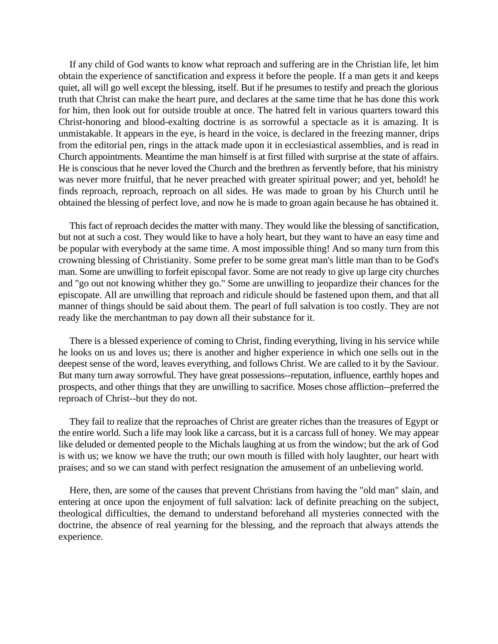If any child of God wants to know what reproach and suffering are in the Christian life, let him obtain the experience of sanctification and express it before the people. If a man gets it and keeps quiet, all will go well except the blessing, itself. But if he presumes to testify and preach the glorious truth that Christ can make the heart pure, and declares at the same time that he has done this work for him, then look out for outside trouble at once. The hatred felt in various quarters toward this Christ-honoring and blood-exalting doctrine is as sorrowful a spectacle as it is amazing. It is unmistakable. It appears in the eye, is heard in the voice, is declared in the freezing manner, drips from the editorial pen, rings in the attack made upon it in ecclesiastical assemblies, and is read in Church appointments. Meantime the man himself is at first filled with surprise at the state of affairs. He is conscious that he never loved the Church and the brethren as fervently before, that his ministry was never more fruitful, that he never preached with greater spiritual power; and yet, behold! he finds reproach, reproach, reproach on all sides. He was made to groan by his Church until he obtained the blessing of perfect love, and now he is made to groan again because he has obtained it.

This fact of reproach decides the matter with many. They would like the blessing of sanctification, but not at such a cost. They would like to have a holy heart, but they want to have an easy time and be popular with everybody at the same time. A most impossible thing! And so many turn from this crowning blessing of Christianity. Some prefer to be some great man's little man than to be God's man. Some are unwilling to forfeit episcopal favor. Some are not ready to give up large city churches and "go out not knowing whither they go." Some are unwilling to jeopardize their chances for the episcopate. All are unwilling that reproach and ridicule should be fastened upon them, and that all manner of things should be said about them. The pearl of full salvation is too costly. They are not ready like the merchantman to pay down all their substance for it.

There is a blessed experience of coming to Christ, finding everything, living in his service while he looks on us and loves us; there is another and higher experience in which one sells out in the deepest sense of the word, leaves everything, and follows Christ. We are called to it by the Saviour. But many turn away sorrowful. They have great possessions--reputation, influence, earthly hopes and prospects, and other things that they are unwilling to sacrifice. Moses chose affliction--preferred the reproach of Christ--but they do not.

They fail to realize that the reproaches of Christ are greater riches than the treasures of Egypt or the entire world. Such a life may look like a carcass, but it is a carcass full of honey. We may appear like deluded or demented people to the Michals laughing at us from the window; but the ark of God is with us; we know we have the truth; our own mouth is filled with holy laughter, our heart with praises; and so we can stand with perfect resignation the amusement of an unbelieving world.

Here, then, are some of the causes that prevent Christians from having the "old man" slain, and entering at once upon the enjoyment of full salvation: lack of definite preaching on the subject, theological difficulties, the demand to understand beforehand all mysteries connected with the doctrine, the absence of real yearning for the blessing, and the reproach that always attends the experience.